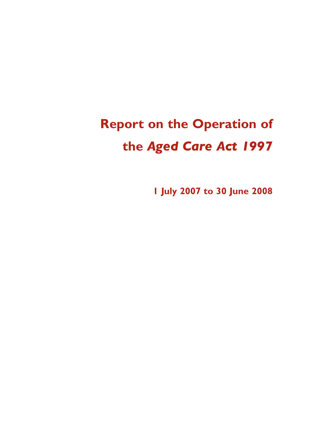# **Report on the Operation of the** *Aged Care Act 1997*

**1 July 2007 to 30 June 2008**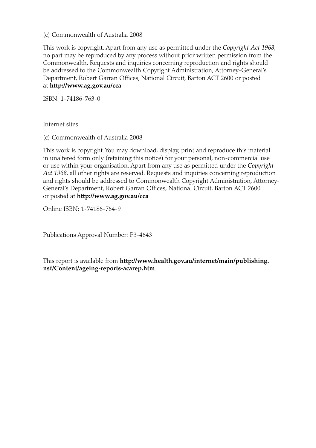#### (c) Commonwealth of Australia 2008

This work is copyright. Apart from any use as permitted under the *Copyright Act 1968*, no part may be reproduced by any process without prior written permission from the Commonwealth. Requests and inquiries concerning reproduction and rights should be addressed to the Commonwealth Copyright Administration, Attorney-General's Department, Robert Garran Offices, National Circuit, Barton ACT 2600 or posted at **http://www.ag.gov.au/cca**

ISBN: 1-74186-763-0

Internet sites

(c) Commonwealth of Australia 2008

This work is copyright. You may download, display, print and reproduce this material in unaltered form only (retaining this notice) for your personal, non-commercial use or use within your organisation. Apart from any use as permitted under the *Copyright Act 1968*, all other rights are reserved. Requests and inquiries concerning reproduction and rights should be addressed to Commonwealth Copyright Administration, Attorney-General's Department, Robert Garran Offices, National Circuit, Barton ACT 2600 or posted at **http://www.ag.gov.au/cca**

Online ISBN: 1-74186-764-9

Publications Approval Number: P3-4643

This report is available from **http://www.health.gov.au/internet/main/publishing. nsf/Content/ageing-reports-acarep.htm**.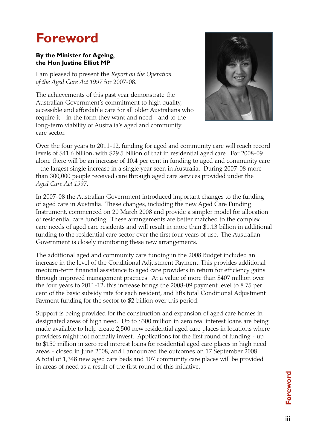# **Foreword**

#### **By the Minister for Ageing, the Hon Justine Elliot MP**

I am pleased to present the *Report on the Operation of the Aged Care Act 1997* for 2007-08.

The achievements of this past year demonstrate the Australian Government's commitment to high quality, accessible and affordable care for all older Australians who require it - in the form they want and need - and to the long-term viability of Australia's aged and community care sector.



Over the four years to 2011-12, funding for aged and community care will reach record levels of \$41.6 billion, with \$29.5 billion of that in residential aged care. For 2008-09 alone there will be an increase of 10.4 per cent in funding to aged and community care - the largest single increase in a single year seen in Australia. During 2007-08 more than 300,000 people received care through aged care services provided under the *Aged Care Act 1997*.

In 2007-08 the Australian Government introduced important changes to the funding of aged care in Australia. These changes, including the new Aged Care Funding Instrument, commenced on 20 March 2008 and provide a simpler model for allocation of residential care funding. These arrangements are better matched to the complex care needs of aged care residents and will result in more than \$1.13 billion in additional funding to the residential care sector over the first four years of use. The Australian Government is closely monitoring these new arrangements.

The additional aged and community care funding in the 2008 Budget included an increase in the level of the Conditional Adjustment Payment. This provides additional medium-term financial assistance to aged care providers in return for efficiency gains through improved management practices. At a value of more than \$407 million over the four years to 2011-12, this increase brings the 2008-09 payment level to 8.75 per cent of the basic subsidy rate for each resident, and lifts total Conditional Adjustment Payment funding for the sector to \$2 billion over this period.

Support is being provided for the construction and expansion of aged care homes in designated areas of high need. Up to \$300 million in zero real interest loans are being made available to help create 2,500 new residential aged care places in locations where providers might not normally invest. Applications for the first round of funding - up to \$150 million in zero real interest loans for residential aged care places in high need areas - closed in June 2008, and I announced the outcomes on 17 September 2008. A total of 1,348 new aged care beds and 107 community care places will be provided in areas of need as a result of the first round of this initiative.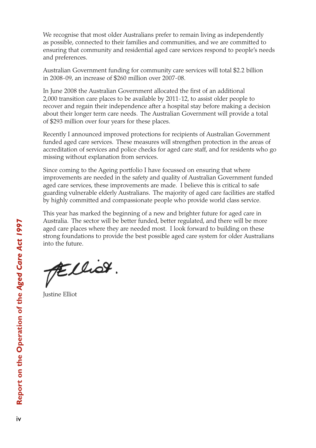We recognise that most older Australians prefer to remain living as independently as possible, connected to their families and communities, and we are committed to ensuring that community and residential aged care services respond to people's needs and preferences.

Australian Government funding for community care services will total \$2.2 billion in 2008-09, an increase of \$260 million over 2007-08.

In June 2008 the Australian Government allocated the first of an additional 2,000 transition care places to be available by 2011-12, to assist older people to recover and regain their independence after a hospital stay before making a decision about their longer term care needs. The Australian Government will provide a total of \$293 million over four years for these places.

Recently I announced improved protections for recipients of Australian Government funded aged care services. These measures will strengthen protection in the areas of accreditation of services and police checks for aged care staff, and for residents who go missing without explanation from services.

Since coming to the Ageing portfolio I have focussed on ensuring that where improvements are needed in the safety and quality of Australian Government funded aged care services, these improvements are made. I believe this is critical to safe guarding vulnerable elderly Australians. The majority of aged care facilities are staffed by highly committed and compassionate people who provide world class service.

This year has marked the beginning of a new and brighter future for aged care in Australia. The sector will be better funded, better regulated, and there will be more aged care places where they are needed most. I look forward to building on these strong foundations to provide the best possible aged care system for older Australians into the future.

FElliot.

Justine Elliot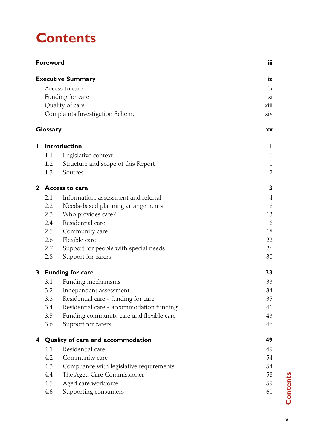# **Contents**

| <b>Executive Summary</b><br>Access to care<br>Funding for care<br>Quality of care<br>Complaints Investigation Scheme<br>Glossary | iх<br>ix<br>xi<br>xiii<br>xiv<br>XV<br>ı<br>1<br>1<br>$\sqrt{2}$<br>3 |
|----------------------------------------------------------------------------------------------------------------------------------|-----------------------------------------------------------------------|
|                                                                                                                                  |                                                                       |
|                                                                                                                                  |                                                                       |
|                                                                                                                                  |                                                                       |
|                                                                                                                                  |                                                                       |
|                                                                                                                                  |                                                                       |
|                                                                                                                                  |                                                                       |
| <b>Introduction</b><br>L                                                                                                         |                                                                       |
| 1.1<br>Legislative context                                                                                                       |                                                                       |
| 1.2<br>Structure and scope of this Report                                                                                        |                                                                       |
| 1.3<br>Sources                                                                                                                   |                                                                       |
| $\mathbf{2}$<br><b>Access to care</b>                                                                                            |                                                                       |
| 2.1<br>Information, assessment and referral                                                                                      | 4                                                                     |
| $2.2\phantom{0}$<br>Needs-based planning arrangements                                                                            | 8                                                                     |
| 2.3<br>Who provides care?                                                                                                        | 13                                                                    |
| Residential care<br>2.4                                                                                                          | 16                                                                    |
| 2.5<br>Community care                                                                                                            | 18                                                                    |
| Flexible care<br>2.6                                                                                                             | 22                                                                    |
| Support for people with special needs<br>2.7                                                                                     | 26                                                                    |
| 2.8<br>Support for carers                                                                                                        | 30                                                                    |
| 3<br><b>Funding for care</b>                                                                                                     | 33                                                                    |
| 3.1<br>Funding mechanisms                                                                                                        | 33                                                                    |
| 3.2<br>Independent assessment                                                                                                    | 34                                                                    |
| 3.3<br>Residential care - funding for care                                                                                       | 35                                                                    |
| Residential care - accommodation funding<br>3.4                                                                                  | 41                                                                    |
| 3.5<br>Funding community care and flexible care                                                                                  | 43                                                                    |
| Support for carers<br>3.6                                                                                                        | 46                                                                    |
| 4<br>Quality of care and accommodation                                                                                           | 49                                                                    |
| 4.1<br>Residential care                                                                                                          | 49                                                                    |
| 4.2<br>Community care                                                                                                            | 54                                                                    |
| Compliance with legislative requirements<br>4.3                                                                                  | 54                                                                    |
| The Aged Care Commissioner<br>4.4                                                                                                | 58                                                                    |
| Aged care workforce<br>4.5                                                                                                       | 59                                                                    |
| Supporting consumers<br>4.6                                                                                                      | 61                                                                    |

**Contents** v **Contents**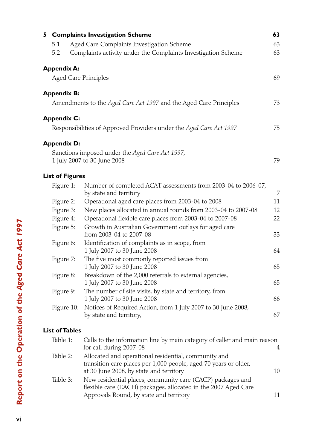|                                                                      | 5 Complaints Investigation Scheme                                                                                        | 63 |  |  |  |  |
|----------------------------------------------------------------------|--------------------------------------------------------------------------------------------------------------------------|----|--|--|--|--|
| 5.1                                                                  | Aged Care Complaints Investigation Scheme                                                                                | 63 |  |  |  |  |
| Complaints activity under the Complaints Investigation Scheme<br>5.2 |                                                                                                                          |    |  |  |  |  |
| <b>Appendix A:</b>                                                   |                                                                                                                          |    |  |  |  |  |
|                                                                      | <b>Aged Care Principles</b>                                                                                              | 69 |  |  |  |  |
| <b>Appendix B:</b>                                                   |                                                                                                                          |    |  |  |  |  |
|                                                                      | Amendments to the Aged Care Act 1997 and the Aged Care Principles                                                        | 73 |  |  |  |  |
| <b>Appendix C:</b>                                                   |                                                                                                                          |    |  |  |  |  |
|                                                                      | Responsibilities of Approved Providers under the Aged Care Act 1997                                                      | 75 |  |  |  |  |
| <b>Appendix D:</b>                                                   |                                                                                                                          |    |  |  |  |  |
|                                                                      | Sanctions imposed under the Aged Care Act 1997,                                                                          |    |  |  |  |  |
|                                                                      | 1 July 2007 to 30 June 2008                                                                                              | 79 |  |  |  |  |
| <b>List of Figures</b>                                               |                                                                                                                          |    |  |  |  |  |
| Figure 1:                                                            | Number of completed ACAT assessments from 2003-04 to 2006-07,<br>by state and territory                                  | 7  |  |  |  |  |
| Figure 2:                                                            | Operational aged care places from 2003-04 to 2008                                                                        | 11 |  |  |  |  |
| Figure 3:                                                            | New places allocated in annual rounds from 2003-04 to 2007-08                                                            | 12 |  |  |  |  |
| Figure 4:                                                            | Operational flexible care places from 2003-04 to 2007-08                                                                 | 22 |  |  |  |  |
| Figure 5:                                                            | Growth in Australian Government outlays for aged care<br>from 2003-04 to 2007-08                                         | 33 |  |  |  |  |
| Figure 6:                                                            | Identification of complaints as in scope, from                                                                           |    |  |  |  |  |
|                                                                      | 1 July 2007 to 30 June 2008                                                                                              | 64 |  |  |  |  |
| Figure 7:                                                            | The five most commonly reported issues from<br>1 July 2007 to 30 June 2008                                               | 65 |  |  |  |  |
| Figure 8:                                                            | Breakdown of the 2,000 referrals to external agencies,                                                                   |    |  |  |  |  |
|                                                                      | 1 July 2007 to 30 June 2008                                                                                              | 65 |  |  |  |  |
| Figure 9:                                                            | The number of site visits, by state and territory, from                                                                  |    |  |  |  |  |
|                                                                      | 1 July 2007 to 30 June 2008<br>Notices of Required Action, from 1 July 2007 to 30 June 2008,                             | 66 |  |  |  |  |
| Figure 10:                                                           | by state and territory,                                                                                                  | 67 |  |  |  |  |
| <b>List of Tables</b>                                                |                                                                                                                          |    |  |  |  |  |
| Table 1:                                                             | Calls to the information line by main category of caller and main reason<br>for call during 2007-08                      | 4  |  |  |  |  |
| Table 2:                                                             | Allocated and operational residential, community and<br>transition care places per 1,000 people, aged 70 years or older, |    |  |  |  |  |

at 30 June 2008, by state and territory 10 Table 3: New residential places, community care (CACP) packages and flexible care (EACH) packages, allocated in the 2007 Aged Care Approvals Round, by state and territory 11

 $\overline{\mathsf{vi}}$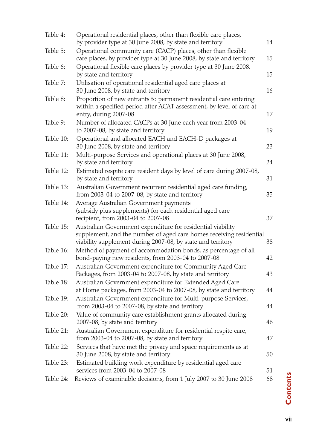| Table 4:  | Operational residential places, other than flexible care places,<br>by provider type at 30 June 2008, by state and territory                                                                      | 14 |
|-----------|---------------------------------------------------------------------------------------------------------------------------------------------------------------------------------------------------|----|
| Table 5:  | Operational community care (CACP) places, other than flexible<br>care places, by provider type at 30 June 2008, by state and territory                                                            | 15 |
| Table 6:  | Operational flexible care places by provider type at 30 June 2008,<br>by state and territory                                                                                                      | 15 |
| Table 7:  | Utilisation of operational residential aged care places at<br>30 June 2008, by state and territory                                                                                                | 16 |
| Table 8:  | Proportion of new entrants to permanent residential care entering<br>within a specified period after ACAT assessment, by level of care at<br>entry, during 2007-08                                | 17 |
| Table 9:  | Number of allocated CACPs at 30 June each year from 2003-04<br>to 2007-08, by state and territory                                                                                                 | 19 |
| Table 10: | Operational and allocated EACH and EACH-D packages at<br>30 June 2008, by state and territory                                                                                                     | 23 |
| Table 11: | Multi-purpose Services and operational places at 30 June 2008,<br>by state and territory                                                                                                          | 24 |
| Table 12: | Estimated respite care resident days by level of care during 2007-08,<br>by state and territory                                                                                                   | 31 |
| Table 13: | Australian Government recurrent residential aged care funding,<br>from 2003-04 to 2007-08, by state and territory                                                                                 | 35 |
| Table 14: | Average Australian Government payments<br>(subsidy plus supplements) for each residential aged care<br>recipient, from 2003-04 to 2007-08                                                         | 37 |
| Table 15: | Australian Government expenditure for residential viability<br>supplement, and the number of aged care homes receiving residential<br>viability supplement during 2007-08, by state and territory | 38 |
| Table 16: | Method of payment of accommodation bonds, as percentage of all<br>bond-paying new residents, from 2003-04 to 2007-08                                                                              | 42 |
| Table 17: | Australian Government expenditure for Community Aged Care<br>Packages, from 2003-04 to 2007-08, by state and territory                                                                            | 43 |
| Table 18: | Australian Government expenditure for Extended Aged Care<br>at Home packages, from 2003-04 to 2007-08, by state and territory                                                                     | 44 |
| Table 19: | Australian Government expenditure for Multi-purpose Services,<br>from 2003-04 to 2007-08, by state and territory                                                                                  | 44 |
| Table 20: | Value of community care establishment grants allocated during<br>2007-08, by state and territory                                                                                                  | 46 |
| Table 21: | Australian Government expenditure for residential respite care,<br>from 2003-04 to 2007-08, by state and territory                                                                                | 47 |
| Table 22: | Services that have met the privacy and space requirements as at<br>30 June 2008, by state and territory                                                                                           | 50 |
| Table 23: | Estimated building work expenditure by residential aged care<br>services from 2003-04 to 2007-08                                                                                                  | 51 |
| Table 24: | Reviews of examinable decisions, from 1 July 2007 to 30 June 2008                                                                                                                                 | 68 |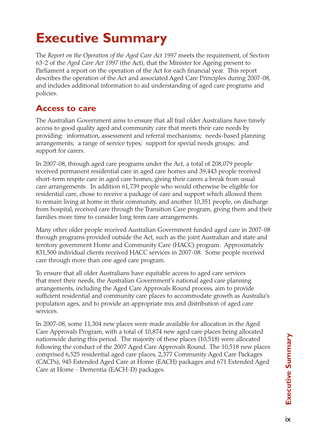# **Executive Summary**

The *Report on the Operation of the Aged Care Act 1997* meets the requirement, of Section 63-2 of the *Aged Care Act 1997* (the Act), that the Minister for Ageing present to Parliament a report on the operation of the Act for each financial year. This report describes the operation of the Act and associated Aged Care Principles during 2007-08, and includes additional information to aid understanding of aged care programs and policies.

## **Access to care**

The Australian Government aims to ensure that all frail older Australians have timely access to good quality aged and community care that meets their care needs by providing: information, assessment and referral mechanisms; needs-based planning arrangements; a range of service types; support for special needs groups; and support for carers.

In 2007-08, through aged care programs under the Act*,* a total of 208,079 people received permanent residential care in aged care homes and 39,443 people received short-term respite care in aged care homes, giving their carers a break from usual care arrangements. In addition 61,739 people who would otherwise be eligible for residential care, chose to receive a package of care and support which allowed them to remain living at home in their community, and another 10,351 people, on discharge from hospital, received care through the Transition Care program, giving them and their families more time to consider long term care arrangements.

Many other older people received Australian Government funded aged care in 2007-08 through programs provided outside the Act, such as the joint Australian and state and territory government Home and Community Care (HACC) program. Approximately 831,500 individual clients received HACC services in 2007-08. Some people received care through more than one aged care program.

To ensure that all older Australians have equitable access to aged care services that meet their needs, the Australian Government's national aged care planning arrangements, including the Aged Care Approvals Round process, aim to provide sufficient residential and community care places to accommodate growth as Australia's population ages, and to provide an appropriate mix and distribution of aged care services.

In 2007-08, some 11,304 new places were made available for allocation in the Aged Care Approvals Program, with a total of 10,874 new aged care places being allocated nationwide during this period. The majority of these places (10,518) were allocated following the conduct of the 2007 Aged Care Approvals Round. The 10,518 new places comprised 6,525 residential aged care places, 2,377 Community Aged Care Packages (CACPs), 945 Extended Aged Care at Home (EACH) packages and 671 Extended Aged Care at Home - Dementia (EACH-D) packages.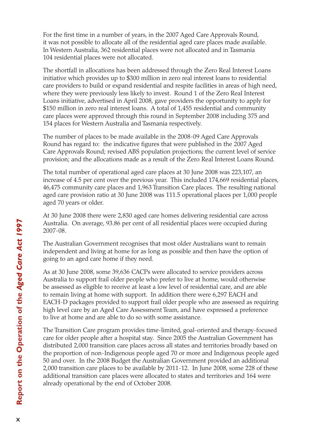For the first time in a number of years, in the 2007 Aged Care Approvals Round, it was not possible to allocate all of the residential aged care places made available. In Western Australia, 362 residential places were not allocated and in Tasmania 104 residential places were not allocated.

The shortfall in allocations has been addressed through the Zero Real Interest Loans initiative which provides up to \$300 million in zero real interest loans to residential care providers to build or expand residential and respite facilities in areas of high need, where they were previously less likely to invest. Round 1 of the Zero Real Interest Loans initiative, advertised in April 2008, gave providers the opportunity to apply for \$150 million in zero real interest loans. A total of 1,455 residential and community care places were approved through this round in September 2008 including 375 and 154 places for Western Australia and Tasmania respectively.

The number of places to be made available in the 2008-09 Aged Care Approvals Round has regard to: the indicative figures that were published in the 2007 Aged Care Approvals Round; revised ABS population projections; the current level of service provision; and the allocations made as a result of the Zero Real Interest Loans Round.

The total number of operational aged care places at 30 June 2008 was 223,107, an increase of 4.5 per cent over the previous year. This included 174,669 residential places, 46,475 community care places and 1,963 Transition Care places. The resulting national aged care provision ratio at 30 June 2008 was 111.5 operational places per 1,000 people aged 70 years or older.

At 30 June 2008 there were 2,830 aged care homes delivering residential care across Australia. On average, 93.86 per cent of all residential places were occupied during 2007-08.

The Australian Government recognises that most older Australians want to remain independent and living at home for as long as possible and then have the option of going to an aged care home if they need.

As at 30 June 2008, some 39,636 CACPs were allocated to service providers across Australia to support frail older people who prefer to live at home, would otherwise be assessed as eligible to receive at least a low level of residential care, and are able to remain living at home with support. In addition there were 6,297 EACH and EACH-D packages provided to support frail older people who are assessed as requiring high level care by an Aged Care Assessment Team, and have expressed a preference to live at home and are able to do so with some assistance.

The Transition Care program provides time-limited, goal-oriented and therapy-focused care for older people after a hospital stay. Since 2005 the Australian Government has distributed 2,000 transition care places across all states and territories broadly based on the proportion of non-Indigenous people aged 70 or more and Indigenous people aged 50 and over. In the 2008 Budget the Australian Government provided an additional 2,000 transition care places to be available by 2011-12. In June 2008, some 228 of these additional transition care places were allocated to states and territories and 164 were already operational by the end of October 2008.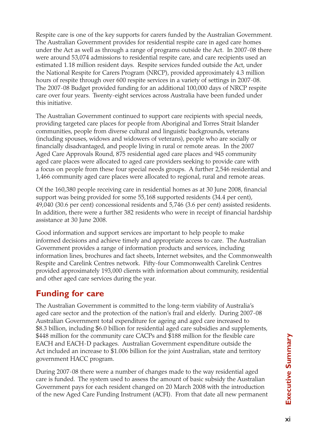Respite care is one of the key supports for carers funded by the Australian Government. The Australian Government provides for residential respite care in aged care homes under the Act as well as through a range of programs outside the Act. In 2007-08 there were around 53,074 admissions to residential respite care, and care recipients used an estimated 1.18 million resident days. Respite services funded outside the Act, under the National Respite for Carers Program (NRCP), provided approximately 4.3 million hours of respite through over 600 respite services in a variety of settings in 2007-08. The 2007-08 Budget provided funding for an additional 100,000 days of NRCP respite care over four years. Twenty-eight services across Australia have been funded under this initiative.

The Australian Government continued to support care recipients with special needs, providing targeted care places for people from Aboriginal and Torres Strait Islander communities, people from diverse cultural and linguistic backgrounds, veterans (including spouses, widows and widowers of veterans), people who are socially or financially disadvantaged, and people living in rural or remote areas. In the 2007 Aged Care Approvals Round, 875 residential aged care places and 945 community aged care places were allocated to aged care providers seeking to provide care with a focus on people from these four special needs groups. A further 2,546 residential and 1,466 community aged care places were allocated to regional, rural and remote areas.

Of the 160,380 people receiving care in residential homes as at 30 June 2008, financial support was being provided for some 55,168 supported residents (34.4 per cent), 49,040 (30.6 per cent) concessional residents and 5,746 (3.6 per cent) assisted residents. In addition, there were a further 382 residents who were in receipt of financial hardship assistance at 30 June 2008.

Good information and support services are important to help people to make informed decisions and achieve timely and appropriate access to care. The Australian Government provides a range of information products and services, including information lines, brochures and fact sheets, Internet websites, and the Commonwealth Respite and Carelink Centres network. Fifty-four Commonwealth Carelink Centres provided approximately 193,000 clients with information about community, residential and other aged care services during the year.

# **Funding for care**

The Australian Government is committed to the long-term viability of Australia's aged care sector and the protection of the nation's frail and elderly. During 2007-08 Australian Government total expenditure for ageing and aged care increased to \$8.3 billion, including \$6.0 billion for residential aged care subsidies and supplements, \$448 million for the community care CACPs and \$188 million for the flexible care EACH and EACH-D packages. Australian Government expenditure outside the Act included an increase to \$1.006 billion for the joint Australian, state and territory government HACC program.

During 2007-08 there were a number of changes made to the way residential aged care is funded. The system used to assess the amount of basic subsidy the Australian Government pays for each resident changed on 20 March 2008 with the introduction of the new Aged Care Funding Instrument (ACFI). From that date all new permanent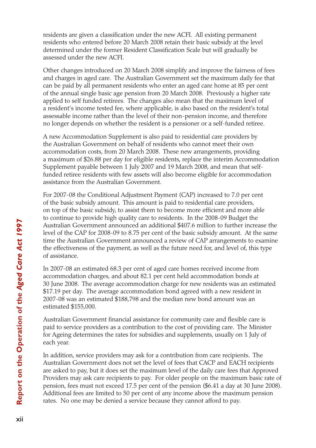residents are given a classification under the new ACFI. All existing permanent residents who entered before 20 March 2008 retain their basic subsidy at the level determined under the former Resident Classification Scale but will gradually be assessed under the new ACFI.

Other changes introduced on 20 March 2008 simplify and improve the fairness of fees and charges in aged care. The Australian Government set the maximum daily fee that can be paid by all permanent residents who enter an aged care home at 85 per cent of the annual single basic age pension from 20 March 2008. Previously a higher rate applied to self funded retirees. The changes also mean that the maximum level of a resident's income tested fee, where applicable, is also based on the resident's total assessable income rather than the level of their non-pension income, and therefore no longer depends on whether the resident is a pensioner or a self-funded retiree.

A new Accommodation Supplement is also paid to residential care providers by the Australian Government on behalf of residents who cannot meet their own accommodation costs, from 20 March 2008. These new arrangements, providing a maximum of \$26.88 per day for eligible residents, replace the interim Accommodation Supplement payable between 1 July 2007 and 19 March 2008, and mean that selffunded retiree residents with few assets will also become eligible for accommodation assistance from the Australian Government.

For 2007-08 the Conditional Adjustment Payment (CAP) increased to 7.0 per cent of the basic subsidy amount. This amount is paid to residential care providers, on top of the basic subsidy, to assist them to become more efficient and more able to continue to provide high quality care to residents. In the 2008-09 Budget the Australian Government announced an additional \$407.6 million to further increase the level of the CAP for 2008-09 to 8.75 per cent of the basic subsidy amount. At the same time the Australian Government announced a review of CAP arrangements to examine the effectiveness of the payment, as well as the future need for, and level of, this type of assistance.

In 2007-08 an estimated 68.3 per cent of aged care homes received income from accommodation charges, and about 82.1 per cent held accommodation bonds at 30 June 2008. The average accommodation charge for new residents was an estimated \$17.19 per day. The average accommodation bond agreed with a new resident in 2007-08 was an estimated \$188,798 and the median new bond amount was an estimated \$155,000.

Australian Government financial assistance for community care and flexible care is paid to service providers as a contribution to the cost of providing care. The Minister for Ageing determines the rates for subsidies and supplements, usually on 1 July of each year.

In addition, service providers may ask for a contribution from care recipients. The Australian Government does not set the level of fees that CACP and EACH recipients are asked to pay, but it does set the maximum level of the daily care fees that Approved Providers may ask care recipients to pay. For older people on the maximum basic rate of pension, fees must not exceed 17.5 per cent of the pension (\$6.41 a day at 30 June 2008). Additional fees are limited to 50 per cent of any income above the maximum pension rates. No one may be denied a service because they cannot afford to pay.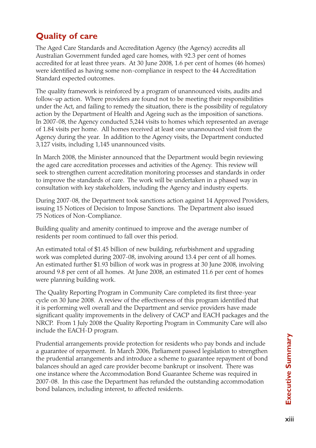# **Quality of care**

The Aged Care Standards and Accreditation Agency (the Agency) accredits all Australian Government funded aged care homes, with 92.3 per cent of homes accredited for at least three years. At 30 June 2008, 1.6 per cent of homes (46 homes) were identified as having some non-compliance in respect to the 44 Accreditation Standard expected outcomes.

The quality framework is reinforced by a program of unannounced visits, audits and follow-up action. Where providers are found not to be meeting their responsibilities under the Act, and failing to remedy the situation, there is the possibility of regulatory action by the Department of Health and Ageing such as the imposition of sanctions. In 2007-08, the Agency conducted 5,244 visits to homes which represented an average of 1.84 visits per home. All homes received at least one unannounced visit from the Agency during the year. In addition to the Agency visits, the Department conducted 3,127 visits, including 1,145 unannounced visits.

In March 2008, the Minister announced that the Department would begin reviewing the aged care accreditation processes and activities of the Agency. This review will seek to strengthen current accreditation monitoring processes and standards in order to improve the standards of care. The work will be undertaken in a phased way in consultation with key stakeholders, including the Agency and industry experts.

During 2007-08, the Department took sanctions action against 14 Approved Providers, issuing 15 Notices of Decision to Impose Sanctions. The Department also issued 75 Notices of Non-Compliance.

Building quality and amenity continued to improve and the average number of residents per room continued to fall over this period.

An estimated total of \$1.45 billion of new building, refurbishment and upgrading work was completed during 2007-08, involving around 13.4 per cent of all homes. An estimated further \$1.93 billion of work was in progress at 30 June 2008, involving around 9.8 per cent of all homes. At June 2008, an estimated 11.6 per cent of homes were planning building work.

The Quality Reporting Program in Community Care completed its first three-year cycle on 30 June 2008. A review of the effectiveness of this program identified that it is performing well overall and the Department and service providers have made significant quality improvements in the delivery of CACP and EACH packages and the NRCP. From 1 July 2008 the Quality Reporting Program in Community Care will also include the EACH-D program.

Prudential arrangements provide protection for residents who pay bonds and include a guarantee of repayment. In March 2006, Parliament passed legislation to strengthen the prudential arrangements and introduce a scheme to guarantee repayment of bond balances should an aged care provider become bankrupt or insolvent. There was one instance where the Accommodation Bond Guarantee Scheme was required in 2007-08. In this case the Department has refunded the outstanding accommodation bond balances, including interest, to affected residents.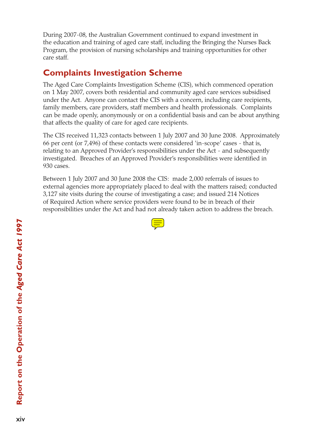During 2007-08, the Australian Government continued to expand investment in the education and training of aged care staff, including the Bringing the Nurses Back Program, the provision of nursing scholarships and training opportunities for other care staff.

## **Complaints Investigation Scheme**

The Aged Care Complaints Investigation Scheme (CIS), which commenced operation on 1 May 2007, covers both residential and community aged care services subsidised under the Act. Anyone can contact the CIS with a concern, including care recipients, family members, care providers, staff members and health professionals. Complaints can be made openly, anonymously or on a confidential basis and can be about anything that affects the quality of care for aged care recipients.

The CIS received 11,323 contacts between 1 July 2007 and 30 June 2008. Approximately 66 per cent (or 7,496) of these contacts were considered 'in-scope' cases - that is, relating to an Approved Provider's responsibilities under the Act - and subsequently investigated. Breaches of an Approved Provider's responsibilities were identified in 930 cases.

Between 1 July 2007 and 30 June 2008 the CIS: made 2,000 referrals of issues to external agencies more appropriately placed to deal with the matters raised; conducted 3,127 site visits during the course of investigating a case; and issued 214 Notices of Required Action where service providers were found to be in breach of their responsibilities under the Act and had not already taken action to address the breach.

| and the state of the state of the state of the state of the state of the state of the state of the state of th<br>______<br>and the state of the state of the state of the state of the state of the state of the state of the state of th                                       |
|----------------------------------------------------------------------------------------------------------------------------------------------------------------------------------------------------------------------------------------------------------------------------------|
|                                                                                                                                                                                                                                                                                  |
|                                                                                                                                                                                                                                                                                  |
|                                                                                                                                                                                                                                                                                  |
| ____<br><b>Contract Contract Contract Contract Contract Contract Contract Contract Contract Contract Contract Contract Co</b><br><b>Service Service</b><br><b>Contract Contract Contract Contract Contract Contract Contract Contract Contract Contract Contract Contract Co</b> |
|                                                                                                                                                                                                                                                                                  |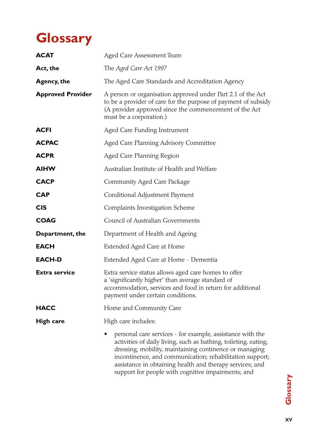# **Glossary**

| <b>ACAT</b>              | Aged Care Assessment Team                                                                                                                                                                                                                                                                                                                                            |  |  |  |  |
|--------------------------|----------------------------------------------------------------------------------------------------------------------------------------------------------------------------------------------------------------------------------------------------------------------------------------------------------------------------------------------------------------------|--|--|--|--|
| Act, the                 | The Aged Care Act 1997                                                                                                                                                                                                                                                                                                                                               |  |  |  |  |
| <b>Agency, the</b>       | The Aged Care Standards and Accreditation Agency                                                                                                                                                                                                                                                                                                                     |  |  |  |  |
| <b>Approved Provider</b> | A person or organisation approved under Part 2.1 of the Act<br>to be a provider of care for the purpose of payment of subsidy<br>(A provider approved since the commencement of the Act<br>must be a corporation.)                                                                                                                                                   |  |  |  |  |
| ACFI                     | Aged Care Funding Instrument                                                                                                                                                                                                                                                                                                                                         |  |  |  |  |
| <b>ACPAC</b>             | Aged Care Planning Advisory Committee                                                                                                                                                                                                                                                                                                                                |  |  |  |  |
| <b>ACPR</b>              | Aged Care Planning Region                                                                                                                                                                                                                                                                                                                                            |  |  |  |  |
| <b>AIHW</b>              | Australian Institute of Health and Welfare                                                                                                                                                                                                                                                                                                                           |  |  |  |  |
| <b>CACP</b>              | Community Aged Care Package                                                                                                                                                                                                                                                                                                                                          |  |  |  |  |
| CAP                      | Conditional Adjustment Payment                                                                                                                                                                                                                                                                                                                                       |  |  |  |  |
| <b>CIS</b>               | Complaints Investigation Scheme                                                                                                                                                                                                                                                                                                                                      |  |  |  |  |
| <b>COAG</b>              | Council of Australian Governments                                                                                                                                                                                                                                                                                                                                    |  |  |  |  |
| Department, the          | Department of Health and Ageing                                                                                                                                                                                                                                                                                                                                      |  |  |  |  |
| <b>EACH</b>              | Extended Aged Care at Home                                                                                                                                                                                                                                                                                                                                           |  |  |  |  |
| <b>EACH-D</b>            | Extended Aged Care at Home - Dementia                                                                                                                                                                                                                                                                                                                                |  |  |  |  |
| <b>Extra service</b>     | Extra service status allows aged care homes to offer<br>a 'significantly higher' than average standard of<br>accommodation, services and food in return for additional<br>payment under certain conditions.                                                                                                                                                          |  |  |  |  |
| <b>HACC</b>              | Home and Community Care                                                                                                                                                                                                                                                                                                                                              |  |  |  |  |
| <b>High care</b>         | High care includes:                                                                                                                                                                                                                                                                                                                                                  |  |  |  |  |
|                          | personal care services - for example, assistance with the<br>activities of daily living, such as bathing, toileting, eating,<br>dressing, mobility, maintaining continence or managing<br>incontinence, and communication; rehabilitation support;<br>assistance in obtaining health and therapy services; and<br>support for people with cognitive impairments; and |  |  |  |  |

Glossary xv**Glossary**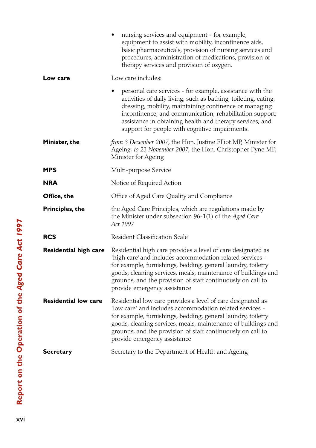|                              | nursing services and equipment - for example,<br>equipment to assist with mobility, incontinence aids,<br>basic pharmaceuticals, provision of nursing services and<br>procedures, administration of medications, provision of<br>therapy services and provision of oxygen.                                                                                       |
|------------------------------|------------------------------------------------------------------------------------------------------------------------------------------------------------------------------------------------------------------------------------------------------------------------------------------------------------------------------------------------------------------|
| Low care                     | Low care includes:                                                                                                                                                                                                                                                                                                                                               |
|                              | personal care services - for example, assistance with the<br>activities of daily living, such as bathing, toileting, eating,<br>dressing, mobility, maintaining continence or managing<br>incontinence, and communication; rehabilitation support;<br>assistance in obtaining health and therapy services; and<br>support for people with cognitive impairments. |
| Minister, the                | from 3 December 2007, the Hon. Justine Elliot MP, Minister for<br>Ageing; to 23 November 2007, the Hon. Christopher Pyne MP,<br>Minister for Ageing                                                                                                                                                                                                              |
| MPS                          | Multi-purpose Service                                                                                                                                                                                                                                                                                                                                            |
| <b>NRA</b>                   | Notice of Required Action                                                                                                                                                                                                                                                                                                                                        |
| Office, the                  | Office of Aged Care Quality and Compliance                                                                                                                                                                                                                                                                                                                       |
| <b>Principles, the</b>       | the Aged Care Principles, which are regulations made by<br>the Minister under subsection 96-1(1) of the Aged Care<br>Act 1997                                                                                                                                                                                                                                    |
| <b>RCS</b>                   | <b>Resident Classification Scale</b>                                                                                                                                                                                                                                                                                                                             |
| <b>Residential high care</b> | Residential high care provides a level of care designated as<br>'high care' and includes accommodation related services -<br>for example, furnishings, bedding, general laundry, toiletry<br>goods, cleaning services, meals, maintenance of buildings and<br>grounds, and the provision of staff continuously on call to<br>provide emergency assistance        |
| <b>Residential low care</b>  | Residential low care provides a level of care designated as<br>'low care' and includes accommodation related services -<br>for example, furnishings, bedding, general laundry, toiletry<br>goods, cleaning services, meals, maintenance of buildings and<br>grounds, and the provision of staff continuously on call to<br>provide emergency assistance          |
| Secretary                    | Secretary to the Department of Health and Ageing                                                                                                                                                                                                                                                                                                                 |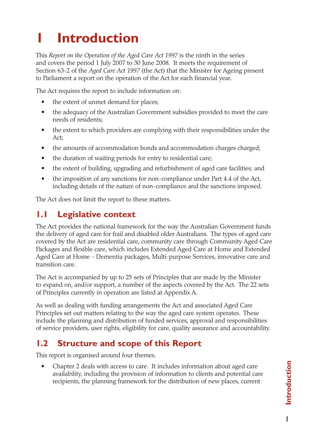# **1 Introduction**

This *Report on the Operation of the Aged Care Act 1997* is the ninth in the series and covers the period 1 July 2007 to 30 June 2008. It meets the requirement of Section 63-2 of the *Aged Care Act 1997* (the Act) that the Minister for Ageing present to Parliament a report on the operation of the Act for each financial year.

The Act requires the report to include information on:

- the extent of unmet demand for places;
- the adequacy of the Australian Government subsidies provided to meet the care needs of residents;
- the extent to which providers are complying with their responsibilities under the Act;
- the amounts of accommodation bonds and accommodation charges charged;
- the duration of waiting periods for entry to residential care;
- the extent of building, upgrading and refurbishment of aged care facilities; and
- the imposition of any sanctions for non-compliance under Part 4.4 of the Act, including details of the nature of non-compliance and the sanctions imposed.

The Act does not limit the report to these matters.

## **1.1 Legislative context**

The Act provides the national framework for the way the Australian Government funds the delivery of aged care for frail and disabled older Australians. The types of aged care covered by the Act are residential care, community care through Community Aged Care Packages and flexible care, which includes Extended Aged Care at Home and Extended Aged Care at Home - Dementia packages, Multi-purpose Services, innovative care and transition care.

The Act is accompanied by up to 25 sets of Principles that are made by the Minister to expand on, and/or support, a number of the aspects covered by the Act. The 22 sets of Principles currently in operation are listed at Appendix A.

As well as dealing with funding arrangements the Act and associated Aged Care Principles set out matters relating to the way the aged care system operates. These include the planning and distribution of funded services, approval and responsibilities of service providers, user rights, eligibility for care, quality assurance and accountability.

# **1.2 Structure and scope of this Report**

This report is organised around four themes.

Chapter 2 deals with access to care. It includes information about aged care availability, including the provision of information to clients and potential care recipients, the planning framework for the distribution of new places, current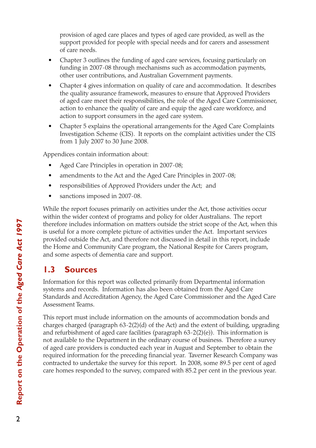provision of aged care places and types of aged care provided, as well as the support provided for people with special needs and for carers and assessment of care needs.

- Chapter 3 outlines the funding of aged care services, focusing particularly on funding in 2007-08 through mechanisms such as accommodation payments, other user contributions, and Australian Government payments.
- Chapter 4 gives information on quality of care and accommodation. It describes the quality assurance framework, measures to ensure that Approved Providers of aged care meet their responsibilities, the role of the Aged Care Commissioner, action to enhance the quality of care and equip the aged care workforce, and action to support consumers in the aged care system.
- Chapter 5 explains the operational arrangements for the Aged Care Complaints Investigation Scheme (CIS). It reports on the complaint activities under the CIS from 1 July 2007 to 30 June 2008.

Appendices contain information about:

- Aged Care Principles in operation in 2007-08;
- amendments to the Act and the Aged Care Principles in 2007-08;
- responsibilities of Approved Providers under the Act; and
- sanctions imposed in 2007-08.

While the report focuses primarily on activities under the Act, those activities occur within the wider context of programs and policy for older Australians. The report therefore includes information on matters outside the strict scope of the Act, when this is useful for a more complete picture of activities under the Act. Important services provided outside the Act, and therefore not discussed in detail in this report, include the Home and Community Care program, the National Respite for Carers program, and some aspects of dementia care and support.

# **1.3 Sources**

Information for this report was collected primarily from Departmental information systems and records. Information has also been obtained from the Aged Care Standards and Accreditation Agency, the Aged Care Commissioner and the Aged Care Assessment Teams.

This report must include information on the amounts of accommodation bonds and charges charged (paragraph 63-2(2)(d) of the Act) and the extent of building, upgrading and refurbishment of aged care facilities (paragraph  $63-2(2)(e)$ ). This information is not available to the Department in the ordinary course of business. Therefore a survey of aged care providers is conducted each year in August and September to obtain the required information for the preceding financial year. Taverner Research Company was contracted to undertake the survey for this report. In 2008, some 89.5 per cent of aged care homes responded to the survey, compared with 85.2 per cent in the previous year.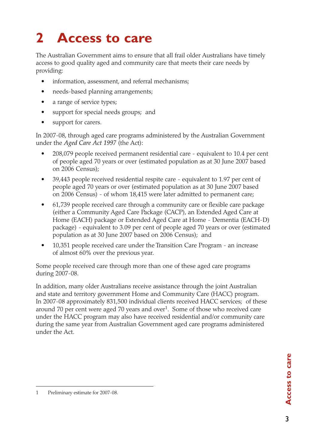# **2 Access to care**

The Australian Government aims to ensure that all frail older Australians have timely access to good quality aged and community care that meets their care needs by providing:

- information, assessment, and referral mechanisms;
- needs-based planning arrangements;
- a range of service types;
- support for special needs groups; and
- support for carers.

In 2007-08, through aged care programs administered by the Australian Government under the *Aged Care Act 1997* (the Act):

- 208,079 people received permanent residential care equivalent to 10.4 per cent of people aged 70 years or over (estimated population as at 30 June 2007 based on 2006 Census);
- 39,443 people received residential respite care equivalent to 1.97 per cent of people aged 70 years or over (estimated population as at 30 June 2007 based on 2006 Census) - of whom 18,415 were later admitted to permanent care;
- 61,739 people received care through a community care or flexible care package (either a Community Aged Care Package (CACP), an Extended Aged Care at Home (EACH) package or Extended Aged Care at Home - Dementia (EACH-D) package) - equivalent to 3.09 per cent of people aged 70 years or over (estimated population as at 30 June 2007 based on 2006 Census); and
- 10,351 people received care under the Transition Care Program an increase of almost 60% over the previous year.

Some people received care through more than one of these aged care programs during 2007-08.

In addition, many older Australians receive assistance through the joint Australian and state and territory government Home and Community Care (HACC) program. In 2007-08 approximately 831,500 individual clients received HACC services; of these around 70 per cent were aged 70 years and over<sup>1</sup>. Some of those who received care under the HACC program may also have received residential and/or community care during the same year from Australian Government aged care programs administered under the Act.

<sup>1</sup> Preliminary estimate for 2007-08.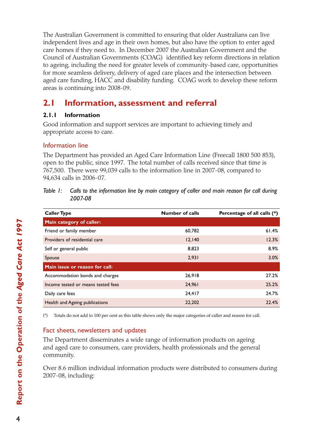The Australian Government is committed to ensuring that older Australians can live independent lives and age in their own homes, but also have the option to enter aged care homes if they need to. In December 2007 the Australian Government and the Council of Australian Governments (COAG) identified key reform directions in relation to ageing, including the need for greater levels of community-based care, opportunities for more seamless delivery, delivery of aged care places and the intersection between aged care funding, HACC and disability funding. COAG work to develop these reform areas is continuing into 2008-09.

# **2.1 Information, assessment and referral**

### **2.1.1 Information**

Good information and support services are important to achieving timely and appropriate access to care.

### Information line

The Department has provided an Aged Care Information Line (Freecall 1800 500 853), open to the public, since 1997. The total number of calls received since that time is 767,500. There were 99,039 calls to the information line in 2007-08, compared to 94,634 calls in 2006-07.

*Table 1:* Calls to the information line by main category of caller and main reason for call during *2007-08*

| <b>Caller Type</b>                 | <b>Number of calls</b> | Percentage of all calls (*) |
|------------------------------------|------------------------|-----------------------------|
| Main category of caller:           |                        |                             |
| Friend or family member            | 60.782                 | 61.4%                       |
| Providers of residential care      | 12,140                 | 12.3%                       |
| Self or general public             | 8,823                  | 8.9%                        |
| Spouse                             | 2,931                  | 3.0%                        |
| Main issue or reason for call:     |                        |                             |
| Accommodation bonds and charges    | 26,918                 | 27.2%                       |
| Income tested or means tested fees | 24,961                 | 25.2%                       |
| Daily care fees                    | 24,417                 | 24.7%                       |
| Health and Ageing publications     | 22,202                 | 22.4%                       |

(\*) Totals do not add to 100 per cent as this table shows only the major categories of caller and reason for call.

### Fact sheets, newsletters and updates

The Department disseminates a wide range of information products on ageing and aged care to consumers, care providers, health professionals and the general community.

Over 8.6 million individual information products were distributed to consumers during 2007-08, including: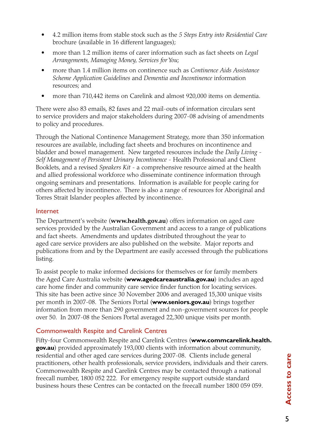- 4.2 million items from stable stock such as the 5 Steps Entry into Residential Care brochure (available in 16 different languages);
- more than 1.2 million items of carer information such as fact sheets on *Legal Arrangements, Managing Money, Services for You*;
- • more than 1.4 million items on continence such as *Continence Aids Assistance Scheme Application Guidelines* and *Dementia and Incontinence* information resources; and
- more than 710,442 items on Carelink and almost 920,000 items on dementia.

There were also 83 emails, 82 faxes and 22 mail-outs of information circulars sent to service providers and major stakeholders during 2007-08 advising of amendments to policy and procedures.

Through the National Continence Management Strategy, more than 350 information resources are available, including fact sheets and brochures on incontinence and bladder and bowel management. New targeted resources include the *Daily Living* - *Self Management of Persistent Urinary Incontinence* - Health Professional and Client Booklets, and a revised *Speakers Kit* - a comprehensive resource aimed at the health and allied professional workforce who disseminate continence information through ongoing seminars and presentations. Information is available for people caring for others affected by incontinence. There is also a range of resources for Aboriginal and Torres Strait Islander peoples affected by incontinence.

#### Internet

The Department's website (**www.health.gov.au**) offers information on aged care services provided by the Australian Government and access to a range of publications and fact sheets. Amendments and updates distributed throughout the year to aged care service providers are also published on the website. Major reports and publications from and by the Department are easily accessed through the publications listing.

To assist people to make informed decisions for themselves or for family members the Aged Care Australia website (**www.agedcareaustralia.gov.au**) includes an aged care home finder and community care service finder function for locating services. This site has been active since 30 November 2006 and averaged 15,300 unique visits per month in 2007-08. The Seniors Portal (**www.seniors.gov.au**) brings together information from more than 290 government and non-government sources for people over 50. In 2007-08 the Seniors Portal averaged 22,300 unique visits per month.

#### Commonwealth Respite and Carelink Centres

Fifty-four Commonwealth Respite and Carelink Centres (**www.commcarelink.health. gov.au**) provided approximately 193,000 clients with information about community, residential and other aged care services during 2007-08. Clients include general practitioners, other health professionals, service providers, individuals and their carers. Commonwealth Respite and Carelink Centres may be contacted through a national freecall number, 1800 052 222. For emergency respite support outside standard business hours these Centres can be contacted on the freecall number 1800 059 059.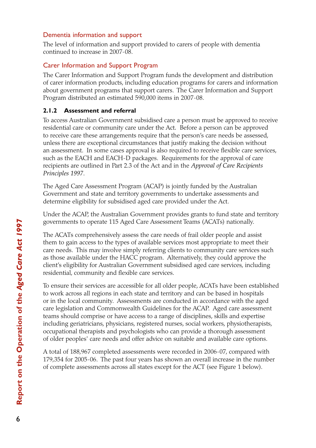#### Dementia information and support

The level of information and support provided to carers of people with dementia continued to increase in 2007-08.

### Carer Information and Support Program

The Carer Information and Support Program funds the development and distribution of carer information products, including education programs for carers and information about government programs that support carers. The Carer Information and Support Program distributed an estimated 590,000 items in 2007-08.

### **2.1.2 Assessment and referral**

To access Australian Government subsidised care a person must be approved to receive residential care or community care under the Act*.* Before a person can be approved to receive care these arrangements require that the person's care needs be assessed, unless there are exceptional circumstances that justify making the decision without an assessment. In some cases approval is also required to receive flexible care services, such as the EACH and EACH-D packages. Requirements for the approval of care recipients are outlined in Part 2.3 of the Act and in the *Approval of Care Recipients Principles 1997*.

The Aged Care Assessment Program (ACAP) is jointly funded by the Australian Government and state and territory governments to undertake assessments and determine eligibility for subsidised aged care provided under the Act.

Under the ACAP, the Australian Government provides grants to fund state and territory governments to operate 115 Aged Care Assessment Teams (ACATs) nationally.

The ACATs comprehensively assess the care needs of frail older people and assist them to gain access to the types of available services most appropriate to meet their care needs. This may involve simply referring clients to community care services such as those available under the HACC program. Alternatively, they could approve the client's eligibility for Australian Government subsidised aged care services, including residential, community and flexible care services.

To ensure their services are accessible for all older people, ACATs have been established to work across all regions in each state and territory and can be based in hospitals or in the local community. Assessments are conducted in accordance with the aged care legislation and Commonwealth Guidelines for the ACAP. Aged care assessment teams should comprise or have access to a range of disciplines, skills and expertise including geriatricians, physicians, registered nurses, social workers, physiotherapists, occupational therapists and psychologists who can provide a thorough assessment of older peoples' care needs and offer advice on suitable and available care options.

A total of 188,967 completed assessments were recorded in 2006-07, compared with 179,354 for 2005-06. The past four years has shown an overall increase in the number of complete assessments across all states except for the ACT (see Figure 1 below).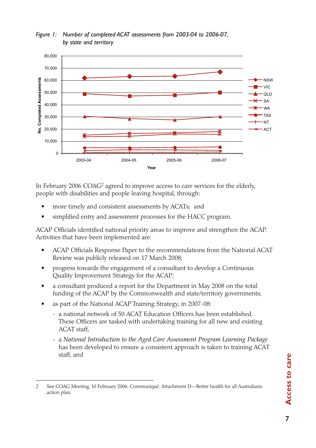

*Figure 1: Number of completed ACAT assessments from 2003-04 to 2006-07, by state and territory*

In February 2006 COAG2 agreed to improve access to care services for the elderly, people with disabilities and people leaving hospital, through:

- more timely and consistent assessments by ACATs; and
- simplified entry and assessment processes for the HACC program.

ACAP Officials identified national priority areas to improve and strengthen the ACAP. Activities that have been implemented are:

- ACAP Officials Response Paper to the recommendations from the National ACAT Review was publicly released on 17 March 2008;
- progress towards the engagement of a consultant to develop a Continuous Quality Improvement Strategy for the ACAP;
- a consultant produced a report for the Department in May 2008 on the total funding of the ACAP by the Commonwealth and state/territory governments;
- as part of the National ACAP Training Strategy, in 2007-08:
	- a national network of 50 ACAT Education Officers has been established. These Officers are tasked with undertaking training for all new and existing ACAT staff,
	- a *National Introduction to the Aged Care Assessment Program Learning Package* has been developed to ensure a consistent approach is taken to training ACAT staff, and

<sup>2</sup> See COAG Meeting, 10 February 2006. Communiqué. Attachment D—Better health for all Australians: action plan.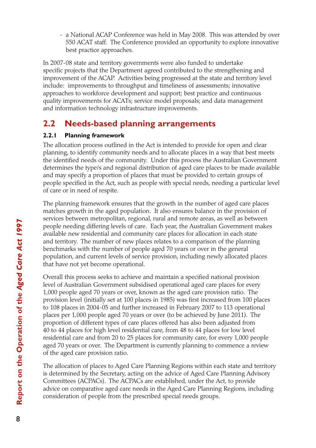- a National ACAP Conference was held in May 2008. This was attended by over 550 ACAT staff. The Conference provided an opportunity to explore innovative best practice approaches.

In 2007-08 state and territory governments were also funded to undertake specific projects that the Department agreed contributed to the strengthening and improvement of the ACAP. Activities being progressed at the state and territory level include: improvements to throughput and timeliness of assessments; innovative approaches to workforce development and support; best practice and continuous quality improvements for ACATs; service model proposals; and data management and information technology infrastructure improvements.

# **2.2 Needs-based planning arrangements**

### **2.2.1 Planning framework**

The allocation process outlined in the Act is intended to provide for open and clear planning, to identify community needs and to allocate places in a way that best meets the identified needs of the community. Under this process the Australian Government determines the type/s and regional distribution of aged care places to be made available and may specify a proportion of places that must be provided to certain groups of people specified in the Act, such as people with special needs, needing a particular level of care or in need of respite.

The planning framework ensures that the growth in the number of aged care places matches growth in the aged population. It also ensures balance in the provision of services between metropolitan, regional, rural and remote areas, as well as between people needing differing levels of care. Each year, the Australian Government makes available new residential and community care places for allocation in each state and territory. The number of new places relates to a comparison of the planning benchmarks with the number of people aged 70 years or over in the general population, and current levels of service provision, including newly allocated places that have not yet become operational.

Overall this process seeks to achieve and maintain a specified national provision level of Australian Government subsidised operational aged care places for every 1,000 people aged 70 years or over, known as the aged care provision ratio. The provision level (initially set at 100 places in 1985) was first increased from 100 places to 108 places in 2004-05 and further increased in February 2007 to 113 operational places per 1,000 people aged 70 years or over (to be achieved by June 2011). The proportion of different types of care places offered has also been adjusted from 40 to 44 places for high level residential care, from 48 to 44 places for low level residential care and from 20 to 25 places for community care, for every 1,000 people aged 70 years or over. The Department is currently planning to commence a review of the aged care provision ratio.

The allocation of places to Aged Care Planning Regions within each state and territory is determined by the Secretary, acting on the advice of Aged Care Planning Advisory Committees (ACPACs). The ACPACs are established, under the Act, to provide advice on comparative aged care needs in the Aged Care Planning Regions, including consideration of people from the prescribed special needs groups.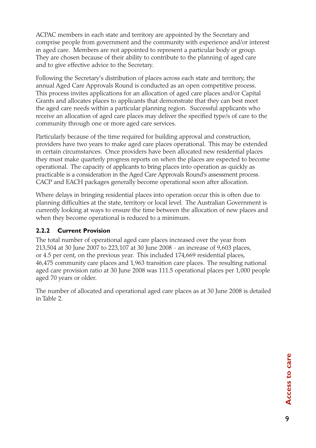ACPAC members in each state and territory are appointed by the Secretary and comprise people from government and the community with experience and/or interest in aged care. Members are not appointed to represent a particular body or group. They are chosen because of their ability to contribute to the planning of aged care and to give effective advice to the Secretary.

Following the Secretary's distribution of places across each state and territory, the annual Aged Care Approvals Round is conducted as an open competitive process. This process invites applications for an allocation of aged care places and/or Capital Grants and allocates places to applicants that demonstrate that they can best meet the aged care needs within a particular planning region. Successful applicants who receive an allocation of aged care places may deliver the specified type/s of care to the community through one or more aged care services.

Particularly because of the time required for building approval and construction, providers have two years to make aged care places operational. This may be extended in certain circumstances. Once providers have been allocated new residential places they must make quarterly progress reports on when the places are expected to become operational. The capacity of applicants to bring places into operation as quickly as practicable is a consideration in the Aged Care Approvals Round's assessment process. CACP and EACH packages generally become operational soon after allocation.

Where delays in bringing residential places into operation occur this is often due to planning difficulties at the state, territory or local level. The Australian Government is currently looking at ways to ensure the time between the allocation of new places and when they become operational is reduced to a minimum.

#### **2.2.2 Current Provision**

The total number of operational aged care places increased over the year from 213,504 at 30 June 2007 to 223,107 at 30 June 2008 - an increase of 9,603 places, or 4.5 per cent, on the previous year. This included 174,669 residential places, 46,475 community care places and 1,963 transition care places. The resulting national aged care provision ratio at 30 June 2008 was 111.5 operational places per 1,000 people aged 70 years or older.

The number of allocated and operational aged care places as at 30 June 2008 is detailed in Table 2.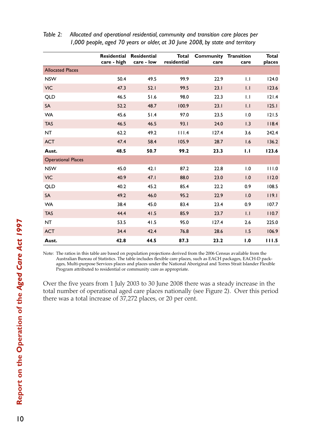|                           | Residential<br>care - high | <b>Residential</b><br>care - low | Total<br>residential | <b>Community Transition</b><br>care | care             | Total<br>places |
|---------------------------|----------------------------|----------------------------------|----------------------|-------------------------------------|------------------|-----------------|
| <b>Allocated Places</b>   |                            |                                  |                      |                                     |                  |                 |
| <b>NSW</b>                | 50.4                       | 49.5                             | 99.9                 | 22.9                                | 1.1              | 124.0           |
| <b>VIC</b>                | 47.3                       | 52.1                             | 99.5                 | 23.1                                | $\overline{1}$ . | 123.6           |
| <b>QLD</b>                | 46.5                       | 51.6                             | 98.0                 | 22.3                                | $\mathbf{L}$     | 121.4           |
| <b>SA</b>                 | 52.2                       | 48.7                             | 100.9                | 23.1                                | $\overline{1}$ . | 125.1           |
| <b>WA</b>                 | 45.6                       | 51.4                             | 97.0                 | 23.5                                | 1.0              | 121.5           |
| <b>TAS</b>                | 46.5                       | 46.5                             | 93.1                 | 24.0                                | 1.3              | 118.4           |
| NT                        | 62.2                       | 49.2                             | 111.4                | 127.4                               | 3.6              | 242.4           |
| <b>ACT</b>                | 47.4                       | 58.4                             | 105.9                | 28.7                                | 1.6              | 136.2           |
| Aust.                     | 48.5                       | 50.7                             | 99.2                 | 23.3                                | 1.1              | 123.6           |
| <b>Operational Places</b> |                            |                                  |                      |                                     |                  |                 |
| <b>NSW</b>                | 45.0                       | 42.1                             | 87.2                 | 22.8                                | 1.0              | 111.0           |
| <b>VIC</b>                | 40.9                       | 47.1                             | 88.0                 | 23.0                                | 1.0              | 112.0           |
| QLD                       | 40.2                       | 45.2                             | 85.4                 | 22,2                                | 0.9              | 108.5           |
| <b>SA</b>                 | 49.2                       | 46.0                             | 95.2                 | 22.9                                | 1.0              | 119.1           |
| <b>WA</b>                 | 38.4                       | 45.0                             | 83.4                 | 23.4                                | 0.9              | 107.7           |
| <b>TAS</b>                | 44.4                       | 41.5                             | 85.9                 | 23.7                                | 1.1              | 110.7           |
| <b>NT</b>                 | 53.5                       | 41.5                             | 95.0                 | 127.4                               | 2.6              | 225.0           |
| <b>ACT</b>                | 34.4                       | 42.4                             | 76.8                 | 28.6                                | 1.5              | 106.9           |
| Aust.                     | 42.8                       | 44.5                             | 87.3                 | 23.2                                | 1.0              | 111.5           |

| Table 2: | Allocated and operational residential, community and transition care places per |
|----------|---------------------------------------------------------------------------------|
|          | 1,000 people, aged 70 years or older, at 30 June 2008, by state and territory   |

Note: The ratios in this table are based on population projections derived from the 2006 Census available from the Australian Bureau of Statistics. The table includes flexible care places, such as EACH packages, EACH-D packages, Multi-purpose Services places and places under the National Aboriginal and Torres Strait Islander Flexible Program attributed to residential or community care as appropriate.

Over the five years from 1 July 2003 to 30 June 2008 there was a steady increase in the total number of operational aged care places nationally (see Figure 2). Over this period there was a total increase of 37,272 places, or 20 per cent.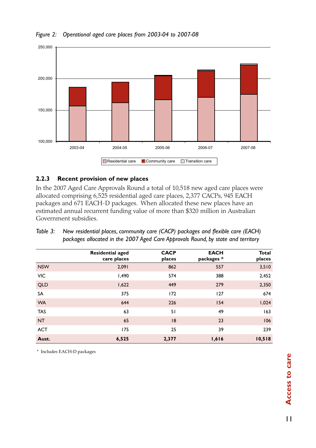

#### *Figure 2: Operational aged care places from 2003-04 to 2007-08*

#### **2.2.3 Recent provision of new places**

In the 2007 Aged Care Approvals Round a total of 10,518 new aged care places were allocated comprising 6,525 residential aged care places, 2,377 CACPs, 945 EACH packages and 671 EACH-D packages. When allocated these new places have an estimated annual recurrent funding value of more than \$320 million in Australian Government subsidies.

|            | <b>Residential aged</b><br>care places | <b>CACP</b><br>places | <b>EACH</b><br>packages * | <b>Total</b><br>places |
|------------|----------------------------------------|-----------------------|---------------------------|------------------------|
| <b>NSW</b> | 2,091                                  | 862                   | 557                       | 3,510                  |
| <b>VIC</b> | 1,490                                  | 574                   | 388                       | 2,452                  |
| <b>QLD</b> | 1,622                                  | 449                   | 279                       | 2,350                  |
| SA         | 375                                    | 172                   | 127                       | 674                    |
| <b>WA</b>  | 644                                    | 226                   | 154                       | 1,024                  |
| <b>TAS</b> | 63                                     | 51                    | 49                        | 163                    |
| <b>NT</b>  | 65                                     | 8                     | 23                        | 106                    |
| <b>ACT</b> | 175                                    | 25                    | 39                        | 239                    |
| Aust.      | 6,525                                  | 2,377                 | 1,616                     | 10,518                 |

| Table 3: New residential places, community care (CACP) packages and flexible care (EACH) |
|------------------------------------------------------------------------------------------|
| packages allocated in the 2007 Aged Care Approvals Round, by state and territory         |

\* Includes EACH-D packages

 $\mathbf{H}$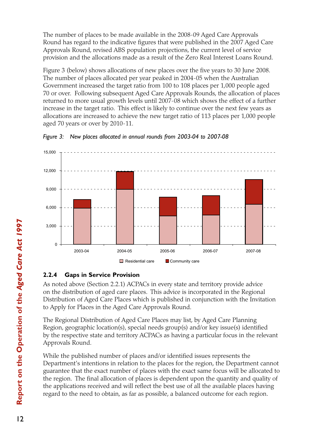The number of places to be made available in the 2008-09 Aged Care Approvals Round has regard to the indicative figures that were published in the 2007 Aged Care Approvals Round, revised ABS population projections, the current level of service provision and the allocations made as a result of the Zero Real Interest Loans Round.

Figure 3 (below) shows allocations of new places over the five years to 30 June 2008. The number of places allocated per year peaked in 2004-05 when the Australian Government increased the target ratio from 100 to 108 places per 1,000 people aged 70 or over. Following subsequent Aged Care Approvals Rounds, the allocation of places returned to more usual growth levels until 2007-08 which shows the effect of a further increase in the target ratio. This effect is likely to continue over the next few years as allocations are increased to achieve the new target ratio of 113 places per 1,000 people aged 70 years or over by 2010-11.





## **2.2.4 Gaps in Service Provision**

As noted above (Section 2.2.1) ACPACs in every state and territory provide advice on the distribution of aged care places. This advice is incorporated in the Regional Distribution of Aged Care Places which is published in conjunction with the Invitation to Apply for Places in the Aged Care Approvals Round.

The Regional Distribution of Aged Care Places may list, by Aged Care Planning Region, geographic location(s), special needs group(s) and/or key issue(s) identified by the respective state and territory ACPACs as having a particular focus in the relevant Approvals Round.

While the published number of places and/or identified issues represents the Department's intentions in relation to the places for the region, the Department cannot guarantee that the exact number of places with the exact same focus will be allocated to the region. The final allocation of places is dependent upon the quantity and quality of the applications received and will reflect the best use of all the available places having regard to the need to obtain, as far as possible, a balanced outcome for each region.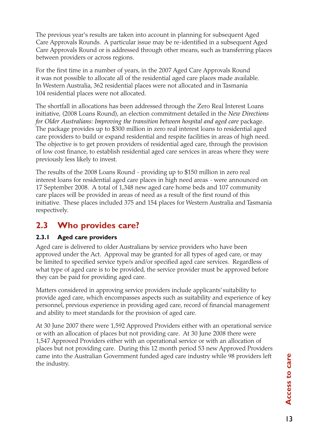The previous year's results are taken into account in planning for subsequent Aged Care Approvals Rounds. A particular issue may be re-identified in a subsequent Aged Care Approvals Round or is addressed through other means, such as transferring places between providers or across regions.

For the first time in a number of years, in the 2007 Aged Care Approvals Round it was not possible to allocate all of the residential aged care places made available. In Western Australia, 362 residential places were not allocated and in Tasmania 104 residential places were not allocated.

The shortfall in allocations has been addressed through the Zero Real Interest Loans initiative, (2008 Loans Round), an election commitment detailed in the *New Directions for Older Australians: Improving the transition between hospital and aged care* package. The package provides up to \$300 million in zero real interest loans to residential aged care providers to build or expand residential and respite facilities in areas of high need. The objective is to get proven providers of residential aged care, through the provision of low cost finance, to establish residential aged care services in areas where they were previously less likely to invest.

The results of the 2008 Loans Round - providing up to \$150 million in zero real interest loans for residential aged care places in high need areas - were announced on 17 September 2008. A total of 1,348 new aged care home beds and 107 community care places will be provided in areas of need as a result of the first round of this initiative. These places included 375 and 154 places for Western Australia and Tasmania respectively.

## **2.3 Who provides care?**

#### **2.3.1 Aged care providers**

Aged care is delivered to older Australians by service providers who have been approved under the Act. Approval may be granted for all types of aged care, or may be limited to specified service type/s and/or specified aged care services. Regardless of what type of aged care is to be provided, the service provider must be approved before they can be paid for providing aged care.

Matters considered in approving service providers include applicants' suitability to provide aged care, which encompasses aspects such as suitability and experience of key personnel, previous experience in providing aged care, record of financial management and ability to meet standards for the provision of aged care.

At 30 June 2007 there were 1,592 Approved Providers either with an operational service or with an allocation of places but not providing care. At 30 June 2008 there were 1,547 Approved Providers either with an operational service or with an allocation of places but not providing care. During this 12 month period 53 new Approved Providers came into the Australian Government funded aged care industry while 98 providers left the industry.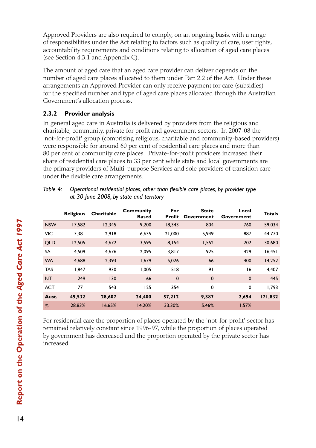Approved Providers are also required to comply, on an ongoing basis, with a range of responsibilities under the Act relating to factors such as quality of care, user rights, accountability requirements and conditions relating to allocation of aged care places (see Section 4.3.1 and Appendix C).

The amount of aged care that an aged care provider can deliver depends on the number of aged care places allocated to them under Part 2.2 of the Act. Under these arrangements an Approved Provider can only receive payment for care (subsidies) for the specified number and type of aged care places allocated through the Australian Government's allocation process.

#### **2.3.2 Provider analysis**

In general aged care in Australia is delivered by providers from the religious and charitable, community, private for profit and government sectors. In 2007-08 the 'not-for-profit' group (comprising religious, charitable and community-based providers) were responsible for around 60 per cent of residential care places and more than 80 per cent of community care places. Private-for-profit providers increased their share of residential care places to 33 per cent while state and local governments are the primary providers of Multi-purpose Services and sole providers of transition care under the flexible care arrangements.

|            | <b>Religious</b> | Charitable | Community<br><b>Based</b> | For<br>Profit | <b>State</b><br>Government | Local<br>Government | <b>Totals</b> |
|------------|------------------|------------|---------------------------|---------------|----------------------------|---------------------|---------------|
| <b>NSW</b> | 17,582           | 12,345     | 9.200                     | 18.343        | 804                        | 760                 | 59,034        |
| <b>VIC</b> | 7.381            | 2.918      | 6,635                     | 21.000        | 5.949                      | 887                 | 44.770        |
| <b>QLD</b> | 12,505           | 4,672      | 3,595                     | 8,154         | 1,552                      | 202                 | 30,680        |
| <b>SA</b>  | 4,509            | 4,676      | 2,095                     | 3,817         | 925                        | 429                 | 16,451        |
| <b>WA</b>  | 4.688            | 2.393      | 1,679                     | 5,026         | 66                         | 400                 | 14,252        |
| <b>TAS</b> | 1.847            | 930        | 1.005                     | 518           | 91                         | 16                  | 4,407         |
| <b>NT</b>  | 249              | 130        | 66                        | $\mathbf 0$   | $\mathbf 0$                | $\mathbf 0$         | 445           |
| <b>ACT</b> | 77 I             | 543        | 125                       | 354           | 0                          | 0                   | 1,793         |
| Aust.      | 49,532           | 28,607     | 24,400                    | 57,212        | 9,387                      | 2,694               | 171,832       |
| %          | 28.83%           | 16.65%     | 14.20%                    | 33.30%        | 5.46%                      | 1.57%               |               |

*Table 4: Operational residential places, other than flexible care places, by provider type at 30 June 2008, by state and territory*

For residential care the proportion of places operated by the 'not-for-profit' sector has remained relatively constant since 1996-97, while the proportion of places operated by government has decreased and the proportion operated by the private sector has increased.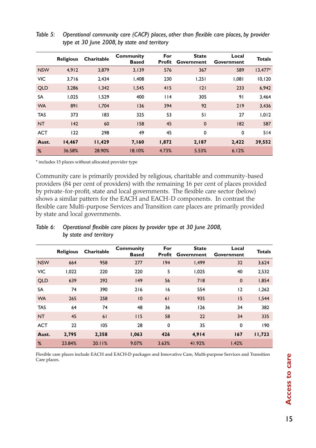|            | <b>Religious</b> | Charitable | Community<br><b>Based</b> | For<br>Profit | <b>State</b><br>Government | Local<br>Government | <b>Totals</b> |
|------------|------------------|------------|---------------------------|---------------|----------------------------|---------------------|---------------|
| <b>NSW</b> | 4,912            | 3,879      | 3,139                     | 576           | 367                        | 589                 | $13,477*$     |
| <b>VIC</b> | 3,716            | 2,434      | 1,408                     | 230           | 1,251                      | 1,081               | 10, 120       |
| <b>QLD</b> | 3.286            | 1,342      | 1,545                     | 415           | 2                          | 233                 | 6,942         |
| <b>SA</b>  | 1.025            | 1.529      | 400                       | 114           | 305                        | 91                  | 3,464         |
| <b>WA</b>  | 891              | 1.704      | 136                       | 394           | 92                         | 219                 | 3,436         |
| <b>TAS</b> | 373              | 183        | 325                       | 53            | 51                         | 27                  | 1,012         |
| <b>NT</b>  | 142              | 60         | 158                       | 45            | $\mathbf 0$                | 182                 | 587           |
| <b>ACT</b> | 122              | 298        | 49                        | 45            | 0                          | 0                   | 514           |
| Aust.      | 14,467           | 11,429     | 7,160                     | 1,872         | 2,187                      | 2,422               | 39,552        |
| %          | 36.58%           | 28.90%     | 18.10%                    | 4.73%         | 5.53%                      | 6.12%               |               |

*Table 5: Operational community care (CACP) places, other than flexible care places, by provider type at 30 June 2008, by state and territory*

\* includes 15 places without allocated provider type

Community care is primarily provided by religious, charitable and community-based providers (84 per cent of providers) with the remaining 16 per cent of places provided by private-for-profit, state and local governments. The flexible care sector (below) shows a similar pattern for the EACH and EACH-D components. In contrast the flexible care Multi-purpose Services and Transition care places are primarily provided by state and local governments.

|            | <b>Religious</b> | Charitable | <b>Community</b><br><b>Based</b> | For<br>Profit | <b>State</b><br>Government | Local<br>Government | <b>Totals</b> |
|------------|------------------|------------|----------------------------------|---------------|----------------------------|---------------------|---------------|
| <b>NSW</b> | 664              | 958        | 277                              | 194           | 1,499                      | 32                  | 3,624         |
| <b>VIC</b> | 1,022            | 220        | 220                              | 5             | 1,025                      | 40                  | 2,532         |
| <b>QLD</b> | 639              | 292        | 149                              | 56            | 718                        | $\mathbf{0}$        | 1,854         |
| <b>SA</b>  | 74               | 390        | 216                              | 16            | 554                        | $ 2\rangle$         | 1,262         |
| <b>WA</b>  | 265              | 258        | 10                               | 61            | 935                        | 15                  | 1,544         |
| <b>TAS</b> | 64               | 74         | 48                               | 36            | 126                        | 34                  | 382           |
| <b>NT</b>  | 45               | 61         | 115                              | 58            | 22                         | 34                  | 335           |
| <b>ACT</b> | 22               | 105        | 28                               | 0             | 35                         | 0                   | 190           |
| Aust.      | 2,795            | 2,358      | 1,063                            | 426           | 4,914                      | 167                 | 11,723        |
| %          | 23.84%           | 20.11%     | 9.07%                            | 3.63%         | 41.92%                     | 1.42%               |               |

*Table 6: Operational flexible care places by provider type at 30 June 2008, by state and territory*

Flexible care places include EACH and EACH-D packages and Innovative Care, Multi-purpose Services and Transition Care places.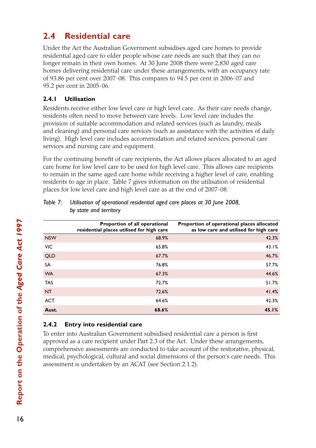# **2.4 Residential care**

Under the Act the Australian Government subsidises aged care homes to provide residential aged care to older people whose care needs are such that they can no longer remain in their own homes. At 30 June 2008 there were 2,830 aged care homes delivering residential care under these arrangements, with an occupancy rate of 93.86 per cent over 2007-08. This compares to 94.5 per cent in 2006-07 and 95.2 per cent in 2005-06.

### **2.4.1 Utilisation**

Residents receive either low level care or high level care. As their care needs change, residents often need to move between care levels. Low level care includes the provision of suitable accommodation and related services (such as laundry, meals and cleaning) and personal care services (such as assistance with the activities of daily living). High level care includes accommodation and related services, personal care services and nursing care and equipment.

For the continuing benefit of care recipients, the Act allows places allocated to an aged care home for low level care to be used for high level care. This allows care recipients to remain in the same aged care home while receiving a higher level of care, enabling residents to age in place. Table 7 gives information on the utilisation of residential places for low level care and high level care as at the end of 2007-08.

|            | Proportion of all operational<br>residential places utilised for high care | Proportion of operational places allocated<br>as low care and utilised for high care |
|------------|----------------------------------------------------------------------------|--------------------------------------------------------------------------------------|
| <b>NSW</b> | 68.9%                                                                      | 42.3%                                                                                |
| <b>VIC</b> | 65.8%                                                                      | 43.1%                                                                                |
| <b>QLD</b> | 67.7%                                                                      | 46.7%                                                                                |
| SA         | 76.8%                                                                      | 57.7%                                                                                |
| <b>WA</b>  | 67.3%                                                                      | 44.6%                                                                                |
| <b>TAS</b> | 72.7%                                                                      | 51.7%                                                                                |
| <b>NT</b>  | 72.6%                                                                      | 41.4%                                                                                |
| <b>ACT</b> | 64.6%                                                                      | 42.3%                                                                                |
| Aust.      | 68.6%                                                                      | 45.1%                                                                                |

*Table 7: Utilisation of operational residential aged care places at 30 June 2008, by state and territory* 

## **2.4.2 Entry into residential care**

To enter into Australian Government subsidised residential care a person is first approved as a care recipient under Part 2.3 of the Act. Under these arrangements, comprehensive assessments are conducted to take account of the restorative, physical, medical, psychological, cultural and social dimensions of the person's care needs. This assessment is undertaken by an ACAT (see Section 2.1.2).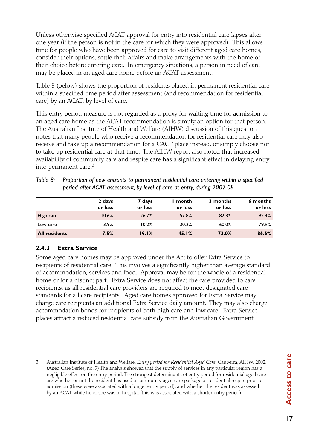Unless otherwise specified ACAT approval for entry into residential care lapses after one year (if the person is not in the care for which they were approved). This allows time for people who have been approved for care to visit different aged care homes, consider their options, settle their affairs and make arrangements with the home of their choice before entering care. In emergency situations, a person in need of care may be placed in an aged care home before an ACAT assessment.

Table 8 (below) shows the proportion of residents placed in permanent residential care within a specified time period after assessment (and recommendation for residential care) by an ACAT, by level of care.

This entry period measure is not regarded as a proxy for waiting time for admission to an aged care home as the ACAT recommendation is simply an option for that person. The Australian Institute of Health and Welfare (AIHW) discussion of this question notes that many people who receive a recommendation for residential care may also receive and take up a recommendation for a CACP place instead, or simply choose not to take up residential care at that time. The AIHW report also noted that increased availability of community care and respite care has a significant effect in delaying entry into permanent care.<sup>3</sup>

| 7 dave                                                                                                                                                                   | 7 dave | l month | 3 months | 6 month |
|--------------------------------------------------------------------------------------------------------------------------------------------------------------------------|--------|---------|----------|---------|
| Table 8: Proportion of new entrants to permanent residential care entering within a specified<br>period after ACAT assessment, by level of care at entry, during 2007-08 |        |         |          |         |

|                      | 2 days<br>or less | 7 days<br>or less | month<br>or less | 3 months<br>or less | 6 months<br>or less |
|----------------------|-------------------|-------------------|------------------|---------------------|---------------------|
| High care            | 10.6%             | 26.7%             | 57.8%            | 82.3%               | 92.4%               |
| Low care             | $3.9\%$           | 10.2%             | 30.2%            | 60.0%               | 79.9%               |
| <b>All residents</b> | 7.5%              | 19.1%             | 45.1%            | 72.0%               | 86.6%               |

### **2.4.3 Extra Service**

Some aged care homes may be approved under the Act to offer Extra Service to recipients of residential care. This involves a significantly higher than average standard of accommodation, services and food. Approval may be for the whole of a residential home or for a distinct part. Extra Service does not affect the care provided to care recipients, as all residential care providers are required to meet designated care standards for all care recipients. Aged care homes approved for Extra Service may charge care recipients an additional Extra Service daily amount. They may also charge accommodation bonds for recipients of both high care and low care. Extra Service places attract a reduced residential care subsidy from the Australian Government.

<sup>3</sup> Australian Institute of Health and Welfare. *Entry period for Residential Aged Care*. Canberra, AIHW, 2002. (Aged Care Series, no. 7) The analysis showed that the supply of services in any particular region has a negligible effect on the entry period. The strongest determinants of entry period for residential aged care are whether or not the resident has used a community aged care package or residential respite prior to admission (these were associated with a longer entry period), and whether the resident was assessed by an ACAT while he or she was in hospital (this was associated with a shorter entry period).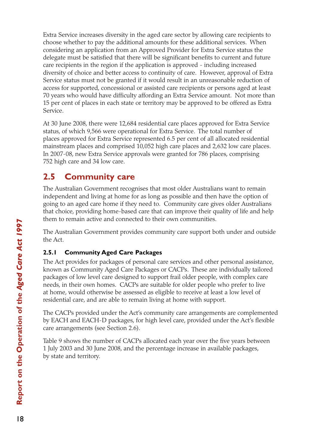Extra Service increases diversity in the aged care sector by allowing care recipients to choose whether to pay the additional amounts for these additional services. When considering an application from an Approved Provider for Extra Service status the delegate must be satisfied that there will be significant benefits to current and future care recipients in the region if the application is approved - including increased diversity of choice and better access to continuity of care. However, approval of Extra Service status must not be granted if it would result in an unreasonable reduction of access for supported, concessional or assisted care recipients or persons aged at least 70 years who would have difficulty affording an Extra Service amount. Not more than 15 per cent of places in each state or territory may be approved to be offered as Extra Service.

At 30 June 2008, there were 12,684 residential care places approved for Extra Service status, of which 9,566 were operational for Extra Service. The total number of places approved for Extra Service represented 6.5 per cent of all allocated residential mainstream places and comprised 10,052 high care places and 2,632 low care places. In 2007-08, new Extra Service approvals were granted for 786 places, comprising 752 high care and 34 low care.

# **2.5 Community care**

The Australian Government recognises that most older Australians want to remain independent and living at home for as long as possible and then have the option of going to an aged care home if they need to. Community care gives older Australians that choice, providing home-based care that can improve their quality of life and help them to remain active and connected to their own communities.

The Australian Government provides community care support both under and outside the Act.

## **2.5.1 Community Aged Care Packages**

The Act provides for packages of personal care services and other personal assistance, known as Community Aged Care Packages or CACPs. These are individually tailored packages of low level care designed to support frail older people, with complex care needs, in their own homes. CACPs are suitable for older people who prefer to live at home, would otherwise be assessed as eligible to receive at least a low level of residential care, and are able to remain living at home with support.

The CACPs provided under the Act's community care arrangements are complemented by EACH and EACH-D packages, for high level care, provided under the Act's flexible care arrangements (see Section 2.6).

Table 9 shows the number of CACPs allocated each year over the five years between 1 July 2003 and 30 June 2008, and the percentage increase in available packages, by state and territory.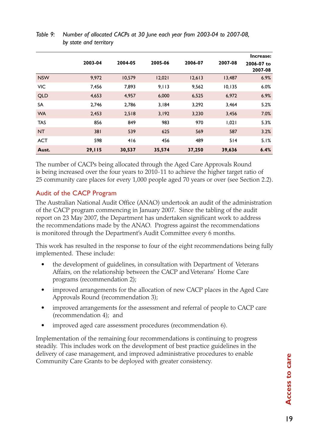|            | 2003-04 | 2004-05 | 2005-06 | 2006-07 | 2007-08 | Increase:<br>2006-07 to<br>2007-08 |
|------------|---------|---------|---------|---------|---------|------------------------------------|
| <b>NSW</b> | 9,972   | 10,579  | 12,021  | 12,613  | 13,487  | 6.9%                               |
| <b>VIC</b> | 7,456   | 7,893   | 9,113   | 9,562   | 10, 135 | 6.0%                               |
| <b>QLD</b> | 4,653   | 4,957   | 6,000   | 6,525   | 6,972   | 6.9%                               |
| <b>SA</b>  | 2.746   | 2,786   | 3,184   | 3.292   | 3,464   | 5.2%                               |
| <b>WA</b>  | 2,453   | 2,518   | 3,192   | 3,230   | 3,456   | 7.0%                               |
| <b>TAS</b> | 856     | 849     | 983     | 970     | 1,021   | 5.3%                               |
| <b>NT</b>  | 381     | 539     | 625     | 569     | 587     | 3.2%                               |
| <b>ACT</b> | 598     | 416     | 456     | 489     | 514     | 5.1%                               |
| Aust.      | 29,115  | 30,537  | 35,574  | 37,250  | 39,636  | 6.4%                               |

#### *Table 9: Number of allocated CACPs at 30 June each year from 2003-04 to 2007-08, by state and territory*

The number of CACPs being allocated through the Aged Care Approvals Round is being increased over the four years to 2010-11 to achieve the higher target ratio of 25 community care places for every 1,000 people aged 70 years or over (see Section 2.2).

## Audit of the CACP Program

The Australian National Audit Office (ANAO) undertook an audit of the administration of the CACP program commencing in January 2007. Since the tabling of the audit report on 23 May 2007, the Department has undertaken significant work to address the recommendations made by the ANAO. Progress against the recommendations is monitored through the Department's Audit Committee every 6 months.

This work has resulted in the response to four of the eight recommendations being fully implemented. These include:

- the development of guidelines, in consultation with Department of Veterans Affairs, on the relationship between the CACP and Veterans' Home Care programs (recommendation 2);
- improved arrangements for the allocation of new CACP places in the Aged Care Approvals Round (recommendation 3);
- improved arrangements for the assessment and referral of people to CACP care (recommendation 4); and
- improved aged care assessment procedures (recommendation 6).

Implementation of the remaining four recommendations is continuing to progress steadily. This includes work on the development of best practice guidelines in the delivery of case management, and improved administrative procedures to enable Community Care Grants to be deployed with greater consistency.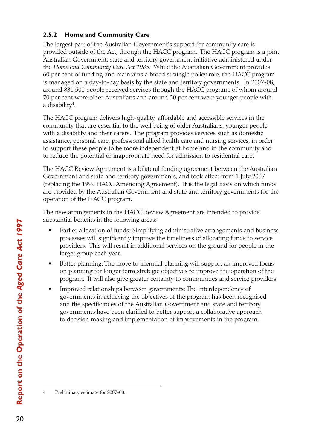### **2.5.2 Home and Community Care**

The largest part of the Australian Government's support for community care is provided outside of the Act, through the HACC program. The HACC program is a joint Australian Government, state and territory government initiative administered under the *Home and Community Care Act 1985*. While the Australian Government provides 60 per cent of funding and maintains a broad strategic policy role, the HACC program is managed on a day-to-day basis by the state and territory governments. In 2007-08, around 831,500 people received services through the HACC program, of whom around 70 per cent were older Australians and around 30 per cent were younger people with a disability<sup>4</sup>.

The HACC program delivers high-quality, affordable and accessible services in the community that are essential to the well being of older Australians, younger people with a disability and their carers. The program provides services such as domestic assistance, personal care, professional allied health care and nursing services, in order to support these people to be more independent at home and in the community and to reduce the potential or inappropriate need for admission to residential care.

The HACC Review Agreement is a bilateral funding agreement between the Australian Government and state and territory governments, and took effect from 1 July 2007 (replacing the 1999 HACC Amending Agreement). It is the legal basis on which funds are provided by the Australian Government and state and territory governments for the operation of the HACC program.

The new arrangements in the HACC Review Agreement are intended to provide substantial benefits in the following areas:

- Earlier allocation of funds: Simplifying administrative arrangements and business processes will significantly improve the timeliness of allocating funds to service providers. This will result in additional services on the ground for people in the target group each year.
- Better planning: The move to triennial planning will support an improved focus on planning for longer term strategic objectives to improve the operation of the program. It will also give greater certainty to communities and service providers.
- Improved relationships between governments: The interdependency of governments in achieving the objectives of the program has been recognised and the specific roles of the Australian Government and state and territory governments have been clarified to better support a collaborative approach to decision making and implementation of improvements in the program.

Preliminary estimate for 2007-08.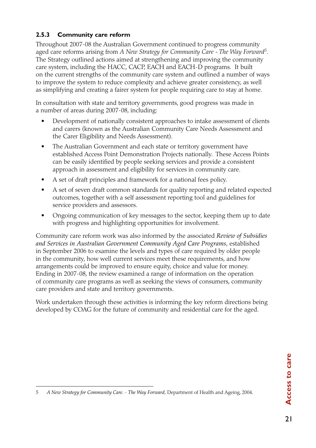# **2.5.3 Community care reform**

Throughout 2007-08 the Australian Government continued to progress community aged care reforms arising from *A New Strategy for Community Care - The Way Forward5*. The Strategy outlined actions aimed at strengthening and improving the community care system, including the HACC, CACP, EACH and EACH-D programs. It built on the current strengths of the community care system and outlined a number of ways to improve the system to reduce complexity and achieve greater consistency, as well as simplifying and creating a fairer system for people requiring care to stay at home.

In consultation with state and territory governments, good progress was made in a number of areas during 2007-08, including:

- Development of nationally consistent approaches to intake assessment of clients and carers (known as the Australian Community Care Needs Assessment and the Carer Eligibility and Needs Assessment).
- The Australian Government and each state or territory government have established Access Point Demonstration Projects nationally. These Access Points can be easily identified by people seeking services and provide a consistent approach in assessment and eligibility for services in community care.
- A set of draft principles and framework for a national fees policy.
- A set of seven draft common standards for quality reporting and related expected outcomes, together with a self assessment reporting tool and guidelines for service providers and assessors.
- Ongoing communication of key messages to the sector, keeping them up to date with progress and highlighting opportunities for involvement.

Community care reform work was also informed by the associated *Review of Subsidies and Services in Australian Government Community Aged Care Programs,* established in September 2006 to examine the levels and types of care required by older people in the community, how well current services meet these requirements, and how arrangements could be improved to ensure equity, choice and value for money. Ending in 2007-08, the review examined a range of information on the operation of community care programs as well as seeking the views of consumers, community care providers and state and territory governments.

Work undertaken through these activities is informing the key reform directions being developed by COAG for the future of community and residential care for the aged.

<sup>5</sup> *A New Strategy for Community Care*. - *The Way Forward,* Department of Health and Ageing, 2004.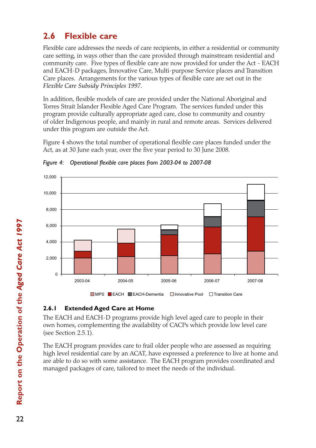# **2.6 Flexible care**

Flexible care addresses the needs of care recipients, in either a residential or community care setting, in ways other than the care provided through mainstream residential and community care. Five types of flexible care are now provided for under the Act - EACH and EACH-D packages, Innovative Care, Multi-purpose Service places and Transition Care places. Arrangements for the various types of flexible care are set out in the *Flexible Care Subsidy Principles 1997.*

In addition, flexible models of care are provided under the National Aboriginal and Torres Strait Islander Flexible Aged Care Program. The services funded under this program provide culturally appropriate aged care, close to community and country of older Indigenous people, and mainly in rural and remote areas. Services delivered under this program are outside the Act.

Figure 4 shows the total number of operational flexible care places funded under the Act, as at 30 June each year, over the five year period to 30 June 2008.



*Figure 4: Operational flexible care places from 2003-04 to 2007-08*

#### **2.6.1 Extended Aged Care at Home**

The EACH and EACH-D programs provide high level aged care to people in their own homes, complementing the availability of CACPs which provide low level care (see Section 2.5.1).

The EACH program provides care to frail older people who are assessed as requiring high level residential care by an ACAT, have expressed a preference to live at home and are able to do so with some assistance. The EACH program provides coordinated and managed packages of care, tailored to meet the needs of the individual.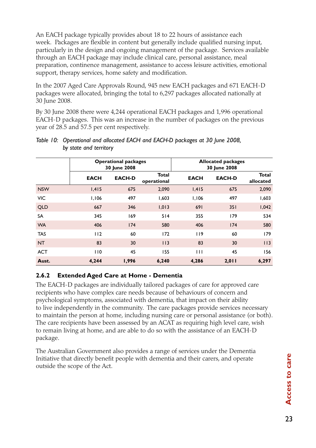An EACH package typically provides about 18 to 22 hours of assistance each week. Packages are flexible in content but generally include qualified nursing input, particularly in the design and ongoing management of the package. Services available through an EACH package may include clinical care, personal assistance, meal preparation, continence management, assistance to access leisure activities, emotional support, therapy services, home safety and modification.

In the 2007 Aged Care Approvals Round, 945 new EACH packages and 671 EACH-D packages were allocated, bringing the total to 6,297 packages allocated nationally at 30 June 2008.

By 30 June 2008 there were 4,244 operational EACH packages and 1,996 operational EACH-D packages. This was an increase in the number of packages on the previous year of 28.5 and 57.5 per cent respectively.

|            | <b>Operational packages</b><br>30 June 2008 |               | <b>Allocated packages</b><br>30 June 2008 |              |               |                           |
|------------|---------------------------------------------|---------------|-------------------------------------------|--------------|---------------|---------------------------|
|            | <b>EACH</b>                                 | <b>EACH-D</b> | <b>Total</b><br>operational               | <b>EACH</b>  | <b>EACH-D</b> | <b>Total</b><br>allocated |
| <b>NSW</b> | 1,415                                       | 675           | 2,090                                     | 1,415        | 675           | 2,090                     |
| <b>VIC</b> | 1,106                                       | 497           | 1,603                                     | 1,106        | 497           | 1,603                     |
| <b>QLD</b> | 667                                         | 346           | 1,013                                     | 691          | 351           | 1,042                     |
| <b>SA</b>  | 345                                         | 169           | 514                                       | 355          | 179           | 534                       |
| <b>WA</b>  | 406                                         | 174           | 580                                       | 406          | 174           | 580                       |
| <b>TAS</b> | 112                                         | 60            | 172                                       | 119          | 60            | 179                       |
| <b>NT</b>  | 83                                          | 30            | 113                                       | 83           | 30            | 113                       |
| <b>ACT</b> | 110                                         | 45            | 155                                       | $\mathbf{H}$ | 45            | 156                       |
| Aust.      | 4,244                                       | 1,996         | 6,240                                     | 4,286        | 2,011         | 6,297                     |

#### *Table 10: Operational and allocated EACH and EACH-D packages at 30 June 2008, by state and territory*

#### **2.6.2 Extended Aged Care at Home - Dementia**

The EACH-D packages are individually tailored packages of care for approved care recipients who have complex care needs because of behaviours of concern and psychological symptoms, associated with dementia, that impact on their ability to live independently in the community. The care packages provide services necessary to maintain the person at home, including nursing care or personal assistance (or both). The care recipients have been assessed by an ACAT as requiring high level care, wish to remain living at home, and are able to do so with the assistance of an EACH-D package.

The Australian Government also provides a range of services under the Dementia Initiative that directly benefit people with dementia and their carers, and operate outside the scope of the Act.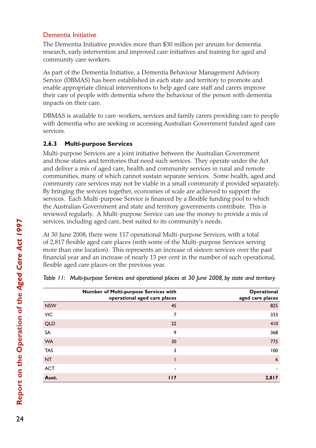### Dementia Initiative

The Dementia Initiative provides more than \$30 million per annum for dementia research, early intervention and improved care initiatives and training for aged and community care workers.

As part of the Dementia Initiative, a Dementia Behaviour Management Advisory Service (DBMAS) has been established in each state and territory to promote and enable appropriate clinical interventions to help aged care staff and carers improve their care of people with dementia where the behaviour of the person with dementia impacts on their care.

DBMAS is available to care-workers, services and family carers providing care to people with dementia who are seeking or accessing Australian Government funded aged care services.

### **2.6.3 Multi-purpose Services**

Multi-purpose Services are a joint initiative between the Australian Government and those states and territories that need such services. They operate under the Act and deliver a mix of aged care, health and community services in rural and remote communities, many of which cannot sustain separate services. Some health, aged and community care services may not be viable in a small community if provided separately. By bringing the services together, economies of scale are achieved to support the services. Each Multi-purpose Service is financed by a flexible funding pool to which the Australian Government and state and territory governments contribute. This is reviewed regularly. A Multi-purpose Service can use the money to provide a mix of services, including aged care, best suited to its community's needs.

At 30 June 2008, there were 117 operational Multi-purpose Services, with a total of 2,817 flexible aged care places (with some of the Multi-purpose Services serving more than one location). This represents an increase of sixteen services over the past financial year and an increase of nearly 13 per cent in the number of such operational, flexible aged care places on the previous year.

|            | Number of Multi-purpose Services with<br>operational aged care places | Operational<br>aged care places |
|------------|-----------------------------------------------------------------------|---------------------------------|
| <b>NSW</b> | 45                                                                    | 825                             |
| VIC        | $\overline{7}$                                                        | 333                             |
| <b>QLD</b> | 22                                                                    | 410                             |
| SA         | 9                                                                     | 368                             |
| <b>WA</b>  | 30                                                                    | 775                             |
| <b>TAS</b> | 3                                                                     | 100                             |
| <b>NT</b>  |                                                                       | 6                               |
| <b>ACT</b> | ۰                                                                     |                                 |
| Aust.      | 117                                                                   | 2,817                           |

|  |  |  | Table 11: Multi-purpose Services and operational places at 30 June 2008, by state and territory |
|--|--|--|-------------------------------------------------------------------------------------------------|
|  |  |  |                                                                                                 |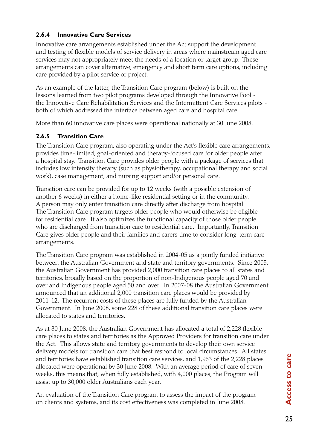#### **2.6.4 Innovative Care Services**

Innovative care arrangements established under the Act support the development and testing of flexible models of service delivery in areas where mainstream aged care services may not appropriately meet the needs of a location or target group. These arrangements can cover alternative, emergency and short term care options, including care provided by a pilot service or project.

As an example of the latter, the Transition Care program (below) is built on the lessons learned from two pilot programs developed through the Innovative Pool the Innovative Care Rehabilitation Services and the Intermittent Care Services pilots both of which addressed the interface between aged care and hospital care.

More than 60 innovative care places were operational nationally at 30 June 2008.

### **2.6.5 Transition Care**

The Transition Care program, also operating under the Act's flexible care arrangements, provides time-limited, goal-oriented and therapy-focused care for older people after a hospital stay. Transition Care provides older people with a package of services that includes low intensity therapy (such as physiotherapy, occupational therapy and social work), case management, and nursing support and/or personal care.

Transition care can be provided for up to 12 weeks (with a possible extension of another 6 weeks) in either a home-like residential setting or in the community. A person may only enter transition care directly after discharge from hospital. The Transition Care program targets older people who would otherwise be eligible for residential care. It also optimizes the functional capacity of those older people who are discharged from transition care to residential care. Importantly, Transition Care gives older people and their families and carers time to consider long-term care arrangements.

The Transition Care program was established in 2004-05 as a jointly funded initiative between the Australian Government and state and territory governments. Since 2005, the Australian Government has provided 2,000 transition care places to all states and territories, broadly based on the proportion of non-Indigenous people aged 70 and over and Indigenous people aged 50 and over. In 2007-08 the Australian Government announced that an additional 2,000 transition care places would be provided by 2011-12. The recurrent costs of these places are fully funded by the Australian Government. In June 2008, some 228 of these additional transition care places were allocated to states and territories.

As at 30 June 2008, the Australian Government has allocated a total of 2,228 flexible care places to states and territories as the Approved Providers for transition care under the Act*.* This allows state and territory governments to develop their own service delivery models for transition care that best respond to local circumstances. All states and territories have established transition care services, and 1,963 of the 2,228 places allocated were operational by 30 June 2008. With an average period of care of seven weeks, this means that, when fully established, with 4,000 places, the Program will assist up to 30,000 older Australians each year.

An evaluation of the Transition Care program to assess the impact of the program on clients and systems, and its cost effectiveness was completed in June 2008.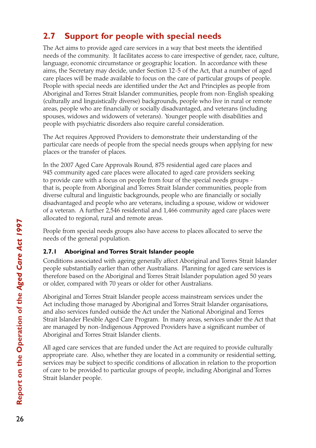# **2.7 Support for people with special needs**

The Act aims to provide aged care services in a way that best meets the identified needs of the community. It facilitates access to care irrespective of gender, race, culture, language, economic circumstance or geographic location. In accordance with these aims, the Secretary may decide, under Section 12-5 of the Act, that a number of aged care places will be made available to focus on the care of particular groups of people. People with special needs are identified under the Act and Principles as people from Aboriginal and Torres Strait Islander communities, people from non-English speaking (culturally and linguistically diverse) backgrounds, people who live in rural or remote areas, people who are financially or socially disadvantaged, and veterans (including spouses, widows and widowers of veterans). Younger people with disabilities and people with psychiatric disorders also require careful consideration.

The Act requires Approved Providers to demonstrate their understanding of the particular care needs of people from the special needs groups when applying for new places or the transfer of places.

In the 2007 Aged Care Approvals Round, 875 residential aged care places and 945 community aged care places were allocated to aged care providers seeking to provide care with a focus on people from four of the special needs groups that is, people from Aboriginal and Torres Strait Islander communities, people from diverse cultural and linguistic backgrounds, people who are financially or socially disadvantaged and people who are veterans, including a spouse, widow or widower of a veteran. A further 2,546 residential and 1,466 community aged care places were allocated to regional, rural and remote areas.

People from special needs groups also have access to places allocated to serve the needs of the general population.

# **2.7.1 Aboriginal and Torres Strait Islander people**

Conditions associated with ageing generally affect Aboriginal and Torres Strait Islander people substantially earlier than other Australians. Planning for aged care services is therefore based on the Aboriginal and Torres Strait Islander population aged 50 years or older, compared with 70 years or older for other Australians.

Aboriginal and Torres Strait Islander people access mainstream services under the Act including those managed by Aboriginal and Torres Strait Islander organisations, and also services funded outside the Act under the National Aboriginal and Torres Strait Islander Flexible Aged Care Program. In many areas, services under the Act that are managed by non-Indigenous Approved Providers have a significant number of Aboriginal and Torres Strait Islander clients.

All aged care services that are funded under the Act are required to provide culturally appropriate care. Also, whether they are located in a community or residential setting, services may be subject to specific conditions of allocation in relation to the proportion of care to be provided to particular groups of people, including Aboriginal and Torres Strait Islander people.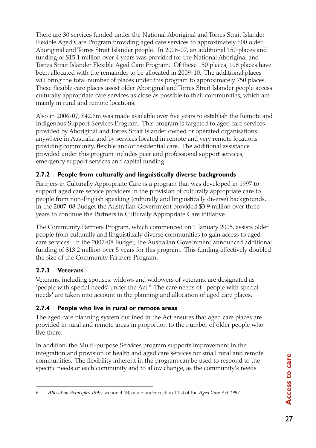There are 30 services funded under the National Aboriginal and Torres Strait Islander Flexible Aged Care Program providing aged care services to approximately 600 older Aboriginal and Torres Strait Islander people. In 2006-07, an additional 150 places and funding of \$15.1 million over 4 years was provided for the National Aboriginal and Torres Strait Islander Flexible Aged Care Program. Of these 150 places, 108 places have been allocated with the remainder to be allocated in 2009-10. The additional places will bring the total number of places under this program to approximately 750 places. These flexible care places assist older Aboriginal and Torres Strait Islander people access culturally appropriate care services as close as possible to their communities, which are mainly in rural and remote locations.

Also in 2006-07, \$42.6m was made available over five years to establish the Remote and Indigenous Support Services Program. This program is targeted to aged care services provided by Aboriginal and Torres Strait Islander owned or operated organisations anywhere in Australia and by services located in remote and very remote locations providing community, flexible and/or residential care. The additional assistance provided under this program includes peer and professional support services, emergency support services and capital funding.

# **2.7.2 People from culturally and linguistically diverse backgrounds**

Partners in Culturally Appropriate Care is a program that was developed in 1997 to support aged care service providers in the provision of culturally appropriate care to people from non-English speaking (culturally and linguistically diverse) backgrounds. In the 2007-08 Budget the Australian Government provided \$3.9 million over three years to continue the Partners in Culturally Appropriate Care initiative.

The Community Partners Program, which commenced on 1 January 2005, assists older people from culturally and linguistically diverse communities to gain access to aged care services. In the 2007-08 Budget, the Australian Government announced additional funding of \$13.2 million over 5 years for this program. This funding effectively doubled the size of the Community Partners Program.

# **2.7.3 Veterans**

Veterans, including spouses, widows and widowers of veterans, are designated as 'people with special needs' under the Act.6 The care needs of 'people with special needs' are taken into account in the planning and allocation of aged care places.

# **2.7.4 People who live in rural or remote areas**

The aged care planning system outlined in the Act ensures that aged care places are provided in rural and remote areas in proportion to the number of older people who live there.

In addition, the Multi-purpose Services program supports improvement in the integration and provision of health and aged care services for small rural and remote communities. The flexibility inherent in the program can be used to respond to the specific needs of each community and to allow change, as the community's needs

<sup>6</sup> *Allocation Principles 1997*, section 4.4B, made under section 11-3 of the *Aged Care Act 1997*.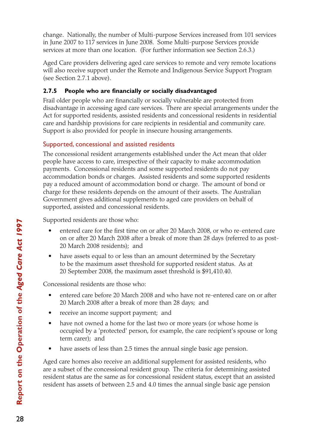change. Nationally, the number of Multi-purpose Services increased from 101 services in June 2007 to 117 services in June 2008. Some Multi-purpose Services provide services at more than one location. (For further information see Section 2.6.3.)

Aged Care providers delivering aged care services to remote and very remote locations will also receive support under the Remote and Indigenous Service Support Program (see Section 2.7.1 above).

### **2.7.5 People who are financially or socially disadvantaged**

Frail older people who are financially or socially vulnerable are protected from disadvantage in accessing aged care services. There are special arrangements under the Act for supported residents, assisted residents and concessional residents in residential care and hardship provisions for care recipients in residential and community care. Support is also provided for people in insecure housing arrangements.

# Supported, concessional and assisted residents

The concessional resident arrangements established under the Act mean that older people have access to care, irrespective of their capacity to make accommodation payments. Concessional residents and some supported residents do not pay accommodation bonds or charges. Assisted residents and some supported residents pay a reduced amount of accommodation bond or charge. The amount of bond or charge for these residents depends on the amount of their assets. The Australian Government gives additional supplements to aged care providers on behalf of supported, assisted and concessional residents.

Supported residents are those who:

- entered care for the first time on or after 20 March 2008, or who re-entered care on or after 20 March 2008 after a break of more than 28 days (referred to as post-20 March 2008 residents); and
- have assets equal to or less than an amount determined by the Secretary to be the maximum asset threshold for supported resident status. As at 20 September 2008, the maximum asset threshold is \$91,410.40.

Concessional residents are those who:

- entered care before 20 March 2008 and who have not re-entered care on or after 20 March 2008 after a break of more than 28 days; and
- receive an income support payment; and
- have not owned a home for the last two or more years (or whose home is occupied by a 'protected' person, for example, the care recipient's spouse or long term carer); and
- have assets of less than 2.5 times the annual single basic age pension.

Aged care homes also receive an additional supplement for assisted residents, who are a subset of the concessional resident group. The criteria for determining assisted resident status are the same as for concessional resident status, except that an assisted resident has assets of between 2.5 and 4.0 times the annual single basic age pension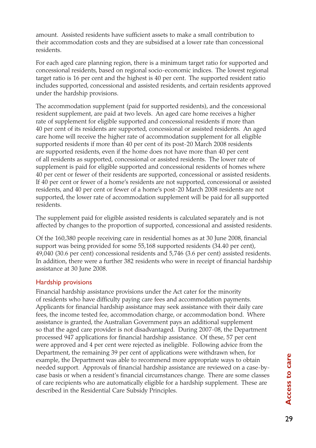amount. Assisted residents have sufficient assets to make a small contribution to their accommodation costs and they are subsidised at a lower rate than concessional residents.

For each aged care planning region, there is a minimum target ratio for supported and concessional residents, based on regional socio-economic indices. The lowest regional target ratio is 16 per cent and the highest is 40 per cent. The supported resident ratio includes supported, concessional and assisted residents, and certain residents approved under the hardship provisions.

The accommodation supplement (paid for supported residents), and the concessional resident supplement, are paid at two levels. An aged care home receives a higher rate of supplement for eligible supported and concessional residents if more than 40 per cent of its residents are supported, concessional or assisted residents. An aged care home will receive the higher rate of accommodation supplement for all eligible supported residents if more than 40 per cent of its post-20 March 2008 residents are supported residents, even if the home does not have more than 40 per cent of all residents as supported, concessional or assisted residents. The lower rate of supplement is paid for eligible supported and concessional residents of homes where 40 per cent or fewer of their residents are supported, concessional or assisted residents. If 40 per cent or fewer of a home's residents are not supported, concessional or assisted residents, and 40 per cent or fewer of a home's post-20 March 2008 residents are not supported, the lower rate of accommodation supplement will be paid for all supported residents.

The supplement paid for eligible assisted residents is calculated separately and is not affected by changes to the proportion of supported, concessional and assisted residents.

Of the 160,380 people receiving care in residential homes as at 30 June 2008, financial support was being provided for some 55,168 supported residents (34.40 per cent), 49,040 (30.6 per cent) concessional residents and 5,746 (3.6 per cent) assisted residents. In addition, there were a further 382 residents who were in receipt of financial hardship assistance at 30 June 2008.

#### Hardship provisions

Financial hardship assistance provisions under the Act cater for the minority of residents who have difficulty paying care fees and accommodation payments. Applicants for financial hardship assistance may seek assistance with their daily care fees, the income tested fee, accommodation charge, or accommodation bond. Where assistance is granted, the Australian Government pays an additional supplement so that the aged care provider is not disadvantaged. During 2007-08, the Department processed 947 applications for financial hardship assistance. Of these, 57 per cent were approved and 4 per cent were rejected as ineligible. Following advice from the Department, the remaining 39 per cent of applications were withdrawn when, for example, the Department was able to recommend more appropriate ways to obtain needed support. Approvals of financial hardship assistance are reviewed on a case-bycase basis or when a resident's financial circumstances change. There are some classes of care recipients who are automatically eligible for a hardship supplement. These are described in the Residential Care Subsidy Principles.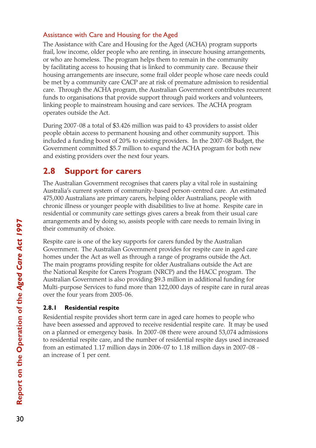### Assistance with Care and Housing for the Aged

The Assistance with Care and Housing for the Aged (ACHA) program supports frail, low income, older people who are renting, in insecure housing arrangements, or who are homeless. The program helps them to remain in the community by facilitating access to housing that is linked to community care. Because their housing arrangements are insecure, some frail older people whose care needs could be met by a community care CACP are at risk of premature admission to residential care. Through the ACHA program, the Australian Government contributes recurrent funds to organisations that provide support through paid workers and volunteers, linking people to mainstream housing and care services. The ACHA program operates outside the Act.

During 2007-08 a total of \$3.426 million was paid to 43 providers to assist older people obtain access to permanent housing and other community support. This included a funding boost of 20% to existing providers. In the 2007-08 Budget, the Government committed \$5.7 million to expand the ACHA program for both new and existing providers over the next four years*.*

# **2.8 Support for carers**

The Australian Government recognises that carers play a vital role in sustaining Australia's current system of community-based person-centred care. An estimated 475,000 Australians are primary carers, helping older Australians, people with chronic illness or younger people with disabilities to live at home. Respite care in residential or community care settings gives carers a break from their usual care arrangements and by doing so, assists people with care needs to remain living in their community of choice.

Respite care is one of the key supports for carers funded by the Australian Government. The Australian Government provides for respite care in aged care homes under the Act as well as through a range of programs outside the Act. The main programs providing respite for older Australians outside the Act are the National Respite for Carers Program (NRCP) and the HACC program. The Australian Government is also providing \$9.3 million in additional funding for Multi-purpose Services to fund more than 122,000 days of respite care in rural areas over the four years from 2005-06.

# **2.8.1 Residential respite**

Residential respite provides short term care in aged care homes to people who have been assessed and approved to receive residential respite care. It may be used on a planned or emergency basis. In 2007-08 there were around 53,074 admissions to residential respite care, and the number of residential respite days used increased from an estimated 1.17 million days in 2006-07 to 1.18 million days in 2007-08 an increase of 1 per cent.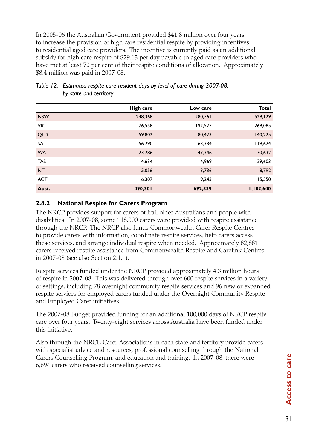In 2005-06 the Australian Government provided \$41.8 million over four years to increase the provision of high care residential respite by providing incentives to residential aged care providers. The incentive is currently paid as an additional subsidy for high care respite of \$29.13 per day payable to aged care providers who have met at least 70 per cent of their respite conditions of allocation. Approximately \$8.4 million was paid in 2007-08.

|            | High care | Low care | <b>Total</b> |
|------------|-----------|----------|--------------|
| <b>NSW</b> | 248,368   | 280,761  | 529,129      |
| VIC        | 76,558    | 192,527  | 269,085      |
| <b>QLD</b> | 59,802    | 80,423   | 140,225      |
| SA         | 56,290    | 63,334   | 119,624      |
| <b>WA</b>  | 23,286    | 47,346   | 70,632       |
| <b>TAS</b> | 14,634    | 14,969   | 29,603       |
| <b>NT</b>  | 5,056     | 3,736    | 8,792        |
| <b>ACT</b> | 6,307     | 9,243    | 15,550       |
| Aust.      | 490,301   | 692,339  | 1,182,640    |

#### *Table 12: Estimated respite care resident days by level of care during 2007-08, by state and territory*

#### **2.8.2 National Respite for Carers Program**

The NRCP provides support for carers of frail older Australians and people with disabilities. In 2007-08, some 118,000 carers were provided with respite assistance through the NRCP. The NRCP also funds Commonwealth Carer Respite Centres to provide carers with information, coordinate respite services, help carers access these services, and arrange individual respite when needed. Approximately 82,881 carers received respite assistance from Commonwealth Respite and Carelink Centres in 2007-08 (see also Section 2.1.1).

Respite services funded under the NRCP provided approximately 4.3 million hours of respite in 2007-08. This was delivered through over 600 respite services in a variety of settings, including 78 overnight community respite services and 96 new or expanded respite services for employed carers funded under the Overnight Community Respite and Employed Carer initiatives.

The 2007-08 Budget provided funding for an additional 100,000 days of NRCP respite care over four years. Twenty-eight services across Australia have been funded under this initiative.

Also through the NRCP, Carer Associations in each state and territory provide carers with specialist advice and resources, professional counselling through the National Carers Counselling Program, and education and training. In 2007-08, there were 6,694 carers who received counselling services.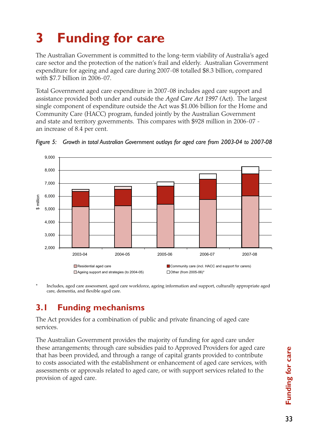# **3 Funding for care**

The Australian Government is committed to the long-term viability of Australia's aged care sector and the protection of the nation's frail and elderly. Australian Government expenditure for ageing and aged care during 2007-08 totalled \$8.3 billion, compared with \$7.7 billion in 2006-07.

Total Government aged care expenditure in 2007-08 includes aged care support and assistance provided both under and outside the *Aged Care Act 1997 (*Act). The largest single component of expenditure outside the Act was \$1.006 billion for the Home and Community Care (HACC) program, funded jointly by the Australian Government and state and territory governments. This compares with \$928 million in 2006-07 an increase of 8.4 per cent.



*Figure 5: Growth in total Australian Government outlays for aged care from 2003-04 to 2007-08*

\* Includes, aged care assessment, aged care workforce, ageing information and support, culturally appropriate aged care, dementia, and flexible aged care.

# **3.1 Funding mechanisms**

The Act provides for a combination of public and private financing of aged care services.

The Australian Government provides the majority of funding for aged care under these arrangements; through care subsidies paid to Approved Providers for aged care that has been provided, and through a range of capital grants provided to contribute to costs associated with the establishment or enhancement of aged care services, with assessments or approvals related to aged care, or with support services related to the provision of aged care.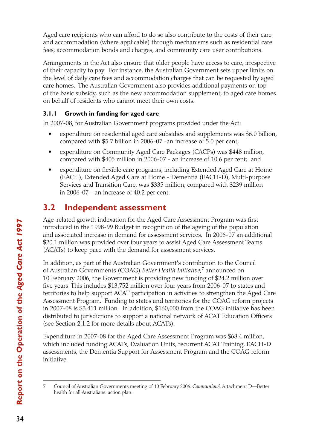Aged care recipients who can afford to do so also contribute to the costs of their care and accommodation (where applicable) through mechanisms such as residential care fees, accommodation bonds and charges, and community care user contributions.

Arrangements in the Act also ensure that older people have access to care, irrespective of their capacity to pay. For instance, the Australian Government sets upper limits on the level of daily care fees and accommodation charges that can be requested by aged care homes. The Australian Government also provides additional payments on top of the basic subsidy, such as the new accommodation supplement, to aged care homes on behalf of residents who cannot meet their own costs.

# **3.1.1 Growth in funding for aged care**

In 2007-08, for Australian Government programs provided under the Act:

- expenditure on residential aged care subsidies and supplements was \$6.0 billion, compared with \$5.7 billion in 2006-07 -an increase of 5.0 per cent;
- • expenditure on Community Aged Care Packages (CACPs) was \$448 million, compared with \$405 million in 2006-07 - an increase of 10.6 per cent; and
- expenditure on flexible care programs, including Extended Aged Care at Home (EACH), Extended Aged Care at Home - Dementia (EACH-D), Multi-purpose Services and Transition Care, was \$335 million, compared with \$239 million in 2006-07 - an increase of 40.2 per cent.

# **3.2 Independent assessment**

Age-related growth indexation for the Aged Care Assessment Program was first introduced in the 1998-99 Budget in recognition of the ageing of the population and associated increase in demand for assessment services. In 2006-07 an additional \$20.1 million was provided over four years to assist Aged Care Assessment Teams (ACATs) to keep pace with the demand for assessment services.

In addition, as part of the Australian Government's contribution to the Council of Australian Governments (COAG) *Better Health Initiative*, 7 announced on 10 February 2006, the Government is providing new funding of \$24.2 million over five years. This includes \$13.752 million over four years from 2006-07 to states and territories to help support ACAT participation in activities to strengthen the Aged Care Assessment Program. Funding to states and territories for the COAG reform projects in 2007-08 is \$3.411 million. In addition, \$160,000 from the COAG initiative has been distributed to jurisdictions to support a national network of ACAT Education Officers (see Section 2.1.2 for more details about ACATs).

Expenditure in 2007-08 for the Aged Care Assessment Program was \$68.4 million, which included funding ACATs, Evaluation Units, recurrent ACAT Training, EACH-D assessments, the Dementia Support for Assessment Program and the COAG reform initiative.

<sup>7</sup> Council of Australian Governments meeting of 10 February 2006. *Communiqué*. Attachment D—Better health for all Australians: action plan.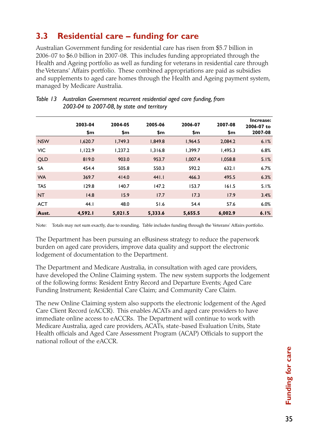# **3.3 Residential care – funding for care**

Australian Government funding for residential care has risen from \$5.7 billion in 2006-07 to \$6.0 billion in 2007-08. This includes funding appropriated through the Health and Ageing portfolio as well as funding for veterans in residential care through the Veterans' Affairs portfolio. These combined appropriations are paid as subsidies and supplements to aged care homes through the Health and Ageing payment system, managed by Medicare Australia.

|            | 2003-04<br>\$m | 2004-05<br>\$m | 2005-06<br>\$m | 2006-07<br>\$m | 2007-08<br>\$m | Increase:<br>2006-07 to<br>2007-08 |
|------------|----------------|----------------|----------------|----------------|----------------|------------------------------------|
| <b>NSW</b> | 1,620.7        | 1,749.3        | 1,849.8        | 1,964.5        | 2,084.2        | 6.1%                               |
| <b>VIC</b> | 1,122.9        | 1,237.2        | 1,316.8        | 1.399.7        | 1,495.3        | 6.8%                               |
| <b>QLD</b> | 819.0          | 903.0          | 953.7          | 1,007.4        | 1,058.8        | 5.1%                               |
| SA         | 454.4          | 505.8          | 550.3          | 592.2          | 632.1          | 6.7%                               |
| <b>WA</b>  | 369.7          | 414.0          | 441.1          | 466.3          | 495.5          | 6.3%                               |
| <b>TAS</b> | 129.8          | 140.7          | 147.2          | 153.7          | 161.5          | 5.1%                               |
| <b>NT</b>  | 14.8           | 15.9           | 17.7           | 17.3           | 17.9           | 3.4%                               |
| <b>ACT</b> | 44.1           | 48.0           | 51.6           | 54.4           | 57.6           | 6.0%                               |
| Aust.      | 4,592.I        | 5,021.5        | 5,333.6        | 5,655.5        | 6,002.9        | 6.1%                               |

#### *Table 13 Australian Government recurrent residential aged care funding, from 2003-04 to 2007-08, by state and territory*

Note: Totals may not sum exactly, due to rounding. Table includes funding through the Veterans' Affairs portfolio.

The Department has been pursuing an eBusiness strategy to reduce the paperwork burden on aged care providers, improve data quality and support the electronic lodgement of documentation to the Department.

The Department and Medicare Australia, in consultation with aged care providers, have developed the Online Claiming system. The new system supports the lodgement of the following forms: Resident Entry Record and Departure Events; Aged Care Funding Instrument; Residential Care Claim; and Community Care Claim.

The new Online Claiming system also supports the electronic lodgement of the Aged Care Client Record (eACCR). This enables ACATs and aged care providers to have immediate online access to eACCRs. The Department will continue to work with Medicare Australia, aged care providers, ACATs, state-based Evaluation Units, State Health officials and Aged Care Assessment Program (ACAP) Officials to support the national rollout of the eACCR.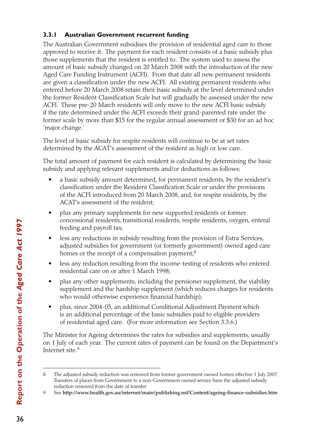# **3.3.1 Australian Government recurrent funding**

The Australian Government subsidises the provision of residential aged care to those approved to receive it. The payment for each resident consists of a basic subsidy plus those supplements that the resident is entitled to. The system used to assess the amount of basic subsidy changed on 20 March 2008 with the introduction of the new Aged Care Funding Instrument (ACFI). From that date all new permanent residents are given a classification under the new ACFI. All existing permanent residents who entered before 20 March 2008 retain their basic subsidy at the level determined under the former Resident Classification Scale but will gradually be assessed under the new ACFI. These pre-20 March residents will only move to the new ACFI basic subsidy if the rate determined under the ACFI exceeds their grand-parented rate under the former scale by more than \$15 for the regular annual assessment or \$30 for an ad hoc 'major change.'

The level of basic subsidy for respite residents will continue to be at set rates determined by the ACAT's assessment of the resident as high or low care.

The total amount of payment for each resident is calculated by determining the basic subsidy and applying relevant supplements and/or deductions as follows:

- a basic subsidy amount determined, for permanent residents, by the resident's classification under the Resident Classification Scale or under the provisions of the ACFI introduced from 20 March 2008, and, for respite residents, by the ACAT's assessment of the resident;
- plus any primary supplements for new supported residents or former concessional residents, transitional residents, respite residents, oxygen, enteral feeding and payroll tax;
- less any reductions in subsidy resulting from the provision of Extra Services, adjusted subsidies for government (or formerly government) owned aged care homes or the receipt of a compensation payment;<sup>8</sup>
- less any reduction resulting from the income-testing of residents who entered residential care on or after 1 March 1998;
- plus any other supplements, including the pensioner supplement, the viability supplement and the hardship supplement (which reduces charges for residents who would otherwise experience financial hardship);
- plus, since 2004-05, an additional Conditional Adjustment Payment which is an additional percentage of the basic subsidies paid to eligible providers of residential aged care. (For more information see Section 3.3.6.)

The Minister for Ageing determines the rates for subsidies and supplements, usually on 1 July of each year. The current rates of payment can be found on the Department's Internet site.<sup>9</sup>

<sup>8</sup> The adjusted subsidy reduction was removed from former government owned homes effective 1 July 2007. Transfers of places from Government to a non-Government owned service have the adjusted subsidy reduction removed from the date of transfer

<sup>9</sup> See http://www.health.gov.au/internet/main/publishing.nsf/Content/ageing-finance-subsidies.htm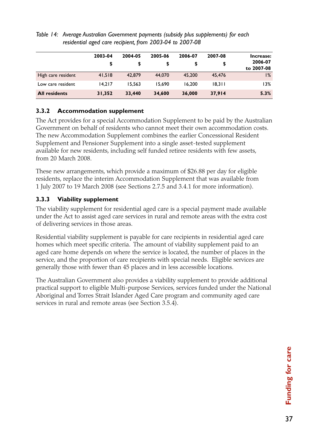|                      | 2003-04<br>\$ | 2004-05 | 2005-06 | 2006-07 | 2007-08<br>\$ | Increase:<br>2006-07 |
|----------------------|---------------|---------|---------|---------|---------------|----------------------|
| High care resident   | 41.518        | 42,879  | 44,070  | 45,200  | 45.476        | to 2007-08<br>$1\%$  |
| Low care resident    | 14.217        | 15.563  | 15.690  | 16.200  | 18.311        | l 3%                 |
| <b>All residents</b> | 31,352        | 33,440  | 34,600  | 36,000  | 37.914        | 5.3%                 |

*Table 14: Average Australian Government payments (subsidy plus supplements) for each residential aged care recipient, from 2003-04 to 2007-08*

#### **3.3.2 Accommodation supplement**

The Act provides for a special Accommodation Supplement to be paid by the Australian Government on behalf of residents who cannot meet their own accommodation costs. The new Accommodation Supplement combines the earlier Concessional Resident Supplement and Pensioner Supplement into a single asset-tested supplement available for new residents, including self funded retiree residents with few assets, from 20 March 2008.

These new arrangements, which provide a maximum of \$26.88 per day for eligible residents, replace the interim Accommodation Supplement that was available from 1 July 2007 to 19 March 2008 (see Sections 2.7.5 and 3.4.1 for more information).

### **3.3.3 Viability supplement**

The viability supplement for residential aged care is a special payment made available under the Act to assist aged care services in rural and remote areas with the extra cost of delivering services in those areas.

Residential viability supplement is payable for care recipients in residential aged care homes which meet specific criteria. The amount of viability supplement paid to an aged care home depends on where the service is located, the number of places in the service, and the proportion of care recipients with special needs. Eligible services are generally those with fewer than 45 places and in less accessible locations.

The Australian Government also provides a viability supplement to provide additional practical support to eligible Multi-purpose Services, services funded under the National Aboriginal and Torres Strait Islander Aged Care program and community aged care services in rural and remote areas (see Section 3.5.4).

37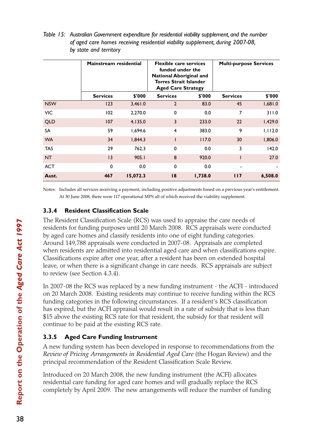|            | Mainstream residential |          | <b>Flexible care services</b><br>funded under the<br><b>National Aboriginal and</b><br><b>Torres Strait Islander</b><br><b>Aged Care Strategy</b> |         | <b>Multi-purpose Services</b> |         |
|------------|------------------------|----------|---------------------------------------------------------------------------------------------------------------------------------------------------|---------|-------------------------------|---------|
|            | <b>Services</b>        | \$'000   | <b>Services</b>                                                                                                                                   | \$'000  | <b>Services</b>               | \$'000  |
| <b>NSW</b> | 123                    | 3,461.0  | $\overline{2}$                                                                                                                                    | 83.0    | 45                            | 1,681.0 |
| <b>VIC</b> | 102                    | 2,270.0  | 0                                                                                                                                                 | 0.0     | 7                             | 311.0   |
| <b>QLD</b> | 107                    | 4,135.0  | 3                                                                                                                                                 | 233.0   | 22                            | 1,429.0 |
| SA         | 59                     | 1,694.6  | 4                                                                                                                                                 | 383.0   | 9                             | 1,112.0 |
| <b>WA</b>  | 34                     | 1,844.3  |                                                                                                                                                   | 117.0   | 30                            | 1,806.0 |
| <b>TAS</b> | 29                     | 762.3    | $\mathbf 0$                                                                                                                                       | 0.0     | 3                             | 142.0   |
| <b>NT</b>  | 3                      | 905.1    | 8                                                                                                                                                 | 920.0   |                               | 27.0    |
| <b>ACT</b> | 0                      | 0.0      | $\mathbf 0$                                                                                                                                       | 0.0     | $\overline{\phantom{a}}$      |         |
| Aust.      | 467                    | 15,072.3 | 18                                                                                                                                                | 1,738.0 | 117                           | 6,508.0 |

*Table 15: Australian Government expenditure for residential viability supplement, and the number of aged care homes receiving residential viability supplement, during 2007-08, by state and territory*

Notes: Includes all services receiving a payment, including positive adjustments based on a previous year's entitlement. At 30 June 2008, there were 117 operational MPS all of which received the viability supplement.

# **3.3.4 Resident Classification Scale**

The Resident Classification Scale (RCS) was used to appraise the care needs of residents for funding purposes until 20 March 2008. RCS appraisals were conducted by aged care homes and classify residents into one of eight funding categories. Around 149,788 appraisals were conducted in 2007-08. Appraisals are completed when residents are admitted into residential aged care and when classifications expire. Classifications expire after one year, after a resident has been on extended hospital leave, or when there is a significant change in care needs. RCS appraisals are subject to review (see Section 4.3.4).

In 2007-08 the RCS was replaced by a new funding instrument - the ACFI - introduced on 20 March 2008. Existing residents may continue to receive funding within the RCS funding categories in the following circumstances. If a resident's RCS classification has expired, but the ACFI appraisal would result in a rate of subsidy that is less than \$15 above the existing RCS rate for that resident, the subsidy for that resident will continue to be paid at the existing RCS rate.

# **3.3.5 Aged Care Funding Instrument**

A new funding system has been developed in response to recommendations from the *Review of Pricing Arrangements in Residential Aged Care* (the Hogan Review) and the principal recommendation of the Resident Classification Scale Review.

Introduced on 20 March 2008, the new funding instrument (the ACFI) allocates residential care funding for aged care homes and will gradually replace the RCS completely by April 2009. The new arrangements will reduce the number of funding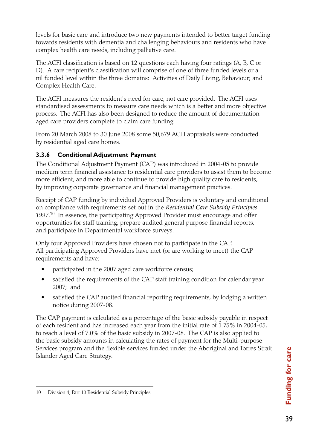levels for basic care and introduce two new payments intended to better target funding towards residents with dementia and challenging behaviours and residents who have complex health care needs, including palliative care.

The ACFI classification is based on 12 questions each having four ratings (A, B, C or D). A care recipient's classification will comprise of one of three funded levels or a nil funded level within the three domains: Activities of Daily Living, Behaviour; and Complex Health Care.

The ACFI measures the resident's need for care, not care provided. The ACFI uses standardised assessments to measure care needs which is a better and more objective process. The ACFI has also been designed to reduce the amount of documentation aged care providers complete to claim care funding.

From 20 March 2008 to 30 June 2008 some 50,679 ACFI appraisals were conducted by residential aged care homes.

# **3.3.6 Conditional Adjustment Payment**

The Conditional Adjustment Payment (CAP) was introduced in 2004-05 to provide medium term financial assistance to residential care providers to assist them to become more efficient, and more able to continue to provide high quality care to residents, by improving corporate governance and financial management practices.

Receipt of CAP funding by individual Approved Providers is voluntary and conditional on compliance with requirements set out in the *Residential Care Subsidy Principles 1997*. 10 In essence, the participating Approved Provider must encourage and offer opportunities for staff training, prepare audited general purpose financial reports, and participate in Departmental workforce surveys.

Only four Approved Providers have chosen not to participate in the CAP. All participating Approved Providers have met (or are working to meet) the CAP requirements and have:

- participated in the 2007 aged care workforce census;
- satisfied the requirements of the CAP staff training condition for calendar year 2007; and
- satisfied the CAP audited financial reporting requirements, by lodging a written notice during 2007-08.

The CAP payment is calculated as a percentage of the basic subsidy payable in respect of each resident and has increased each year from the initial rate of 1.75% in 2004-05, to reach a level of 7.0% of the basic subsidy in 2007-08. The CAP is also applied to the basic subsidy amounts in calculating the rates of payment for the Multi-purpose Services program and the flexible services funded under the Aboriginal and Torres Strait Islander Aged Care Strategy.

<sup>10</sup> Division 4, Part 10 Residential Subsidy Principles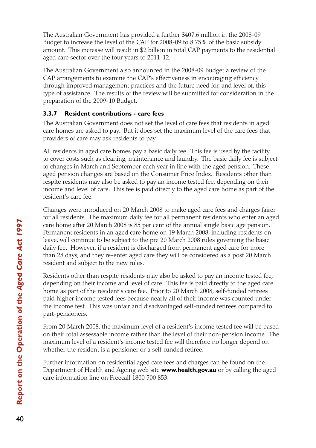The Australian Government has provided a further \$407.6 million in the 2008-09 Budget to increase the level of the CAP for 2008-09 to 8.75% of the basic subsidy amount. This increase will result in \$2 billion in total CAP payments to the residential aged care sector over the four years to 2011-12.

The Australian Government also announced in the 2008-09 Budget a review of the CAP arrangements to examine the CAP's effectiveness in encouraging efficiency through improved management practices and the future need for, and level of, this type of assistance. The results of the review will be submitted for consideration in the preparation of the 2009-10 Budget.

### **3.3.7 Resident contributions - care fees**

The Australian Government does not set the level of care fees that residents in aged care homes are asked to pay. But it does set the maximum level of the care fees that providers of care may ask residents to pay.

All residents in aged care homes pay a basic daily fee. This fee is used by the facility to cover costs such as cleaning, maintenance and laundry. The basic daily fee is subject to changes in March and September each year in line with the aged pension. These aged pension changes are based on the Consumer Price Index. Residents other than respite residents may also be asked to pay an income tested fee, depending on their income and level of care. This fee is paid directly to the aged care home as part of the resident's care fee.

Changes were introduced on 20 March 2008 to make aged care fees and charges fairer for all residents. The maximum daily fee for all permanent residents who enter an aged care home after 20 March 2008 is 85 per cent of the annual single basic age pension. Permanent residents in an aged care home on 19 March 2008, including residents on leave, will continue to be subject to the pre 20 March 2008 rules governing the basic daily fee. However, if a resident is discharged from permanent aged care for more than 28 days, and they re-enter aged care they will be considered as a post 20 March resident and subject to the new rules.

Residents other than respite residents may also be asked to pay an income tested fee, depending on their income and level of care. This fee is paid directly to the aged care home as part of the resident's care fee. Prior to 20 March 2008, self-funded retirees paid higher income tested fees because nearly all of their income was counted under the income test. This was unfair and disadvantaged self-funded retirees compared to part-pensioners.

From 20 March 2008, the maximum level of a resident's income tested fee will be based on their total assessable income rather than the level of their non-pension income. The maximum level of a resident's income tested fee will therefore no longer depend on whether the resident is a pensioner or a self-funded retiree.

Further information on residential aged care fees and charges can be found on the Department of Health and Ageing web site **www.health.gov.au** or by calling the aged care information line on Freecall 1800 500 853.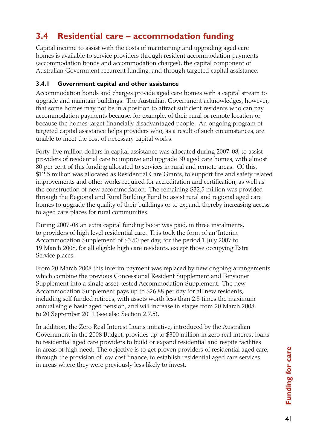# **3.4 Residential care – accommodation funding**

Capital income to assist with the costs of maintaining and upgrading aged care homes is available to service providers through resident accommodation payments (accommodation bonds and accommodation charges), the capital component of Australian Government recurrent funding, and through targeted capital assistance.

#### **3.4.1 Government capital and other assistance**

Accommodation bonds and charges provide aged care homes with a capital stream to upgrade and maintain buildings. The Australian Government acknowledges, however, that some homes may not be in a position to attract sufficient residents who can pay accommodation payments because, for example, of their rural or remote location or because the homes target financially disadvantaged people. An ongoing program of targeted capital assistance helps providers who, as a result of such circumstances, are unable to meet the cost of necessary capital works.

Forty-five million dollars in capital assistance was allocated during 2007-08, to assist providers of residential care to improve and upgrade 30 aged care homes, with almost 80 per cent of this funding allocated to services in rural and remote areas. Of this, \$12.5 million was allocated as Residential Care Grants, to support fire and safety related improvements and other works required for accreditation and certification, as well as the construction of new accommodation. The remaining \$32.5 million was provided through the Regional and Rural Building Fund to assist rural and regional aged care homes to upgrade the quality of their buildings or to expand, thereby increasing access to aged care places for rural communities.

During 2007-08 an extra capital funding boost was paid, in three instalments, to providers of high level residential care. This took the form of an 'Interim Accommodation Supplement' of \$3.50 per day, for the period 1 July 2007 to 19 March 2008, for all eligible high care residents, except those occupying Extra Service places.

From 20 March 2008 this interim payment was replaced by new ongoing arrangements which combine the previous Concessional Resident Supplement and Pensioner Supplement into a single asset-tested Accommodation Supplement. The new Accommodation Supplement pays up to \$26.88 per day for all new residents, including self funded retirees, with assets worth less than 2.5 times the maximum annual single basic aged pension, and will increase in stages from 20 March 2008 to 20 September 2011 (see also Section 2.7.5).

In addition, the Zero Real Interest Loans initiative, introduced by the Australian Government in the 2008 Budget, provides up to \$300 million in zero real interest loans to residential aged care providers to build or expand residential and respite facilities in areas of high need. The objective is to get proven providers of residential aged care, through the provision of low cost finance, to establish residential aged care services in areas where they were previously less likely to invest.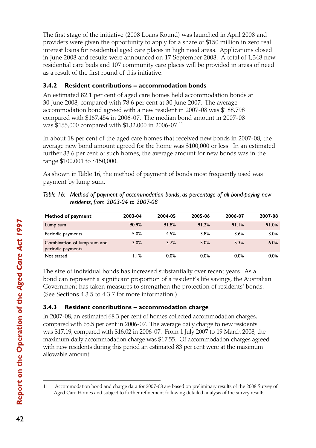The first stage of the initiative (2008 Loans Round) was launched in April 2008 and providers were given the opportunity to apply for a share of \$150 million in zero real interest loans for residential aged care places in high need areas. Applications closed in June 2008 and results were announced on 17 September 2008. A total of 1,348 new residential care beds and 107 community care places will be provided in areas of need as a result of the first round of this initiative.

### **3.4.2 Resident contributions – accommodation bonds**

An estimated 82.1 per cent of aged care homes held accommodation bonds at 30 June 2008, compared with 78.6 per cent at 30 June 2007. The average accommodation bond agreed with a new resident in 2007-08 was \$188,798 compared with \$167,454 in 2006-07. The median bond amount in 2007-08 was \$155,000 compared with \$132,000 in 2006-07.11

In about 18 per cent of the aged care homes that received new bonds in 2007-08, the average new bond amount agreed for the home was \$100,000 or less. In an estimated further 33.6 per cent of such homes, the average amount for new bonds was in the range \$100,001 to \$150,000.

As shown in Table 16, the method of payment of bonds most frequently used was payment by lump sum.

| Method of payment                                | 2003-04 | 2004-05 | 2005-06 | 2006-07 | 2007-08 |
|--------------------------------------------------|---------|---------|---------|---------|---------|
| Lump sum                                         | 90.9%   | 91.8%   | 91.2%   | 91.1%   | 91.0%   |
| Periodic payments                                | 5.0%    | 4.5%    | 3.8%    | 3.6%    | 3.0%    |
| Combination of lump sum and<br>periodic payments | 3.0%    | 3.7%    | 5.0%    | 5.3%    | 6.0%    |
| Not stated                                       | 1.1%    | 0.0%    | 0.0%    | 0.0%    | 0.0%    |

| Table 16: Method of payment of accommodation bonds, as percentage of all bond-paying new |
|------------------------------------------------------------------------------------------|
| residents, from 2003-04 to 2007-08                                                       |

The size of individual bonds has increased substantially over recent years. As a bond can represent a significant proportion of a resident's life savings, the Australian Government has taken measures to strengthen the protection of residents' bonds. (See Sections 4.3.5 to 4.3.7 for more information.)

# **3.4.3 Resident contributions – accommodation charge**

In 2007-08, an estimated 68.3 per cent of homes collected accommodation charges, compared with 65.5 per cent in 2006-07. The average daily charge to new residents was \$17.19, compared with \$16.02 in 2006-07. From 1 July 2007 to 19 March 2008, the maximum daily accommodation charge was \$17.55. Of accommodation charges agreed with new residents during this period an estimated 83 per cent were at the maximum allowable amount.

<sup>11</sup> Accommodation bond and charge data for 2007-08 are based on preliminary results of the 2008 Survey of Aged Care Homes and subject to further refinement following detailed analysis of the survey results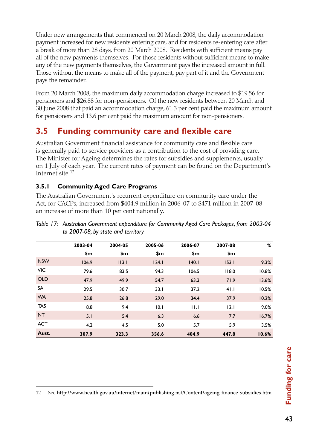Under new arrangements that commenced on 20 March 2008, the daily accommodation payment increased for new residents entering care, and for residents re-entering care after a break of more than 28 days, from 20 March 2008. Residents with sufficient means pay all of the new payments themselves. For those residents without sufficient means to make any of the new payments themselves, the Government pays the increased amount in full. Those without the means to make all of the payment, pay part of it and the Government pays the remainder.

From 20 March 2008, the maximum daily accommodation charge increased to \$19.56 for pensioners and \$26.88 for non-pensioners. Of the new residents between 20 March and 30 June 2008 that paid an accommodation charge, 61.3 per cent paid the maximum amount for pensioners and 13.6 per cent paid the maximum amount for non-pensioners.

# **3.5 Funding community care and flexible care**

Australian Government financial assistance for community care and flexible care is generally paid to service providers as a contribution to the cost of providing care. The Minister for Ageing determines the rates for subsidies and supplements, usually on 1 July of each year. The current rates of payment can be found on the Department's Internet site.12

# **3.5.1 Community Aged Care Programs**

The Australian Government's recurrent expenditure on community care under the Act, for CACPs, increased from \$404.9 million in 2006-07 to \$471 million in 2007-08 an increase of more than 10 per cent nationally.

|            | 2003-04 | 2004-05 | 2005-06 | 2006-07 | 2007-08 | %     |
|------------|---------|---------|---------|---------|---------|-------|
|            | \$m     | \$m     | \$m     | \$m     | \$m     |       |
| <b>NSW</b> | 106.9   | 113.1   | 124.1   | 140.1   | 153.1   | 9.3%  |
| <b>VIC</b> | 79.6    | 83.5    | 94.3    | 106.5   | 118.0   | 10.8% |
| <b>QLD</b> | 47.9    | 49.9    | 54.7    | 63.3    | 71.9    | 13.6% |
| SA         | 29.5    | 30.7    | 33.1    | 37.2    | 41.1    | 10.5% |
| <b>WA</b>  | 25.8    | 26.8    | 29.0    | 34.4    | 37.9    | 10.2% |
| <b>TAS</b> | 8.8     | 9.4     | 10.1    | 11.1    | 2.1     | 9.0%  |
| <b>NT</b>  | 5.1     | 5.4     | 6.3     | 6.6     | 7.7     | 16.7% |
| <b>ACT</b> | 4.2     | 4.5     | 5.0     | 5.7     | 5.9     | 3.5%  |
| Aust.      | 307.9   | 323.3   | 356.6   | 404.9   | 447.8   | 10.6% |

*Table 17: Australian Government expenditure for Community Aged Care Packages, from 2003-04 to 2007-08, by state and territory*

<sup>12</sup> See http://www.health.gov.au/internet/main/publishing.nsf/Content/ageing-finance-subsidies.htm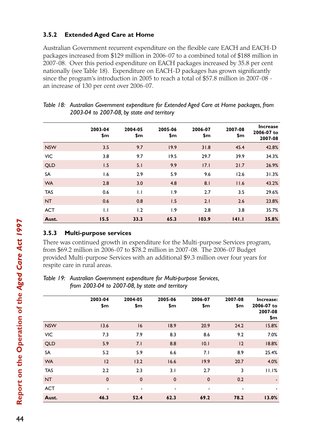#### **3.5.2 Extended Aged Care at Home**

Australian Government recurrent expenditure on the flexible care EACH and EACH-D packages increased from \$129 million in 2006-07 to a combined total of \$188 million in 2007-08. Over this period expenditure on EACH packages increased by 35.8 per cent nationally (see Table 18). Expenditure on EACH-D packages has grown significantly since the program's introduction in 2005 to reach a total of \$57.8 million in 2007-08 an increase of 130 per cent over 2006-07.

|            | 2003-04<br>\$m | 2004-05<br>\$m | 2005-06<br>\$m | 2006-07<br>\$m | 2007-08<br>\$m | <b>Increase</b><br>2006-07 to<br>2007-08 |
|------------|----------------|----------------|----------------|----------------|----------------|------------------------------------------|
| <b>NSW</b> | 3.5            | 9.7            | 19.9           | 31.8           | 45.4           | 42.8%                                    |
| <b>VIC</b> | 3.8            | 9.7            | 19.5           | 29.7           | 39.9           | 34.3%                                    |
| <b>QLD</b> | 1.5            | 5.1            | 9.9            | 17.1           | 21.7           | 26.9%                                    |
| <b>SA</b>  | 1.6            | 2.9            | 5.9            | 9.6            | 12.6           | 31.3%                                    |
| <b>WA</b>  | 2.8            | 3.0            | 4.8            | 8.1            | 11.6           | 43.2%                                    |
| <b>TAS</b> | 0.6            | 1.1            | 1.9            | 2.7            | 3.5            | 29.6%                                    |
| <b>NT</b>  | 0.6            | 0.8            | 1.5            | 2.1            | 2.6            | 23.8%                                    |
| <b>ACT</b> | 1.1            | 1.2            | 1.9            | 2.8            | 3.8            | 35.7%                                    |
| Aust.      | 15.5           | 33.3           | 65.3           | 103.9          | 141.1          | 35.8%                                    |

| Table 18: Australian Government expenditure for Extended Aged Care at Home packages, from |
|-------------------------------------------------------------------------------------------|
| 2003-04 to 2007-08, by state and territory                                                |

# **3.5.3 Multi-purpose services**

There was continued growth in expenditure for the Multi-purpose Services program, from \$69.2 million in 2006-07 to \$78.2 million in 2007-08. The 2006-07 Budget provided Multi-purpose Services with an additional \$9.3 million over four years for respite care in rural areas.

*Table 19: Australian Government expenditure for Multi-purpose Services, from 2003-04 to 2007-08, by state and territory*

|            | 2003-04<br>\$m | 2004-05<br>\$m           | 2005-06<br>\$m | 2006-07<br>\$m           | 2007-08<br>\$m           | Increase:<br>2006-07 to<br>2007-08<br>\$m |
|------------|----------------|--------------------------|----------------|--------------------------|--------------------------|-------------------------------------------|
| <b>NSW</b> | 13.6           | 16                       | 18.9           | 20.9                     | 24.2                     | 15.8%                                     |
| <b>VIC</b> | 7.3            | 7.9                      | 8.3            | 8.6                      | 9.2                      | 7.0%                                      |
| <b>QLD</b> | 5.9            | 7.1                      | 8.8            | 10.1                     | 12                       | 18.8%                                     |
| SA         | 5.2            | 5.9                      | 6.6            | 7.1                      | 8.9                      | 25.4%                                     |
| <b>WA</b>  | 12             | 13.2                     | 16.6           | 19.9                     | 20.7                     | 4.0%                                      |
| <b>TAS</b> | 2.2            | 2.3                      | 3.1            | 2.7                      | 3                        | 11.1%                                     |
| <b>NT</b>  | $\mathbf 0$    | $\pmb{0}$                | $\mathbf 0$    | $\mathbf 0$              | 0.2                      | $\overline{\phantom{a}}$                  |
| <b>ACT</b> | ٠              | $\overline{\phantom{a}}$ | ۰              | $\overline{\phantom{a}}$ | $\overline{\phantom{a}}$ |                                           |
| Aust.      | 46.3           | 52.4                     | 62.3           | 69.2                     | 78.2                     | 13.0%                                     |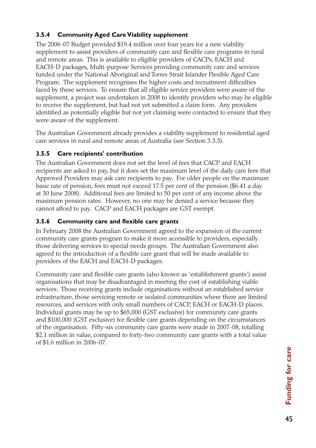# **3.5.4 Community Aged Care Viability supplement**

The 2006-07 Budget provided \$19.4 million over four years for a new viability supplement to assist providers of community care and flexible care programs in rural and remote areas. This is available to eligible providers of CACPs, EACH and EACH-D packages, Multi-purpose Services providing community care and services funded under the National Aboriginal and Torres Strait Islander Flexible Aged Care Program. The supplement recognises the higher costs and recruitment difficulties faced by these services. To ensure that all eligible service providers were aware of the supplement, a project was undertaken in 2008 to identify providers who may be eligible to receive the supplement, but had not yet submitted a claim form. Any providers identified as potentially eligible but not yet claiming were contacted to ensure that they were aware of the supplement.

The Australian Government already provides a viability supplement to residential aged care services in rural and remote areas of Australia (see Section 3.3.3).

# **3.5.5 Care recipients' contribution**

The Australian Government does not set the level of fees that CACP and EACH recipients are asked to pay, but it does set the maximum level of the daily care fees that Approved Providers may ask care recipients to pay. For older people on the maximum basic rate of pension, fees must not exceed 17.5 per cent of the pension (\$6.41 a day at 30 June 2008). Additional fees are limited to 50 per cent of any income above the maximum pension rates. However, no one may be denied a service because they cannot afford to pay. CACP and EACH packages are GST exempt.

# **3.5.6 Community care and flexible care grants**

In February 2008 the Australian Government agreed to the expansion of the current community care grants program to make it more accessible to providers, especially those delivering services to special needs groups. The Australian Government also agreed to the introduction of a flexible care grant that will be made available to providers of the EACH and EACH-D packages.

Community care and flexible care grants (also known as 'establishment grants') assist organisations that may be disadvantaged in meeting the cost of establishing viable services. Those receiving grants include organisations without an established service infrastructure, those servicing remote or isolated communities where there are limited resources, and services with only small numbers of CACP, EACH or EACH-D places. Individual grants may be up to \$65,000 (GST exclusive) for community care grants and \$100,000 (GST exclusive) for flexible care grants depending on the circumstances of the organisation. Fifty-six community care grants were made in 2007-08, totalling \$2.1 million in value, compared to forty-two community care grants with a total value of \$1.6 million in 2006-07.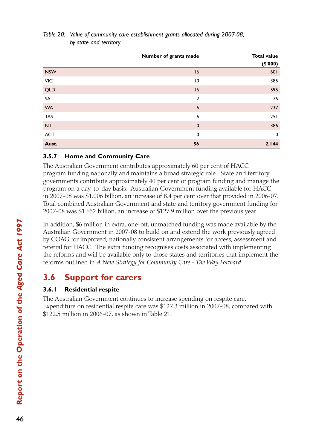|            | Number of grants made | <b>Total value</b><br>(\$'000) |
|------------|-----------------------|--------------------------------|
| <b>NSW</b> | 16                    | 601                            |
| VIC        | 10                    | 385                            |
| QLD        | 16                    | 595                            |
| SA         | $\overline{2}$        | 76                             |
| <b>WA</b>  | $6\phantom{1}6$       | 237                            |
| <b>TAS</b> | 6                     | 251                            |
| <b>NT</b>  | $\mathbf 0$           | 386                            |
| <b>ACT</b> | $\mathbf 0$           | $\mathbf 0$                    |
| Aust.      | 56                    | 2,144                          |

### *Table 20: Value of community care establishment grants allocated during 2007-08, by state and territory*

### **3.5.7 Home and Community Care**

The Australian Government contributes approximately 60 per cent of HACC program funding nationally and maintains a broad strategic role. State and territory governments contribute approximately 40 per cent of program funding and manage the program on a day-to-day basis. Australian Government funding available for HACC in 2007-08 was \$1.006 billion, an increase of 8.4 per cent over that provided in 2006-07. Total combined Australian Government and state and territory government funding for 2007-08 was \$1.652 billion, an increase of \$127.9 million over the previous year.

In addition, \$6 million in extra, one-off, unmatched funding was made available by the Australian Government in 2007-08 to build on and extend the work previously agreed by COAG for improved, nationally consistent arrangements for access, assessment and referral for HACC. The extra funding recognises costs associated with implementing the reforms and will be available only to those states and territories that implement the reforms outlined in *A New Strategy for Community Care - The Way Forward*.

# **3.6 Support for carers**

# **3.6.1 Residential respite**

The Australian Government continues to increase spending on respite care. Expenditure on residential respite care was \$127.3 million in 2007-08, compared with \$122.5 million in 2006-07, as shown in Table 21.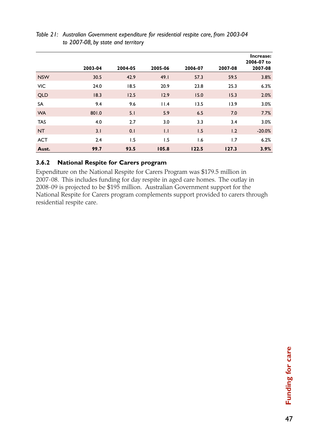|            |         |         |         |         |         | Increase:             |
|------------|---------|---------|---------|---------|---------|-----------------------|
|            | 2003-04 | 2004-05 | 2005-06 | 2006-07 | 2007-08 | 2006-07 to<br>2007-08 |
| <b>NSW</b> | 30.5    | 42.9    | 49.1    | 57.3    | 59.5    | 3.8%                  |
| <b>VIC</b> | 24.0    | 18.5    | 20.9    | 23.8    | 25.3    | 6.3%                  |
| <b>QLD</b> | 18.3    | 12.5    | 12.9    | 15.0    | 15.3    | 2.0%                  |
| SA         | 9.4     | 9.6     | 11.4    | 13.5    | 13.9    | 3.0%                  |
| <b>WA</b>  | 801.0   | 5.1     | 5.9     | 6.5     | 7.0     | 7.7%                  |
| <b>TAS</b> | 4.0     | 2.7     | 3.0     | 3.3     | 3.4     | 3.0%                  |
| <b>NT</b>  | 3.1     | 0.1     | 1.1     | 1.5     | 1.2     | $-20.0%$              |
| <b>ACT</b> | 2.4     | 1.5     | 1.5     | 1.6     | 1.7     | 6.2%                  |
| Aust.      | 99.7    | 93.5    | 105.8   | 122.5   | 127.3   | 3.9%                  |

#### *Table 21: Australian Government expenditure for residential respite care, from 2003-04 to 2007-08, by state and territory*

### **3.6.2 National Respite for Carers program**

Expenditure on the National Respite for Carers Program was \$179.5 million in 2007-08. This includes funding for day respite in aged care homes. The outlay in 2008-09 is projected to be \$195 million. Australian Government support for the National Respite for Carers program complements support provided to carers through residential respite care.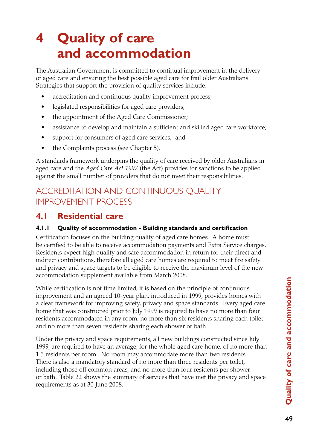# **4 Quality of care and accommodation**

The Australian Government is committed to continual improvement in the delivery of aged care and ensuring the best possible aged care for frail older Australians. Strategies that support the provision of quality services include:

- accreditation and continuous quality improvement process;
- • legislated responsibilities for aged care providers;
- the appointment of the Aged Care Commissioner;
- assistance to develop and maintain a sufficient and skilled aged care workforce;
- support for consumers of aged care services; and
- the Complaints process (see Chapter 5).

A standards framework underpins the quality of care received by older Australians in aged care and the *Aged Care Act 1997* (the Act) provides for sanctions to be applied against the small number of providers that do not meet their responsibilities.

# Accreditation and Continuous Quality Improvement Process

# **4.1 Residential care**

#### **4.1.1 Quality of accommodation - Building standards and certification**

Certification focuses on the building quality of aged care homes. A home must be certified to be able to receive accommodation payments and Extra Service charges. Residents expect high quality and safe accommodation in return for their direct and indirect contributions, therefore all aged care homes are required to meet fire safety and privacy and space targets to be eligible to receive the maximum level of the new accommodation supplement available from March 2008.

While certification is not time limited, it is based on the principle of continuous improvement and an agreed 10-year plan, introduced in 1999, provides homes with a clear framework for improving safety, privacy and space standards. Every aged care home that was constructed prior to July 1999 is required to have no more than four residents accommodated in any room, no more than six residents sharing each toilet and no more than seven residents sharing each shower or bath.

Under the privacy and space requirements, all new buildings constructed since July 1999, are required to have an average, for the whole aged care home, of no more than 1.5 residents per room. No room may accommodate more than two residents. There is also a mandatory standard of no more than three residents per toilet, including those off common areas, and no more than four residents per shower or bath. Table 22 shows the summary of services that have met the privacy and space requirements as at 30 June 2008.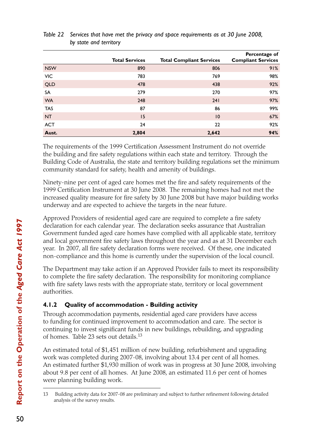|            | <b>Total Services</b> | <b>Total Compliant Services</b> | Percentage of<br><b>Compliant Services</b> |
|------------|-----------------------|---------------------------------|--------------------------------------------|
| <b>NSW</b> | 890                   | 806                             | 91%                                        |
| VIC        | 783                   | 769                             | 98%                                        |
| <b>QLD</b> | 478                   | 438                             | 92%                                        |
| SA         | 279                   | 270                             | 97%                                        |
| <b>WA</b>  | 248                   | 241                             | 97%                                        |
| <b>TAS</b> | 87                    | 86                              | 99%                                        |
| <b>NT</b>  | 15                    | $\overline{10}$                 | 67%                                        |
| <b>ACT</b> | 24                    | 22                              | 92%                                        |
| Aust.      | 2,804                 | 2,642                           | 94%                                        |

*Table 22 Services that have met the privacy and space requirements as at 30 June 2008, by state and territory*

The requirements of the 1999 Certification Assessment Instrument do not override the building and fire safety regulations within each state and territory. Through the Building Code of Australia, the state and territory building regulations set the minimum community standard for safety, health and amenity of buildings.

Ninety-nine per cent of aged care homes met the fire and safety requirements of the 1999 Certification Instrument at 30 June 2008. The remaining homes had not met the increased quality measure for fire safety by 30 June 2008 but have major building works underway and are expected to achieve the targets in the near future.

Approved Providers of residential aged care are required to complete a fire safety declaration for each calendar year. The declaration seeks assurance that Australian Government funded aged care homes have complied with all applicable state, territory and local government fire safety laws throughout the year and as at 31 December each year. In 2007, all fire safety declaration forms were received. Of these, one indicated non-compliance and this home is currently under the supervision of the local council.

The Department may take action if an Approved Provider fails to meet its responsibility to complete the fire safety declaration. The responsibility for monitoring compliance with fire safety laws rests with the appropriate state, territory or local government authorities.

# **4.1.2 Quality of accommodation - Building activity**

Through accommodation payments, residential aged care providers have access to funding for continued improvement to accommodation and care. The sector is continuing to invest significant funds in new buildings, rebuilding, and upgrading of homes. Table 23 sets out details.13

An estimated total of \$1,451 million of new building, refurbishment and upgrading work was completed during 2007-08, involving about 13.4 per cent of all homes. An estimated further \$1,930 million of work was in progress at 30 June 2008, involving about 9.8 per cent of all homes. At June 2008, an estimated 11.6 per cent of homes were planning building work.

<sup>13</sup> Building activity data for 2007-08 are preliminary and subject to further refinement following detailed analysis of the survey results.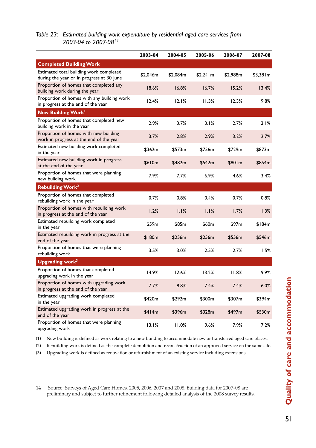#### *Table 23: Estimated building work expenditure by residential aged care services from 2003-04 to 2007-0814*

|                                                                                      | 2003-04  | 2004-05  | 2005-06  | 2006-07  | 2007-08  |
|--------------------------------------------------------------------------------------|----------|----------|----------|----------|----------|
| <b>Completed Building Work</b>                                                       |          |          |          |          |          |
| Estimated total building work completed<br>during the year or in progress at 30 June | \$2,046m | \$2,084m | \$2,241m | \$2,988m | \$3,381m |
| Proportion of homes that completed any<br>building work during the year              | 18.6%    | 16.8%    | 16.7%    | 15.2%    | 13.4%    |
| Proportion of homes with any building work<br>in progress at the end of the year     | 12.4%    | 12.1%    | 11.3%    | 12.3%    | 9.8%     |
| New Building Work <sup>1</sup>                                                       |          |          |          |          |          |
| Proportion of homes that completed new<br>building work in the year                  | 2.9%     | 3.7%     | 3.1%     | 2.7%     | 3.1%     |
| Proportion of homes with new building<br>work in progress at the end of the year     | 3.7%     | 2.8%     | 2.9%     | 3.2%     | 2.7%     |
| Estimated new building work completed<br>in the year                                 | \$362m   | \$573m   | \$756m   | \$729m   | \$873m   |
| Estimated new building work in progress<br>at the end of the year                    | \$610m   | \$482m   | \$542m   | \$80 l m | \$854m   |
| Proportion of homes that were planning<br>new building work                          | 7.9%     | 7.7%     | $6.9\%$  | 4.6%     | 3.4%     |
| <b>Rebuilding Work<sup>2</sup></b>                                                   |          |          |          |          |          |
| Proportion of homes that completed<br>rebuilding work in the year                    | 0.7%     | 0.8%     | 0.4%     | 0.7%     | 0.8%     |
| Proportion of homes with rebuilding work<br>in progress at the end of the year       | 1.2%     | 1.1%     | 1.1%     | 1.7%     | 1.3%     |
| Estimated rebuilding work completed<br>in the year                                   | \$59m    | \$85m    | \$60m    | \$97m    | \$184m   |
| Estimated rebuilding work in progress at the<br>end of the year                      | \$180m   | \$256m   | \$256m   | \$556m   | \$546m   |
| Proportion of homes that were planning<br>rebuilding work                            | 3.5%     | 3.0%     | 2.5%     | 2.7%     | 1.5%     |
| Upgrading work <sup>3</sup>                                                          |          |          |          |          |          |
| Proportion of homes that completed<br>upgrading work in the year                     | 14.9%    | 12.6%    | 13.2%    | 11.8%    | 9.9%     |
| Proportion of homes with upgrading work<br>in progress at the end of the year        | 7.7%     | 8.8%     | 7.4%     | 7.4%     | 6.0%     |
| Estimated upgrading work completed<br>in the year                                    | \$420m   | \$292m   | \$300m   | \$307m   | \$394m   |
| Estimated upgrading work in progress at the<br>end of the year                       | \$414m   | \$396m   | \$328m   | \$497m   | \$530m   |
| Proportion of homes that were planning<br>upgrading work                             | 13.1%    | 11.0%    | 9.6%     | 7.9%     | 7.2%     |

(1) New building is defined as work relating to a new building to accommodate new or transferred aged care places.

(2) Rebuilding work is defined as the complete demolition and reconstruction of an approved service on the same site.

(3) Upgrading work is defined as renovation or refurbishment of an existing service including extensions.

<sup>14</sup> Source: Surveys of Aged Care Homes, 2005, 2006, 2007 and 2008. Building data for 2007-08 are preliminary and subject to further refinement following detailed analysis of the 2008 survey results.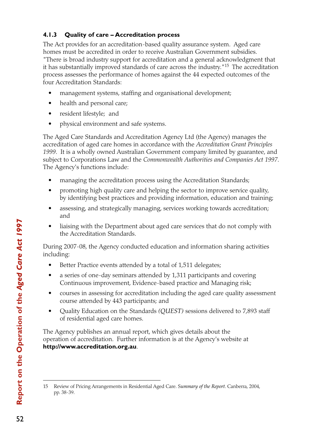# **4.1.3 Quality of care – Accreditation process**

The Act provides for an accreditation-based quality assurance system. Aged care homes must be accredited in order to receive Australian Government subsidies. "There is broad industry support for accreditation and a general acknowledgment that it has substantially improved standards of care across the industry."15 The accreditation process assesses the performance of homes against the 44 expected outcomes of the four Accreditation Standards:

- management systems, staffing and organisational development;
- health and personal care;
- resident lifestyle; and
- physical environment and safe systems.

The Aged Care Standards and Accreditation Agency Ltd (the Agency) manages the accreditation of aged care homes in accordance with the *Accreditation Grant Principles 1999*. It is a wholly owned Australian Government company limited by guarantee, and subject to Corporations Law and the *Commonwealth Authorities and Companies Act 1997*. The Agency's functions include:

- managing the accreditation process using the Accreditation Standards;
- promoting high quality care and helping the sector to improve service quality, by identifying best practices and providing information, education and training;
- assessing, and strategically managing, services working towards accreditation; and
- liaising with the Department about aged care services that do not comply with the Accreditation Standards.

During 2007-08, the Agency conducted education and information sharing activities including:

- Better Practice events attended by a total of 1,511 delegates;
- a series of one-day seminars attended by 1,311 participants and covering Continuous improvement, Evidence-based practice and Managing risk;
- courses in assessing for accreditation including the aged care quality assessment course attended by 443 participants; and
- • Quality Education on the Standards *(QUEST)* sessions delivered to 7,893 staff of residential aged care homes.

The Agency publishes an annual report, which gives details about the operation of accreditation. Further information is at the Agency's website at **http://www.accreditation.org.au**.

<sup>15</sup> Review of Pricing Arrangements in Residential Aged Care. S*ummary of the Report*. Canberra, 2004, pp. 38-39.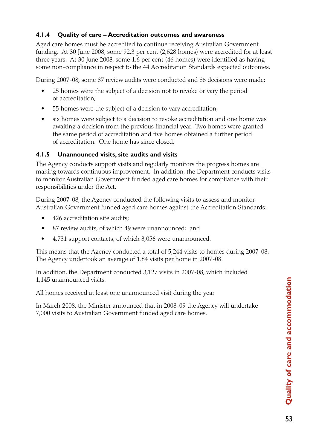# **4.1.4 Quality of care – Accreditation outcomes and awareness**

Aged care homes must be accredited to continue receiving Australian Government funding. At 30 June 2008, some 92.3 per cent (2,628 homes) were accredited for at least three years. At 30 June 2008, some 1.6 per cent (46 homes) were identified as having some non-compliance in respect to the 44 Accreditation Standards expected outcomes.

During 2007-08, some 87 review audits were conducted and 86 decisions were made:

- 25 homes were the subject of a decision not to revoke or vary the period of accreditation;
- 55 homes were the subject of a decision to vary accreditation;
- six homes were subject to a decision to revoke accreditation and one home was awaiting a decision from the previous financial year. Two homes were granted the same period of accreditation and five homes obtained a further period of accreditation. One home has since closed.

#### **4.1.5 Unannounced visits, site audits and visits**

The Agency conducts support visits and regularly monitors the progress homes are making towards continuous improvement. In addition, the Department conducts visits to monitor Australian Government funded aged care homes for compliance with their responsibilities under the Act.

During 2007-08, the Agency conducted the following visits to assess and monitor Australian Government funded aged care homes against the Accreditation Standards:

- 426 accreditation site audits;
- 87 review audits, of which 49 were unannounced; and
- 4,731 support contacts, of which 3,056 were unannounced.

This means that the Agency conducted a total of 5,244 visits to homes during 2007-08. The Agency undertook an average of 1.84 visits per home in 2007-08.

In addition, the Department conducted 3,127 visits in 2007-08, which included 1,145 unannounced visits.

All homes received at least one unannounced visit during the year

In March 2008, the Minister announced that in 2008-09 the Agency will undertake 7,000 visits to Australian Government funded aged care homes.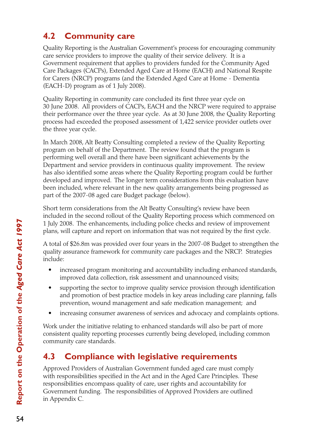# **4.2 Community care**

Quality Reporting is the Australian Government's process for encouraging community care service providers to improve the quality of their service delivery. It is a Government requirement that applies to providers funded for the Community Aged Care Packages (CACPs), Extended Aged Care at Home (EACH) and National Respite for Carers (NRCP) programs (and the Extended Aged Care at Home - Dementia (EACH-D) program as of 1 July 2008).

Quality Reporting in community care concluded its first three year cycle on 30 June 2008. All providers of CACPs, EACH and the NRCP were required to appraise their performance over the three year cycle. As at 30 June 2008, the Quality Reporting process had exceeded the proposed assessment of 1,422 service provider outlets over the three year cycle.

In March 2008, Alt Beatty Consulting completed a review of the Quality Reporting program on behalf of the Department. The review found that the program is performing well overall and there have been significant achievements by the Department and service providers in continuous quality improvement. The review has also identified some areas where the Quality Reporting program could be further developed and improved. The longer term considerations from this evaluation have been included, where relevant in the new quality arrangements being progressed as part of the 2007-08 aged care Budget package (below).

Short term considerations from the Alt Beatty Consulting's review have been included in the second rollout of the Quality Reporting process which commenced on 1 July 2008. The enhancements, including police checks and review of improvement plans, will capture and report on information that was not required by the first cycle.

A total of \$26.8m was provided over four years in the 2007-08 Budget to strengthen the quality assurance framework for community care packages and the NRCP. Strategies include:

- increased program monitoring and accountability including enhanced standards, improved data collection, risk assessment and unannounced visits;
- supporting the sector to improve quality service provision through identification and promotion of best practice models in key areas including care planning, falls prevention, wound management and safe medication management; and
- increasing consumer awareness of services and advocacy and complaints options.

Work under the initiative relating to enhanced standards will also be part of more consistent quality reporting processes currently being developed, including common community care standards.

# **4.3 Compliance with legislative requirements**

Approved Providers of Australian Government funded aged care must comply with responsibilities specified in the Act and in the Aged Care Principles. These responsibilities encompass quality of care, user rights and accountability for Government funding. The responsibilities of Approved Providers are outlined in Appendix C.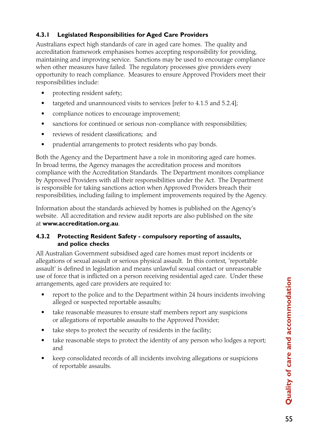# **4.3.1 Legislated Responsibilities for Aged Care Providers**

Australians expect high standards of care in aged care homes. The quality and accreditation framework emphasises homes accepting responsibility for providing, maintaining and improving service. Sanctions may be used to encourage compliance when other measures have failed. The regulatory processes give providers every opportunity to reach compliance. Measures to ensure Approved Providers meet their responsibilities include:

- protecting resident safety;
- targeted and unannounced visits to services [refer to  $4.1.5$  and  $5.2.4$ ];
- compliance notices to encourage improvement;
- sanctions for continued or serious non-compliance with responsibilities;
- reviews of resident classifications; and
- prudential arrangements to protect residents who pay bonds.

Both the Agency and the Department have a role in monitoring aged care homes. In broad terms, the Agency manages the accreditation process and monitors compliance with the Accreditation Standards. The Department monitors compliance by Approved Providers with all their responsibilities under the Act. The Department is responsible for taking sanctions action when Approved Providers breach their responsibilities, including failing to implement improvements required by the Agency.

Information about the standards achieved by homes is published on the Agency's website. All accreditation and review audit reports are also published on the site at **www.accreditation.org.au**.

#### **4.3.2 Protecting Resident Safety - compulsory reporting of assaults, and police checks**

All Australian Government subsidised aged care homes must report incidents or allegations of sexual assault or serious physical assault. In this context, 'reportable assault' is defined in legislation and means unlawful sexual contact or unreasonable use of force that is inflicted on a person receiving residential aged care. Under these arrangements, aged care providers are required to:

- report to the police and to the Department within 24 hours incidents involving alleged or suspected reportable assaults;
- take reasonable measures to ensure staff members report any suspicions or allegations of reportable assaults to the Approved Provider;
- take steps to protect the security of residents in the facility;
- take reasonable steps to protect the identity of any person who lodges a report; and
- keep consolidated records of all incidents involving allegations or suspicions of reportable assaults.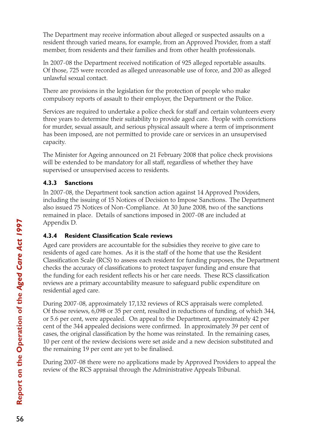The Department may receive information about alleged or suspected assaults on a resident through varied means, for example, from an Approved Provider, from a staff member, from residents and their families and from other health professionals.

In 2007-08 the Department received notification of 925 alleged reportable assaults. Of those, 725 were recorded as alleged unreasonable use of force, and 200 as alleged unlawful sexual contact.

There are provisions in the legislation for the protection of people who make compulsory reports of assault to their employer, the Department or the Police.

Services are required to undertake a police check for staff and certain volunteers every three years to determine their suitability to provide aged care. People with convictions for murder, sexual assault, and serious physical assault where a term of imprisonment has been imposed, are not permitted to provide care or services in an unsupervised capacity.

The Minister for Ageing announced on 21 February 2008 that police check provisions will be extended to be mandatory for all staff, regardless of whether they have supervised or unsupervised access to residents.

### **4.3.3 Sanctions**

In 2007-08, the Department took sanction action against 14 Approved Providers, including the issuing of 15 Notices of Decision to Impose Sanctions. The Department also issued 75 Notices of Non-Compliance. At 30 June 2008, two of the sanctions remained in place. Details of sanctions imposed in 2007-08 are included at Appendix D.

#### **4.3.4 Resident Classification Scale reviews**

Aged care providers are accountable for the subsidies they receive to give care to residents of aged care homes. As it is the staff of the home that use the Resident Classification Scale (RCS) to assess each resident for funding purposes, the Department checks the accuracy of classifications to protect taxpayer funding and ensure that the funding for each resident reflects his or her care needs. These RCS classification reviews are a primary accountability measure to safeguard public expenditure on residential aged care.

During 2007-08, approximately 17,132 reviews of RCS appraisals were completed. Of those reviews, 6,098 or 35 per cent, resulted in reductions of funding, of which 344, or 5.6 per cent, were appealed. On appeal to the Department, approximately 42 per cent of the 344 appealed decisions were confirmed. In approximately 39 per cent of cases, the original classification by the home was reinstated. In the remaining cases, 10 per cent of the review decisions were set aside and a new decision substituted and the remaining 19 per cent are yet to be finalised.

During 2007-08 there were no applications made by Approved Providers to appeal the review of the RCS appraisal through the Administrative Appeals Tribunal.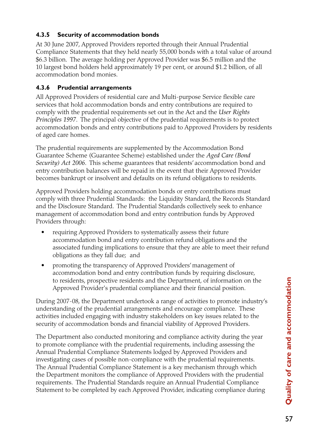#### **4.3.5 Security of accommodation bonds**

At 30 June 2007, Approved Providers reported through their Annual Prudential Compliance Statements that they held nearly 55,000 bonds with a total value of around \$6.3 billion. The average holding per Approved Provider was \$6.5 million and the 10 largest bond holders held approximately 19 per cent, or around \$1.2 billion, of all accommodation bond monies.

#### **4.3.6 Prudential arrangements**

All Approved Providers of residential care and Multi-purpose Service flexible care services that hold accommodation bonds and entry contributions are required to comply with the prudential requirements set out in the Act and the *User Rights Principles 1997*. The principal objective of the prudential requirements is to protect accommodation bonds and entry contributions paid to Approved Providers by residents of aged care homes.

The prudential requirements are supplemented by the Accommodation Bond Guarantee Scheme (Guarantee Scheme) established under the *Aged Care (Bond Security) Act 2006*. This scheme guarantees that residents' accommodation bond and entry contribution balances will be repaid in the event that their Approved Provider becomes bankrupt or insolvent and defaults on its refund obligations to residents.

Approved Providers holding accommodation bonds or entry contributions must comply with three Prudential Standards: the Liquidity Standard, the Records Standard and the Disclosure Standard. The Prudential Standards collectively seek to enhance management of accommodation bond and entry contribution funds by Approved Providers through:

- requiring Approved Providers to systematically assess their future accommodation bond and entry contribution refund obligations and the associated funding implications to ensure that they are able to meet their refund obligations as they fall due; and
- promoting the transparency of Approved Providers' management of accommodation bond and entry contribution funds by requiring disclosure, to residents, prospective residents and the Department, of information on the Approved Provider's prudential compliance and their financial position.

During 2007-08, the Department undertook a range of activities to promote industry's understanding of the prudential arrangements and encourage compliance. These activities included engaging with industry stakeholders on key issues related to the security of accommodation bonds and financial viability of Approved Providers.

The Department also conducted monitoring and compliance activity during the year to promote compliance with the prudential requirements, including assessing the Annual Prudential Compliance Statements lodged by Approved Providers and investigating cases of possible non-compliance with the prudential requirements. The Annual Prudential Compliance Statement is a key mechanism through which the Department monitors the compliance of Approved Providers with the prudential requirements. The Prudential Standards require an Annual Prudential Compliance Statement to be completed by each Approved Provider, indicating compliance during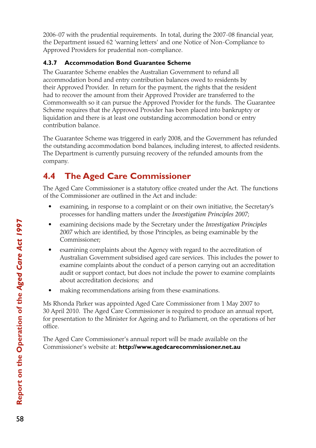2006-07 with the prudential requirements. In total, during the 2007-08 financial year, the Department issued 62 'warning letters' and one Notice of Non-Compliance to Approved Providers for prudential non-compliance.

#### **4.3.7 Accommodation Bond Guarantee Scheme**

The Guarantee Scheme enables the Australian Government to refund all accommodation bond and entry contribution balances owed to residents by their Approved Provider. In return for the payment, the rights that the resident had to recover the amount from their Approved Provider are transferred to the Commonwealth so it can pursue the Approved Provider for the funds. The Guarantee Scheme requires that the Approved Provider has been placed into bankruptcy or liquidation and there is at least one outstanding accommodation bond or entry contribution balance.

The Guarantee Scheme was triggered in early 2008, and the Government has refunded the outstanding accommodation bond balances, including interest, to affected residents. The Department is currently pursuing recovery of the refunded amounts from the company.

# **4.4 The Aged Care Commissioner**

The Aged Care Commissioner is a statutory office created under the Act. The functions of the Commissioner are outlined in the Act and include:

- examining, in response to a complaint or on their own initiative, the Secretary's processes for handling matters under the *Investigation Principles 2007*;
- • examining decisions made by the Secretary under the *Investigation Principles 2007* which are identified, by those Principles, as being examinable by the Commissioner;
- examining complaints about the Agency with regard to the accreditation of Australian Government subsidised aged care services. This includes the power to examine complaints about the conduct of a person carrying out an accreditation audit or support contact, but does not include the power to examine complaints about accreditation decisions; and
- making recommendations arising from these examinations.

Ms Rhonda Parker was appointed Aged Care Commissioner from 1 May 2007 to 30 April 2010. The Aged Care Commissioner is required to produce an annual report, for presentation to the Minister for Ageing and to Parliament, on the operations of her office.

The Aged Care Commissioner's annual report will be made available on the Commissioner's website at: **http://www.agedcarecommissioner.net.au**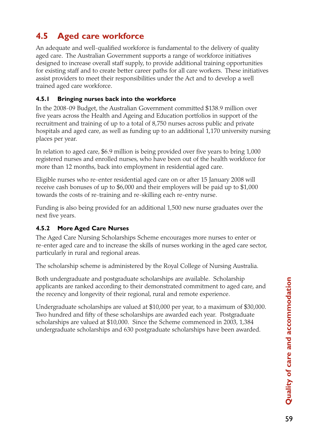# **4.5 Aged care workforce**

An adequate and well-qualified workforce is fundamental to the delivery of quality aged care. The Australian Government supports a range of workforce initiatives designed to increase overall staff supply, to provide additional training opportunities for existing staff and to create better career paths for all care workers. These initiatives assist providers to meet their responsibilities under the Act and to develop a well trained aged care workforce.

#### **4.5.1 Bringing nurses back into the workforce**

In the 2008-09 Budget, the Australian Government committed \$138.9 million over five years across the Health and Ageing and Education portfolios in support of the recruitment and training of up to a total of 8,750 nurses across public and private hospitals and aged care, as well as funding up to an additional 1,170 university nursing places per year.

In relation to aged care, \$6.9 million is being provided over five years to bring 1,000 registered nurses and enrolled nurses, who have been out of the health workforce for more than 12 months, back into employment in residential aged care.

Eligible nurses who re-enter residential aged care on or after 15 January 2008 will receive cash bonuses of up to \$6,000 and their employers will be paid up to \$1,000 towards the costs of re-training and re-skilling each re-entry nurse.

Funding is also being provided for an additional 1,500 new nurse graduates over the next five years.

#### **4.5.2 More Aged Care Nurses**

The Aged Care Nursing Scholarships Scheme encourages more nurses to enter or re-enter aged care and to increase the skills of nurses working in the aged care sector, particularly in rural and regional areas.

The scholarship scheme is administered by the Royal College of Nursing Australia.

Both undergraduate and postgraduate scholarships are available. Scholarship applicants are ranked according to their demonstrated commitment to aged care, and the recency and longevity of their regional, rural and remote experience.

Undergraduate scholarships are valued at \$10,000 per year, to a maximum of \$30,000. Two hundred and fifty of these scholarships are awarded each year. Postgraduate scholarships are valued at \$10,000. Since the Scheme commenced in 2003, 1,384 undergraduate scholarships and 630 postgraduate scholarships have been awarded.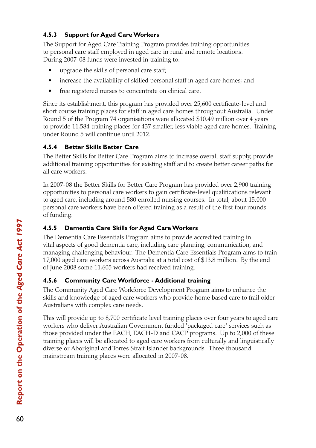#### **4.5.3 Support for Aged Care Workers**

The Support for Aged Care Training Program provides training opportunities to personal care staff employed in aged care in rural and remote locations. During 2007-08 funds were invested in training to:

- upgrade the skills of personal care staff;
- increase the availability of skilled personal staff in aged care homes; and
- free registered nurses to concentrate on clinical care.

Since its establishment, this program has provided over 25,600 certificate-level and short course training places for staff in aged care homes throughout Australia. Under Round 5 of the Program 74 organisations were allocated \$10.49 million over 4 years to provide 11,584 training places for 437 smaller, less viable aged care homes. Training under Round 5 will continue until 2012.

#### **4.5.4 Better Skills Better Care**

The Better Skills for Better Care Program aims to increase overall staff supply, provide additional training opportunities for existing staff and to create better career paths for all care workers.

In 2007-08 the Better Skills for Better Care Program has provided over 2,900 training opportunities to personal care workers to gain certificate-level qualifications relevant to aged care, including around 580 enrolled nursing courses. In total, about 15,000 personal care workers have been offered training as a result of the first four rounds of funding.

#### **4.5.5 Dementia Care Skills for Aged Care Workers**

The Dementia Care Essentials Program aims to provide accredited training in vital aspects of good dementia care, including care planning, communication, and managing challenging behaviour. The Dementia Care Essentials Program aims to train 17,000 aged care workers across Australia at a total cost of \$13.8 million. By the end of June 2008 some 11,605 workers had received training.

#### **4.5.6 Community Care Workforce - Additional training**

The Community Aged Care Workforce Development Program aims to enhance the skills and knowledge of aged care workers who provide home based care to frail older Australians with complex care needs.

This will provide up to 8,700 certificate level training places over four years to aged care workers who deliver Australian Government funded 'packaged care' services such as those provided under the EACH, EACH-D and CACP programs. Up to 2,000 of these training places will be allocated to aged care workers from culturally and linguistically diverse or Aboriginal and Torres Strait Islander backgrounds. Three thousand mainstream training places were allocated in 2007-08.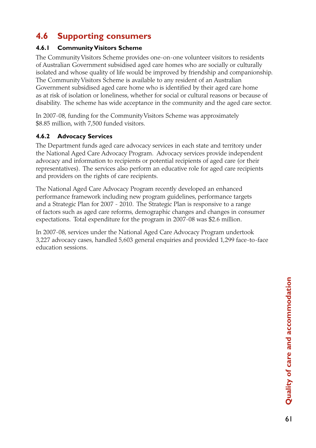## **4.6 Supporting consumers**

#### **4.6.1 Community Visitors Scheme**

The Community Visitors Scheme provides one-on-one volunteer visitors to residents of Australian Government subsidised aged care homes who are socially or culturally isolated and whose quality of life would be improved by friendship and companionship. The Community Visitors Scheme is available to any resident of an Australian Government subsidised aged care home who is identified by their aged care home as at risk of isolation or loneliness, whether for social or cultural reasons or because of disability. The scheme has wide acceptance in the community and the aged care sector.

In 2007-08, funding for the Community Visitors Scheme was approximately \$8.85 million, with 7,500 funded visitors.

#### **4.6.2 Advocacy Services**

The Department funds aged care advocacy services in each state and territory under the National Aged Care Advocacy Program. Advocacy services provide independent advocacy and information to recipients or potential recipients of aged care (or their representatives). The services also perform an educative role for aged care recipients and providers on the rights of care recipients.

The National Aged Care Advocacy Program recently developed an enhanced performance framework including new program guidelines, performance targets and a Strategic Plan for 2007 - 2010. The Strategic Plan is responsive to a range of factors such as aged care reforms, demographic changes and changes in consumer expectations. Total expenditure for the program in 2007-08 was \$2.6 million.

In 2007-08, services under the National Aged Care Advocacy Program undertook 3,227 advocacy cases, handled 5,603 general enquiries and provided 1,299 face-to-face education sessions.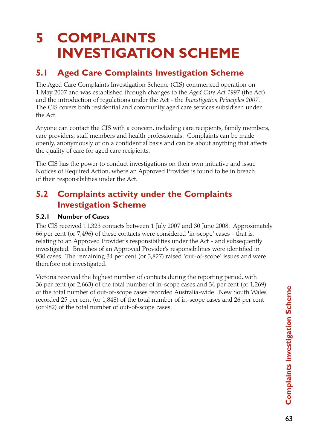# **5 COMPLAINTS INVESTIGATION SCHEME**

## **5.1 Aged Care Complaints Investigation Scheme**

The Aged Care Complaints Investigation Scheme (CIS) commenced operation on 1 May 2007 and was established through changes to the *Aged Care Act 1997* (the Act) and the introduction of regulations under the Act - the *Investigation Principles 2007*. The CIS covers both residential and community aged care services subsidised under the Act.

Anyone can contact the CIS with a concern, including care recipients, family members, care providers, staff members and health professionals. Complaints can be made openly, anonymously or on a confidential basis and can be about anything that affects the quality of care for aged care recipients.

The CIS has the power to conduct investigations on their own initiative and issue Notices of Required Action, where an Approved Provider is found to be in breach of their responsibilities under the Act.

## **5.2 Complaints activity under the Complaints Investigation Scheme**

#### **5.2.1 Number of Cases**

The CIS received 11,323 contacts between 1 July 2007 and 30 June 2008. Approximately 66 per cent (or 7,496) of these contacts were considered 'in-scope' cases - that is, relating to an Approved Provider's responsibilities under the Act - and subsequently investigated. Breaches of an Approved Provider's responsibilities were identified in 930 cases. The remaining 34 per cent (or 3,827) raised 'out-of-scope' issues and were therefore not investigated.

Victoria received the highest number of contacts during the reporting period, with 36 per cent (or 2,663) of the total number of in-scope cases and 34 per cent (or 1,269) of the total number of out-of-scope cases recorded Australia-wide. New South Wales recorded 25 per cent (or 1,848) of the total number of in-scope cases and 26 per cent (or 982) of the total number of out-of-scope cases.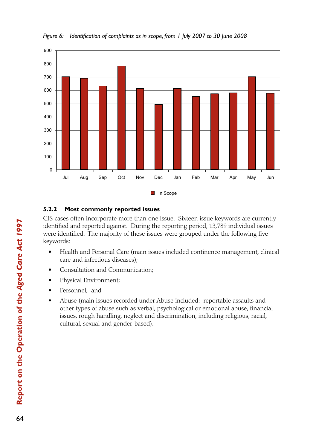

*Figure 6: Identification of complaints as in scope, from 1 July 2007 to 30 June 2008*

#### **5.2.2 Most commonly reported issues**

CIS cases often incorporate more than one issue. Sixteen issue keywords are currently identified and reported against. During the reporting period, 13,789 individual issues were identified. The majority of these issues were grouped under the following five keywords:

- Health and Personal Care (main issues included continence management, clinical care and infectious diseases);
- Consultation and Communication;
- Physical Environment;
- Personnel; and
- Abuse (main issues recorded under Abuse included: reportable assaults and other types of abuse such as verbal, psychological or emotional abuse, financial issues, rough handling, neglect and discrimination, including religious, racial, cultural, sexual and gender-based).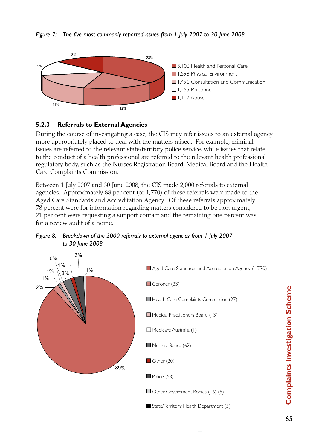



#### **5.2.3 Referrals to External Agencies**

During the course of investigating a case, the CIS may refer issues to an external agency more appropriately placed to deal with the matters raised. For example, criminal issues are referred to the relevant state/territory police service, while issues that relate to the conduct of a health professional are referred to the relevant health professional regulatory body, such as the Nurses Registration Board, Medical Board and the Health Care Complaints Commission.

Between 1 July 2007 and 30 June 2008, the CIS made 2,000 referrals to external agencies. Approximately 88 per cent (or 1,770) of these referrals were made to the Aged Care Standards and Accreditation Agency. Of these referrals approximately 78 percent were for information regarding matters considered to be non urgent, 21 per cent were requesting a support contact and the remaining one percent was for a review audit of a home.



Figure 8: Breakdown of the 2000 referrals to external agencies from I July 2007 *to 30 June 2008* 1,496 Consultation and Consultation 1,496 Personnel 1,565 Personnel 1,565 Personnel 1,565 Personnel 1,565 Per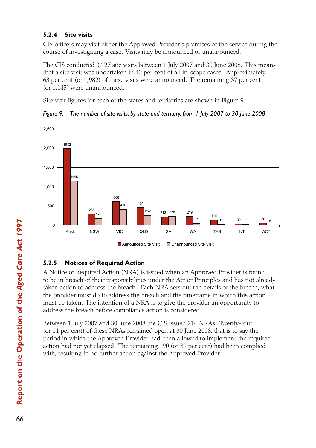#### **5.2.4 Site visits**

CIS officers may visit either the Approved Provider's premises or the service during the course of investigating a case. Visits may be announced or unannounced.

The CIS conducted 3,127 site visits between 1 July 2007 and 30 June 2008. This means that a site visit was undertaken in 42 per cent of all in-scope cases. Approximately 63 per cent (or 1,982) of these visits were announced. The remaining 37 per cent (or 1,145) were unannounced.

Site visit figures for each of the states and territories are shown in Figure 9.





#### **5.2.5 Notices of Required Action**

A Notice of Required Action (NRA) is issued when an Approved Provider is found to be in breach of their responsibilities under the Act or Principles and has not already taken action to address the breach. Each NRA sets out the details of the breach, what the provider must do to address the breach and the timeframe in which this action must be taken. The intention of a NRA is to give the provider an opportunity to address the breach before compliance action is considered.

Between 1 July 2007 and 30 June 2008 the CIS issued 214 NRAs. Twenty-four (or 11 per cent) of these NRAs remained open at 30 June 2008, that is to say the period in which the Approved Provider had been allowed to implement the required action had not yet elapsed. The remaining 190 (or 89 per cent) had been complied with, resulting in no further action against the Approved Provider.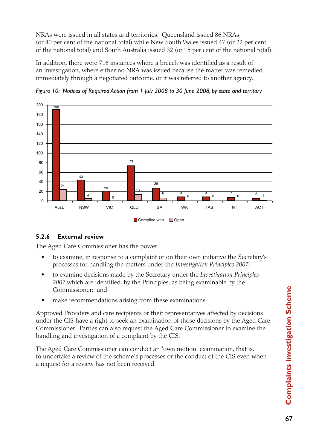NRAs were issued in all states and territories. Queensland issued 86 NRAs (or 40 per cent of the national total) while New South Wales issued 47 (or 22 per cent of the national total) and South Australia issued 32 (or 15 per cent of the national total).

In addition, there were 716 instances where a breach was identified as a result of an investigation, where either no NRA was issued because the matter was remedied immediately through a negotiated outcome, or it was referred to another agency.



*Figure 10: Notices of Required Action from 1 July 2008 to 30 June 2008, by state and territory*

#### **5.2.6 External review**

The Aged Care Commissioner has the power:

- to examine, in response to a complaint or on their own initiative the Secretary's processes for handling the matters under the *Investigation Principles 2007*;
- • to examine decisions made by the Secretary under the *Investigation Principles 2007* which are identified, by the Principles, as being examinable by the Commissioner; and
- make recommendations arising from these examinations.

Approved Providers and care recipients or their representatives affected by decisions under the CIS have a right to seek an examination of those decisions by the Aged Care Commissioner. Parties can also request the Aged Care Commissioner to examine the handling and investigation of a complaint by the CIS.

The Aged Care Commissioner can conduct an 'own motion' examination, that is, to undertake a review of the scheme's processes or the conduct of the CIS even when a request for a review has not been received.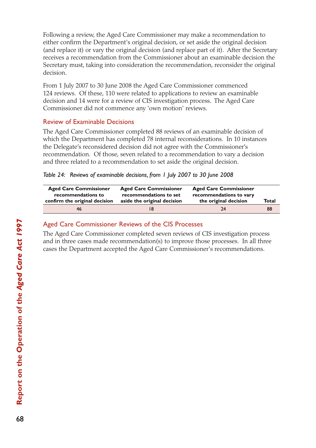Following a review, the Aged Care Commissioner may make a recommendation to either confirm the Department's original decision, or set aside the original decision (and replace it) or vary the original decision (and replace part of it). After the Secretary receives a recommendation from the Commissioner about an examinable decision the Secretary must, taking into consideration the recommendation, reconsider the original decision.

From 1 July 2007 to 30 June 2008 the Aged Care Commissioner commenced 124 reviews. Of these, 110 were related to applications to review an examinable decision and 14 were for a review of CIS investigation process. The Aged Care Commissioner did not commence any 'own motion' reviews.

#### Review of Examinable Decisions

The Aged Care Commissioner completed 88 reviews of an examinable decision of which the Department has completed 78 internal reconsiderations. In 10 instances the Delegate's reconsidered decision did not agree with the Commissioner's recommendation. Of those, seven related to a recommendation to vary a decision and three related to a recommendation to set aside the original decision.

| <b>Aged Care Commissioner</b> | <b>Aged Care Commissioner</b> | <b>Aged Care Commissioner</b> | Total |
|-------------------------------|-------------------------------|-------------------------------|-------|
| recommendations to            | recommendations to set        | recommendations to vary       |       |
| confirm the original decision | aside the original decision   | the original decision         |       |
| 46                            | 18                            | 74                            | 88    |

#### Aged Care Commissioner Reviews of the CIS Processes

The Aged Care Commissioner completed seven reviews of CIS investigation process and in three cases made recommendation(s) to improve those processes. In all three cases the Department accepted the Aged Care Commissioner's recommendations.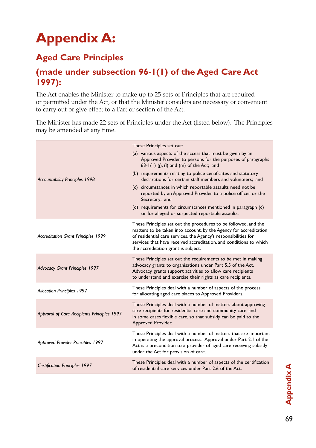# **Appendix A:**

# **Aged Care Principles**

## **(made under subsection 96-1(1) of the Aged Care Act 1997):**

The Act enables the Minister to make up to 25 sets of Principles that are required or permitted under the Act, or that the Minister considers are necessary or convenient to carry out or give effect to a Part or section of the Act.

The Minister has made 22 sets of Principles under the Act (listed below). The Principles may be amended at any time.

|                                             | These Principles set out:                                                                                                                                                                                                                                                                                            |
|---------------------------------------------|----------------------------------------------------------------------------------------------------------------------------------------------------------------------------------------------------------------------------------------------------------------------------------------------------------------------|
|                                             | (a) various aspects of the access that must be given by an<br>Approved Provider to persons for the purposes of paragraphs<br>$63-1(1)$ (i), (l) and (m) of the Act; and                                                                                                                                              |
| <b>Accountability Principles 1998</b>       | (b) requirements relating to police certificates and statutory<br>declarations for certain staff members and volunteers: and                                                                                                                                                                                         |
|                                             | (c) circumstances in which reportable assaults need not be<br>reported by an Approved Provider to a police officer or the<br>Secretary; and                                                                                                                                                                          |
|                                             | (d) requirements for circumstances mentioned in paragraph (c)<br>or for alleged or suspected reportable assaults.                                                                                                                                                                                                    |
| <b>Accreditation Grant Principles 1999</b>  | These Principles set out the procedures to be followed, and the<br>matters to be taken into account, by the Agency for accreditation<br>of residential care services, the Agency's responsibilities for<br>services that have received accreditation, and conditions to which<br>the accreditation grant is subject. |
| <b>Advocacy Grant Principles 1997</b>       | These Principles set out the requirements to be met in making<br>advocacy grants to organisations under Part 5.5 of the Act.<br>Advocacy grants support activities to allow care recipients<br>to understand and exercise their rights as care recipients.                                                           |
| <b>Allocation Principles 1997</b>           | These Principles deal with a number of aspects of the process<br>for allocating aged care places to Approved Providers.                                                                                                                                                                                              |
| Approval of Care Recipients Principles 1997 | These Principles deal with a number of matters about approving<br>care recipients for residential care and community care, and<br>in some cases flexible care, so that subsidy can be paid to the<br>Approved Provider.                                                                                              |
| Approved Provider Principles 1997           | These Principles deal with a number of matters that are important<br>in operating the approval process. Approval under Part 2.1 of the<br>Act is a precondition to a provider of aged care receiving subsidy<br>under the Act for provision of care.                                                                 |
| <b>Certification Principles 1997</b>        | These Principles deal with a number of aspects of the certification<br>of residential care services under Part 2.6 of the Act.                                                                                                                                                                                       |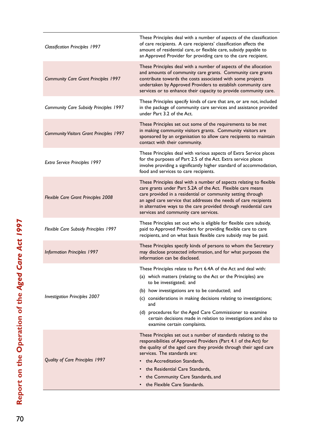| <b>Classification Principles 1997</b>           | These Principles deal with a number of aspects of the classification<br>of care recipients. A care recipients' classification affects the<br>amount of residential care, or flexible care, subsidy payable to<br>an Approved Provider for providing care to the care recipient.                                                                                                                                                                           |
|-------------------------------------------------|-----------------------------------------------------------------------------------------------------------------------------------------------------------------------------------------------------------------------------------------------------------------------------------------------------------------------------------------------------------------------------------------------------------------------------------------------------------|
| <b>Community Care Grant Principles 1997</b>     | These Principles deal with a number of aspects of the allocation<br>and amounts of community care grants. Community care grants<br>contribute towards the costs associated with some projects<br>undertaken by Approved Providers to establish community care<br>services or to enhance their capacity to provide community care.                                                                                                                         |
| <b>Community Care Subsidy Principles 1997</b>   | These Principles specify kinds of care that are, or are not, included<br>in the package of community care services and assistance provided<br>under Part 3.2 of the Act.                                                                                                                                                                                                                                                                                  |
| <b>Community Visitors Grant Principles 1997</b> | These Principles set out some of the requirements to be met<br>in making community visitors grants. Community visitors are<br>sponsored by an organisation to allow care recipients to maintain<br>contact with their community.                                                                                                                                                                                                                          |
| Extra Service Principles 1997                   | These Principles deal with various aspects of Extra Service places<br>for the purposes of Part 2.5 of the Act. Extra service places<br>involve providing a significantly higher standard of accommodation,<br>food and services to care recipients.                                                                                                                                                                                                       |
| <b>Flexible Care Grant Principles 2008</b>      | These Principles deal with a number of aspects relating to flexible<br>care grants under Part 5.2A of the Act. Flexible care means<br>care provided in a residential or community setting through<br>an aged care service that addresses the needs of care recipients<br>in alternative ways to the care provided through residential care<br>services and community care services.                                                                       |
| Flexible Care Subsidy Principles 1997           | These Principles set out who is eligible for flexible care subsidy,<br>paid to Approved Providers for providing flexible care to care<br>recipients, and on what basis flexible care subsidy may be paid.                                                                                                                                                                                                                                                 |
| <b>Information Principles 1997</b>              | These Principles specify kinds of persons to whom the Secretary<br>may disclose protected information, and for what purposes the<br>information can be disclosed.                                                                                                                                                                                                                                                                                         |
| <b>Investigation Principles 2007</b>            | These Principles relate to Part 6.4A of the Act and deal with:<br>(a) which matters (relating to the Act or the Principles) are<br>to be investigated; and<br>(b) how investigations are to be conducted; and<br>(c) considerations in making decisions relating to investigations;<br>and<br>(d) procedures for the Aged Care Commissioner to examine<br>certain decisions made in relation to investigations and also to<br>examine certain complaints. |
| Quality of Care Principles 1997                 | These Principles set out a number of standards relating to the<br>responsibilities of Approved Providers (Part 4.1 of the Act) for<br>the quality of the aged care they provide through their aged care<br>services. The standards are:<br>the Accreditation Standards.<br>the Residential Care Standards,<br>the Community Care Standards, and<br>the Flexible Care Standards.                                                                           |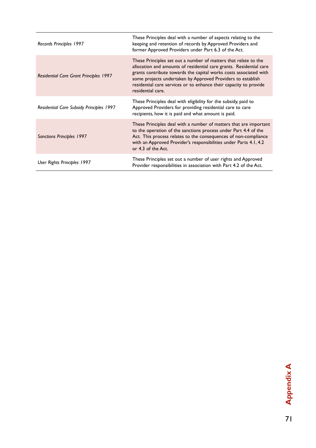| Records Principles 1997                       | These Principles deal with a number of aspects relating to the<br>keeping and retention of records by Approved Providers and<br>former Approved Providers under Part 6.3 of the Act.                                                                                                                                                                                 |
|-----------------------------------------------|----------------------------------------------------------------------------------------------------------------------------------------------------------------------------------------------------------------------------------------------------------------------------------------------------------------------------------------------------------------------|
| <b>Residential Care Grant Principles 1997</b> | These Principles set out a number of matters that relate to the<br>allocation and amounts of residential care grants. Residential care<br>grants contribute towards the capital works costs associated with<br>some projects undertaken by Approved Providers to establish<br>residential care services or to enhance their capacity to provide<br>residential care. |
| Residential Care Subsidy Principles 1997      | These Principles deal with eligibility for the subsidy, paid to<br>Approved Providers for providing residential care to care<br>recipients, how it is paid and what amount is paid.                                                                                                                                                                                  |
| Sanctions Principles 1997                     | These Principles deal with a number of matters that are important<br>to the operation of the sanctions process under Part 4.4 of the<br>Act. This process relates to the consequences of non-compliance<br>with an Approved Provider's responsibilities under Parts 4.1, 4.2<br>or 4.3 of the Act.                                                                   |
| User Rights Principles 1997                   | These Principles set out a number of user rights and Approved<br>Provider responsibilities in association with Part 4.2 of the Act.                                                                                                                                                                                                                                  |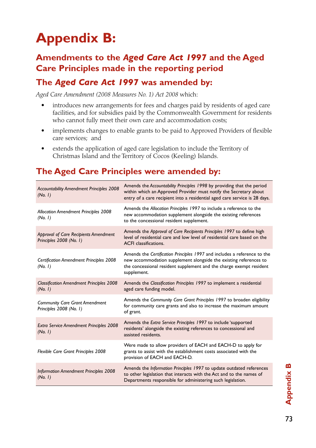# **Appendix B:**

## **Amendments to the** *Aged Care Act 1997* **and the Aged Care Principles made in the reporting period**

## **The** *Aged Care Act 1997* **was amended by:**

*Aged Care Amendment (2008 Measures No. 1) Act 2008* which:

- introduces new arrangements for fees and charges paid by residents of aged care facilities, and for subsidies paid by the Commonwealth Government for residents who cannot fully meet their own care and accommodation costs;
- implements changes to enable grants to be paid to Approved Providers of flexible care services; and
- extends the application of aged care legislation to include the Territory of Christmas Island and the Territory of Cocos (Keeling) Islands.

# **The Aged Care Principles were amended by:**

| Accountability Amendment Principles 2008<br>(No. 1)              | Amends the Accountability Principles 1998 by providing that the period<br>within which an Approved Provider must notify the Secretary about<br>entry of a care recipient into a residential aged care service is 28 days.           |
|------------------------------------------------------------------|-------------------------------------------------------------------------------------------------------------------------------------------------------------------------------------------------------------------------------------|
| <b>Allocation Amendment Principles 2008</b><br>(No. 1)           | Amends the Allocation Principles 1997 to include a reference to the<br>new accommodation supplement alongside the existing references<br>to the concessional resident supplement.                                                   |
| Approval of Care Recipients Amendment<br>Principles 2008 (No. 1) | Amends the Approval of Care Recipients Principles 1997 to define high<br>level of residential care and low level of residential care based on the<br><b>ACFI</b> classifications.                                                   |
| <b>Certification Amendment Principles 2008</b><br>(No. 1)        | Amends the Certification Principles 1997 and includes a reference to the<br>new accommodation supplement alongside the existing references to<br>the concessional resident supplement and the charge exempt resident<br>supplement. |
| <b>Classification Amendment Principles 2008</b><br>(No. 1)       | Amends the Classification Principles 1997 to implement a residential<br>aged care funding model.                                                                                                                                    |
| <b>Community Care Grant Amendment</b><br>Principles 2008 (No. 1) | Amends the Community Care Grant Principles 1997 to broaden eligibility<br>for community care grants and also to increase the maximum amount<br>of grant.                                                                            |
| Extra Service Amendment Principles 2008<br>(No. 1)               | Amends the Extra Service Principles 1997 to include 'supported<br>residents' alongside the existing references to concessional and<br>assisted residents.                                                                           |
| Flexible Care Grant Principles 2008                              | Were made to allow providers of EACH and EACH-D to apply for<br>grants to assist with the establishment costs associated with the<br>provision of EACH and EACH-D.                                                                  |
| <b>Information Amendment Principles 2008</b><br>(No. 1)          | Amends the Information Principles 1997 to update outdated references<br>to other legislation that interacts with the Act and to the names of<br>Departments responsible for administering such legislation.                         |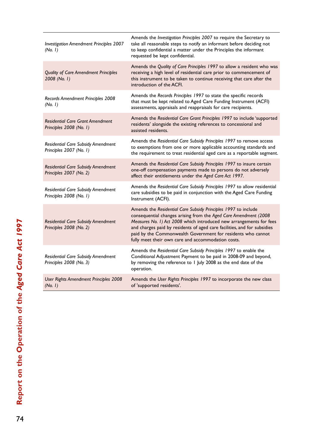| Investigation Amendment Principles 2007<br>(No. 1)                 | Amends the Investigation Principles 2007 to require the Secretary to<br>take all reasonable steps to notify an informant before deciding not<br>to keep confidential a matter under the Principles the informant<br>requested be kept confidential.                                                                                                                                                         |
|--------------------------------------------------------------------|-------------------------------------------------------------------------------------------------------------------------------------------------------------------------------------------------------------------------------------------------------------------------------------------------------------------------------------------------------------------------------------------------------------|
| <b>Quality of Care Amendment Principles</b><br>2008 (No. 1)        | Amends the Quality of Care Principles 1997 to allow a resident who was<br>receiving a high level of residential care prior to commencement of<br>this instrument to be taken to continue receiving that care after the<br>introduction of the ACFI.                                                                                                                                                         |
| Records Amendment Principles 2008<br>(No. 1)                       | Amends the Records Principles 1997 to state the specific records<br>that must be kept related to Aged Care Funding Instrument (ACFI)<br>assessments, appraisals and reappraisals for care recipients.                                                                                                                                                                                                       |
| <b>Residential Care Grant Amendment</b><br>Principles 2008 (No. 1) | Amends the Residential Care Grant Principles 1997 to include 'supported<br>residents' alongside the existing references to concessional and<br>assisted residents.                                                                                                                                                                                                                                          |
| Residential Care Subsidy Amendment<br>Principles 2007 (No. 1)      | Amends the Residential Care Subsidy Principles 1997 to remove access<br>to exemptions from one or more applicable accounting standards and<br>the requirement to treat residential aged care as a reportable segment.                                                                                                                                                                                       |
| Residential Care Subsidy Amendment<br>Principles 2007 (No. 2)      | Amends the Residential Care Subsidy Principles 1997 to insure certain<br>one-off compensation payments made to persons do not adversely<br>affect their entitlements under the Aged Care Act 1997.                                                                                                                                                                                                          |
| Residential Care Subsidy Amendment<br>Principles 2008 (No. 1)      | Amends the Residential Care Subsidy Principles 1997 to allow residential<br>care subsidies to be paid in conjunction with the Aged Care Funding<br>Instrument (ACFI).                                                                                                                                                                                                                                       |
| Residential Care Subsidy Amendment<br>Principles 2008 (No. 2)      | Amends the Residential Care Subsidy Principles 1997 to include<br>consequential changes arising from the Aged Care Amendment (2008<br>Measures No. 1) Act 2008 which introduced new arrangements for fees<br>and charges paid by residents of aged care facilities, and for subsidies<br>paid by the Commonwealth Government for residents who cannot<br>fully meet their own care and accommodation costs. |
| Residential Care Subsidy Amendment<br>Principles 2008 (No. 3)      | Amends the Residential Care Subsidy Principles 1997 to enable the<br>Conditional Adjustment Payment to be paid in 2008-09 and beyond,<br>by removing the reference to 1 July 2008 as the end date of the<br>operation.                                                                                                                                                                                      |
| User Rights Amendment Principles 2008<br>(No. 1)                   | Amends the User Rights Principles 1997 to incorporate the new class<br>of 'supported residents'.                                                                                                                                                                                                                                                                                                            |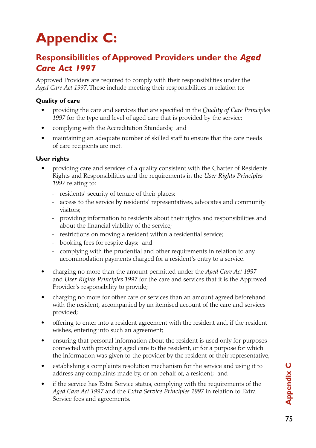# **Appendix C:**

## **Responsibilities of Approved Providers under the** *Aged Care Act 1997*

Approved Providers are required to comply with their responsibilities under the *Aged Care Act 1997*. These include meeting their responsibilities in relation to:

#### **Quality of care**

- • providing the care and services that are specified in the *Quality of Care Principles 1997* for the type and level of aged care that is provided by the service;
- complying with the Accreditation Standards; and
- maintaining an adequate number of skilled staff to ensure that the care needs of care recipients are met.

#### **User rights**

- providing care and services of a quality consistent with the Charter of Residents Rights and Responsibilities and the requirements in the *User Rights Principles 1997* relating to:
	- residents' security of tenure of their places;
	- access to the service by residents' representatives, advocates and community visitors;
	- providing information to residents about their rights and responsibilities and about the financial viability of the service;
	- restrictions on moving a resident within a residential service;
	- booking fees for respite days; and
	- complying with the prudential and other requirements in relation to any accommodation payments charged for a resident's entry to a service.
- charging no more than the amount permitted under the *Aged Care Act 1997* and *User Rights Principles 1997* for the care and services that it is the Approved Provider's responsibility to provide;
- charging no more for other care or services than an amount agreed beforehand with the resident, accompanied by an itemised account of the care and services provided;
- offering to enter into a resident agreement with the resident and, if the resident wishes, entering into such an agreement;
- ensuring that personal information about the resident is used only for purposes connected with providing aged care to the resident, or for a purpose for which the information was given to the provider by the resident or their representative;
- establishing a complaints resolution mechanism for the service and using it to address any complaints made by, or on behalf of, a resident; and
- if the service has Extra Service status, complying with the requirements of the *Aged Care Act 1997* and the *Extra Service Principles 1997* in relation to Extra Service fees and agreements.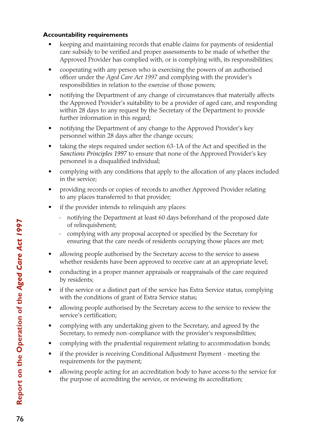#### **Accountability requirements**

- keeping and maintaining records that enable claims for payments of residential care subsidy to be verified and proper assessments to be made of whether the Approved Provider has complied with, or is complying with, its responsibilities;
- cooperating with any person who is exercising the powers of an authorised officer under the *Aged Care Act 1997* and complying with the provider's responsibilities in relation to the exercise of those powers;
- notifying the Department of any change of circumstances that materially affects the Approved Provider's suitability to be a provider of aged care, and responding within 28 days to any request by the Secretary of the Department to provide further information in this regard;
- notifying the Department of any change to the Approved Provider's key personnel within 28 days after the change occurs;
- taking the steps required under section 63-1A of the Act and specified in the *Sanctions Principles 1997* to ensure that none of the Approved Provider's key personnel is a disqualified individual;
- complying with any conditions that apply to the allocation of any places included in the service;
- providing records or copies of records to another Approved Provider relating to any places transferred to that provider;
- if the provider intends to relinquish any places:
	- notifying the Department at least 60 days beforehand of the proposed date of relinquishment;
	- complying with any proposal accepted or specified by the Secretary for ensuring that the care needs of residents occupying those places are met;
- allowing people authorised by the Secretary access to the service to assess whether residents have been approved to receive care at an appropriate level;
- conducting in a proper manner appraisals or reappraisals of the care required by residents;
- if the service or a distinct part of the service has Extra Service status, complying with the conditions of grant of Extra Service status;
- allowing people authorised by the Secretary access to the service to review the service's certification;
- complying with any undertaking given to the Secretary, and agreed by the Secretary, to remedy non-compliance with the provider's responsibilities;
- complying with the prudential requirement relating to accommodation bonds;
- if the provider is receiving Conditional Adjustment Payment meeting the requirements for the payment;
- allowing people acting for an accreditation body to have access to the service for the purpose of accrediting the service, or reviewing its accreditation;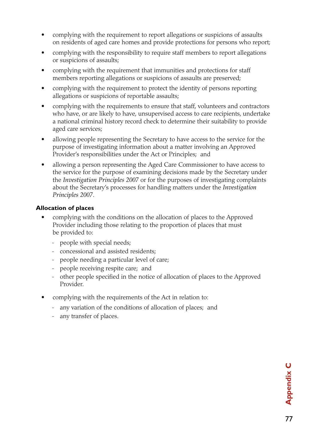- complying with the requirement to report allegations or suspicions of assaults on residents of aged care homes and provide protections for persons who report;
- complying with the responsibility to require staff members to report allegations or suspicions of assaults;
- complying with the requirement that immunities and protections for staff members reporting allegations or suspicions of assaults are preserved;
- complying with the requirement to protect the identity of persons reporting allegations or suspicions of reportable assaults;
- complying with the requirements to ensure that staff, volunteers and contractors who have, or are likely to have, unsupervised access to care recipients, undertake a national criminal history record check to determine their suitability to provide aged care services;
- allowing people representing the Secretary to have access to the service for the purpose of investigating information about a matter involving an Approved Provider's responsibilities under the Act or Principles; and
- allowing a person representing the Aged Care Commissioner to have access to the service for the purpose of examining decisions made by the Secretary under the *Investigation Principles 2007* or for the purposes of investigating complaints about the Secretary's processes for handling matters under the *Investigation Principles 2007*.

#### **Allocation of places**

- complying with the conditions on the allocation of places to the Approved Provider including those relating to the proportion of places that must be provided to:
	- people with special needs;
	- concessional and assisted residents;
	- people needing a particular level of care;
	- people receiving respite care; and
	- other people specified in the notice of allocation of places to the Approved Provider.
- complying with the requirements of the Act in relation to:
	- any variation of the conditions of allocation of places; and
	- any transfer of places.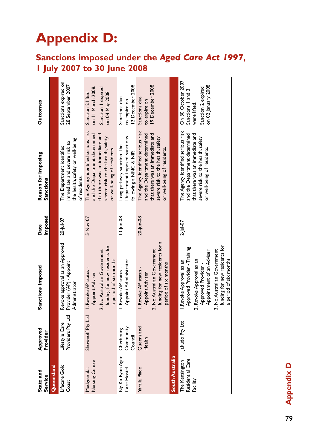# **Appendix D:**

# **Sanctions imposed under the** *Aged Care Act 1997***, 1 July 2007 to 30 June 2008**

| State and<br>Service                           | Approved<br>Provider                | Sanctions Imposed                                                                                                                                                                                                                 | Imposed<br>Date | Reason for Imposing<br>Sanctions                                                                                                                                           | <b>Outcomes</b>                                                                                      |
|------------------------------------------------|-------------------------------------|-----------------------------------------------------------------------------------------------------------------------------------------------------------------------------------------------------------------------------------|-----------------|----------------------------------------------------------------------------------------------------------------------------------------------------------------------------|------------------------------------------------------------------------------------------------------|
| Queensland                                     |                                     |                                                                                                                                                                                                                                   |                 |                                                                                                                                                                            |                                                                                                      |
| Lifecare Gold<br>Coast                         | Providers Pty Ltd<br>Lifestyle Care | Revoke approval as an Approved<br>Provider (AP) - Appoint<br>Administrator                                                                                                                                                        | 20-Jul-07       | the health, safety or well-being<br>immediate and severe risk to<br>The Department identified<br>of residents.                                                             | Sanctions expired on<br>28 September 2007                                                            |
| Nursing Centre<br>Mudgeeraba                   | Shownoff Pty Ltd                    | funding for new residents for<br>2. No Australian Government<br>a period of six months<br>I. Revoke AP status -<br>Appoint Adviser                                                                                                | 5-Nov-07        | The Agency identified serious risk<br>and the Department determined<br>that there was an immediate and<br>severe risk to the health, safety<br>or well-being of residents. | on 11 March 2008<br>Sanction I expired<br>on 04 May 2008<br>Sanction 2 lifted                        |
| Ny-Ku Byun Aged<br>Care Hostel                 | Community<br>Cherbourg<br>Council   | Appoint Administrator<br>I. Revoke AP status -                                                                                                                                                                                    | $13$ -Jun-08    | Department imposed sanctions<br>Long pathway sanction. The<br>following a NNC & NIIS                                                                                       | 12 December 2008<br>Sanctions due<br>to expire on                                                    |
| Yaralla Place                                  | Queensland<br>Health                | funding for new residents for a<br>2. No Australian Government<br>period of six months<br>I. Revoke AP status -<br>Appoint Adviser                                                                                                | 20-Jun-08       | The Agency identified serious risk<br>and the Department determined<br>that there was an immediate and<br>severe risk to the health, safety<br>or well-being of residents. | 19 December 2008<br>Sanctions due<br>to expire on                                                    |
| South Australia                                |                                     |                                                                                                                                                                                                                                   |                 |                                                                                                                                                                            |                                                                                                      |
| Residential Care<br>The Kensington<br>Facility | Jakudo Pty Ltd                      | funding for new residents for<br>Approved Provider - Training<br>3. No Australian Government<br>Appointment of an Adviser<br>a period of six months<br>2. Revoke Approval as an<br>I.Revoke Approval as an<br>Approved Provider - | $2 -  u  - 07$  | The Agency identified serious risk<br>and the Department determined<br>that there was an immediate and<br>severe risk to the health, safety<br>or well-being of residents. | On 30 October 2007<br>on 02 January 2008.<br>Sanction 2 expired<br>Sanctions   and 3<br>were lifted. |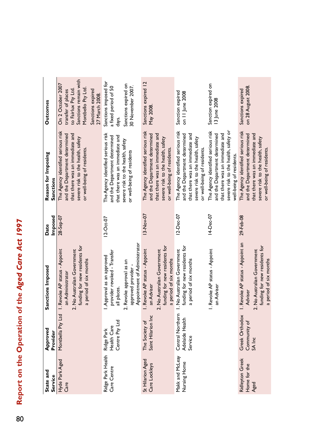# Report on the Operation of the Aged Care Act 1997 80**Report on the Operation of the** *Aged Care Act 1997* 80

| State and<br>Service                           | Approved<br>Provider                           | Sanctions Imposed                                                                                                                                        | Imposed<br>Date        | Reason for Imposing<br>Sanctions                                                                                                                                           | Outcomes                                                                                                                                            |
|------------------------------------------------|------------------------------------------------|----------------------------------------------------------------------------------------------------------------------------------------------------------|------------------------|----------------------------------------------------------------------------------------------------------------------------------------------------------------------------|-----------------------------------------------------------------------------------------------------------------------------------------------------|
| Hyde Park Aged<br>Care                         | Montbella Pty Ltd                              | funding for new residents for<br>2. No Australian Government<br>I. Revoke AP status - Appoint<br>a period of six months<br>an Administrator              | 28-Sep-07              | The Agency identified serious risk<br>and the Department determined<br>that there was an immediate and<br>severe risk to the health, safety<br>or well-being of residents. | Sanctions remain with<br>On 2 October 2007<br>Montbello Pty Ltd<br>to Fairlux Pty Ltd.<br>Sanctions expired<br>transfer of places<br>27 March 2008. |
| Ridge Park Health<br>Care Centre               | Centre Pty Ltd<br>Health Care<br>Ridge Park    | Appointment of Administrator<br>provider revoked - Transfer<br>all places.<br>Approval as an approved<br>2. Revoke approval as an<br>approved provider - | $12-Oct-07$            | The Agency identified serious risk<br>that there was an immediate and<br>and the Department determined<br>severe risk to the health, safety<br>or well-being of residents  | Sanctions imposed for<br>Sanctions expired on<br>30 November 2007.<br>a fixed period of 50<br>days.                                                 |
| St Hilarion Aged<br>Care Lockleys              | Saint Hilarion Inc<br>The Society of           | funding for new residents for<br>I. Revoke AP status - Appoint<br>2. No Australian Government<br>a period of six months<br>an Adviser                    | 13-Nov-07              | The Agency identified serious risk<br>and the Department determined<br>that there was an immediate and<br>severe risk to the health, safety<br>or well-being of residents  | Sanctions expired 12<br>May 2008                                                                                                                    |
| Makk and McLeay<br>Nursing Home                | Central Northern<br>Adelaide Health<br>Service | funding for new residents for<br>I. No Australian Government<br>a period of six months                                                                   | 12-Dec-07<br>14-Dec-07 | The Agency identified serious risk<br>and the Department determined<br>that there was an immediate and<br>severe risk to the health, safety<br>or well-being of residents. | Sanction expired on<br>Sanction expired<br>on 11 June 2008                                                                                          |
|                                                |                                                | I. Revoke AP status - Appoint<br>an Adviser                                                                                                              |                        | The Agency identified serious risk<br>severe risk to the health, safety or<br>and the Department determined<br>that there was an immediate and<br>well-being of residents. | 13 June 2008                                                                                                                                        |
| <b>Ridleyton Greek</b><br>Home for the<br>Aged | Greek Orthodox<br>Community of<br>SA Inc       | I. Revoke AP status - Appoint an<br>funding for new residents for<br>2. No Australian Government<br>a period of six months<br>Adviser                    | 29-Feb-08              | The Agency identified serious risk<br>and the Department determined<br>that there was an immediate and<br>severe risk to the health, safety<br>or well-being of residents  | on 28 August 2008.<br>Sanctions expired                                                                                                             |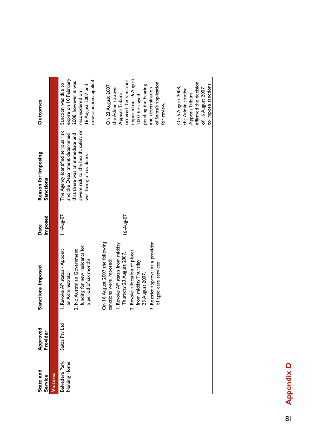| State and<br>Service           | Approved<br>Provider | Sanctions Imposed                                                                                                                                                                                                                                                     | Imposed<br>Date | Reason for Imposing<br>Sanctions                                                                                                                                           | <b>Outcomes</b>                                                                                                                                                                                                       |
|--------------------------------|----------------------|-----------------------------------------------------------------------------------------------------------------------------------------------------------------------------------------------------------------------------------------------------------------------|-----------------|----------------------------------------------------------------------------------------------------------------------------------------------------------------------------|-----------------------------------------------------------------------------------------------------------------------------------------------------------------------------------------------------------------------|
| Victoria                       |                      |                                                                                                                                                                                                                                                                       |                 |                                                                                                                                                                            |                                                                                                                                                                                                                       |
| Belvedere Park<br>Nursing Home | Saitta Pty Ltd       | funding for new residents for<br>I. Revoke AP status - Appoint<br>2. No Australian Government<br>a period of six months<br>an Administrator                                                                                                                           | 11-Aug-07       | severe risk to the health, safety or<br>The Agency identified serious risk<br>and the Department determined<br>that there was an immediate and<br>well-being of residents. | expire on 10 February<br>2008; however it was<br>new sanctions applied.<br>Sanction was due to<br>6 August 2007 and<br>reconsidered on                                                                                |
|                                |                      | On 16 August 2007 the following<br>3. Restrict approval as a provider<br>I. Revoke AP status from midday<br>2. Revoke allocation of places<br>Thursday 23 August 2007.<br>from midday Thursday<br>sanctions were imposed:<br>of aged care services<br>23 August 2007. | 16-Aug-07       |                                                                                                                                                                            | imposed on 16 August<br>ordered the sanctions<br>of Saitta's application<br>On 23 August 2007,<br>pending the hearing<br>the Administrative<br>and determination<br>Appeals Tribunal<br>2007 be stayed<br>for review. |
|                                |                      |                                                                                                                                                                                                                                                                       |                 |                                                                                                                                                                            | affirmed the decision<br>to impose sanctions.<br>On 5 August 2008,<br>the Administrative<br>of 16 August 2007<br>Appeals Tribunal                                                                                     |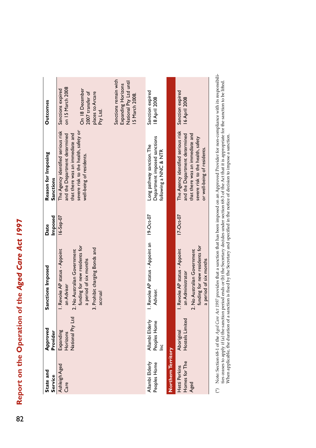# Report on the Operation of the Aged Care Act 1997 82**Report on the Operation of the** *Aged Care Act 1997* 82

| State and<br>Service                   | Approved<br>Provider                      | Sanctions Imposed                                                                                                                                                                  | Imposed<br>Date | Reason for Imposing<br>Sanctions                                                                                                                                           | <b>Outcomes</b>                                                                                                                                                                                        |
|----------------------------------------|-------------------------------------------|------------------------------------------------------------------------------------------------------------------------------------------------------------------------------------|-----------------|----------------------------------------------------------------------------------------------------------------------------------------------------------------------------|--------------------------------------------------------------------------------------------------------------------------------------------------------------------------------------------------------|
| Ashleigh Aged<br>Care                  | National Pty Ltd<br>Expanding<br>Horizons | funding for new residents for<br>3. Prohibit charging Bonds and<br>I. Revoke AP status - Appoint<br>2. No Australian Government<br>a period of six months<br>an Adviser<br>accrual | $16 - 5ep - 07$ | The Agency identified serious risk<br>severe risk to the health, safety or<br>and the Department determined<br>that there was an immediate and<br>well-being of residents. | Sanctions remain with<br>National Pty Ltd until<br>Expanding Horizons<br>on 15 March 2008<br>Sanctions expired<br>On 18 December<br>2007 transfer of<br>places to Arcare<br>15 March 2008.<br>Pty Ltd. |
| Allambi Elderly<br>Peoples Home        | Allambi Elderly<br>Peoples Home<br>ğ      | I. Revoke AP status - Appoint an<br>Adviser.                                                                                                                                       | $19-Ort-07$     | Department imposed sanctions<br>Long pathway sanction. The<br>following a NNC & NTR                                                                                        | Sanction expired<br>18 April 2008                                                                                                                                                                      |
| Northern Territory                     |                                           |                                                                                                                                                                                    |                 |                                                                                                                                                                            |                                                                                                                                                                                                        |
| Homes for The<br>Hetti Perkins<br>Aged | Hostels Limited<br>Aboriginal             | funding for new residents for<br>I. Revoke AP status - Appoint<br>2. No Australian Government<br>a period of six months<br>an Administrator                                        | $17-Or-07$      | The Agency identified serious risk<br>and the Department determined<br>that there was an immediate and<br>severe risk to the health, safety<br>or well-being of residents. | Sanction expired<br>16 April 2008                                                                                                                                                                      |

Note: Section 68-1 of the *Aged Care Act 1997* provides that a sanction that has been imposed on an Approved Provider for non-compliance with its responsibilities cases to apply if (a) the sanction period ends or (b) the S (\*) Note: Section 68-1 of the *Aged Care Act 1997* provides that a sanction that has been imposed on an Approved Provider for non-compliance with its responsibilities ceases to apply if (a) the sanction period ends or (b) the Secretary decides under section 68-3 of the Act that it is appropriate for the sanction to be lifted. When applicable, the duration of a sanction is fixed by the Secretary and specified in the notice of decision to impose a sanction. $\epsilon$